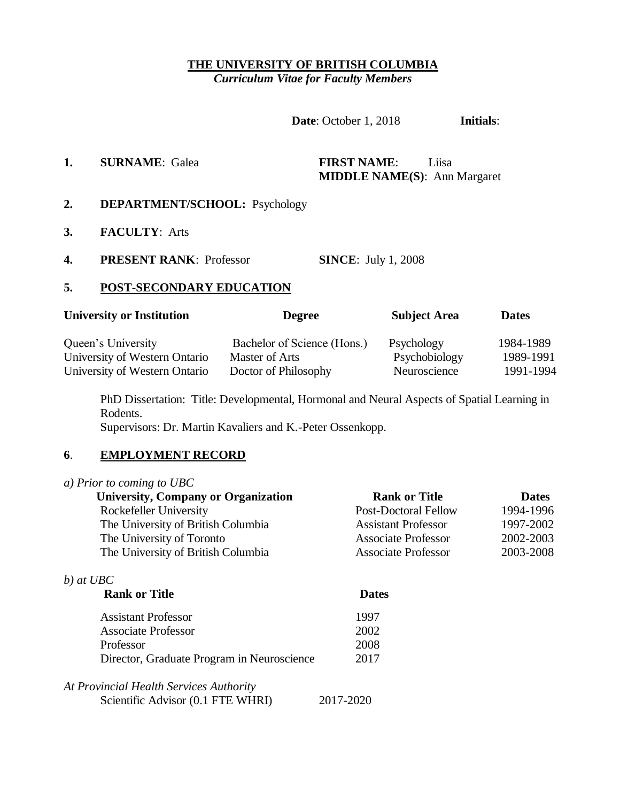### **THE UNIVERSITY OF BRITISH COLUMBIA** *Curriculum Vitae for Faculty Members*

**Date**: October 1, 2018 **Initials**:

# **1. SURNAME**: Galea **FIRST NAME**: Liisa **MIDDLE NAME(S)**: Ann Margaret

- **2. DEPARTMENT/SCHOOL:** Psychology
- **3. FACULTY**: Arts
- **4. PRESENT RANK**: Professor **SINCE**: July 1, 2008

Scientific Advisor (0.1 FTE WHRI) 2017-2020

### **5. POST-SECONDARY EDUCATION**

| <b>University or Institution</b> | <b>Degree</b>               | <b>Subject Area</b> | <b>Dates</b> |  |
|----------------------------------|-----------------------------|---------------------|--------------|--|
| Queen's University               | Bachelor of Science (Hons.) | Psychology          | 1984-1989    |  |
| University of Western Ontario    | Master of Arts              | Psychobiology       | 1989-1991    |  |
| University of Western Ontario    | Doctor of Philosophy        | Neuroscience        | 1991-1994    |  |

PhD Dissertation: Title: Developmental, Hormonal and Neural Aspects of Spatial Learning in Rodents. Supervisors: Dr. Martin Kavaliers and K.-Peter Ossenkopp.

### **6**. **EMPLOYMENT RECORD**

| <b>University, Company or Organization</b> | <b>Rank or Title</b>        | <b>Dates</b> |
|--------------------------------------------|-----------------------------|--------------|
| Rockefeller University                     | <b>Post-Doctoral Fellow</b> | 1994-1996    |
| The University of British Columbia         | <b>Assistant Professor</b>  | 1997-2002    |
| The University of Toronto                  | <b>Associate Professor</b>  | 2002-2003    |
| The University of British Columbia         | <b>Associate Professor</b>  | 2003-2008    |
| b) at $UBC$                                |                             |              |
| <b>Rank or Title</b>                       | <b>Dates</b>                |              |
| <b>Assistant Professor</b>                 | 1997                        |              |
| <b>Associate Professor</b>                 | 2002                        |              |
| Professor                                  | 2008                        |              |
| Director, Graduate Program in Neuroscience | 2017                        |              |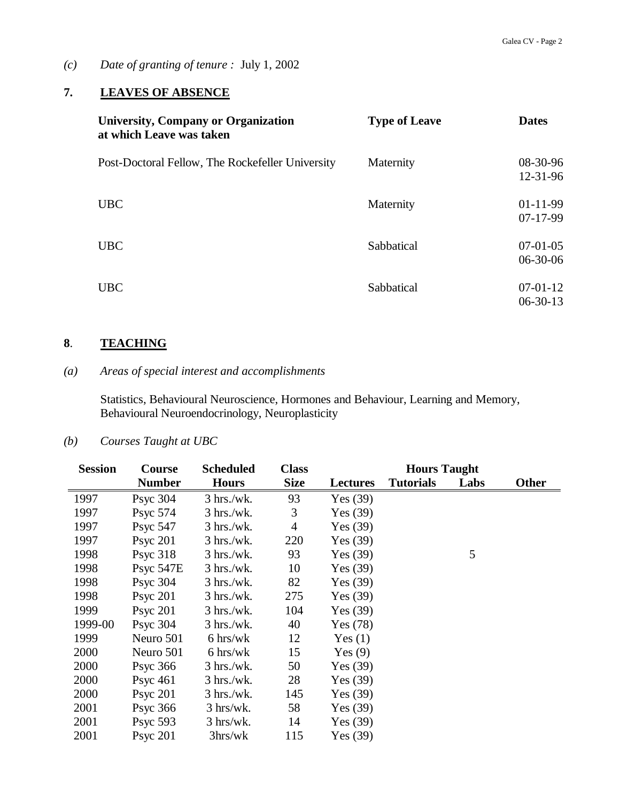*(c) Date of granting of tenure :* July 1, 2002

# **7. LEAVES OF ABSENCE**

| <b>University, Company or Organization</b><br>at which Leave was taken | <b>Type of Leave</b> | <b>Dates</b>                 |
|------------------------------------------------------------------------|----------------------|------------------------------|
| Post-Doctoral Fellow, The Rockefeller University                       | Maternity            | 08-30-96<br>12-31-96         |
| <b>UBC</b>                                                             | Maternity            | $01-11-99$<br>$07-17-99$     |
| <b>UBC</b>                                                             | Sabbatical           | $07-01-05$<br>$06 - 30 - 06$ |
| <b>UBC</b>                                                             | Sabbatical           | $07-01-12$<br>$06-30-13$     |

# **8**. **TEACHING**

# *(a) Areas of special interest and accomplishments*

Statistics, Behavioural Neuroscience, Hormones and Behaviour, Learning and Memory, Behavioural Neuroendocrinology, Neuroplasticity

## *(b) Courses Taught at UBC*

| <b>Session</b> | Course               | <b>Scheduled</b>          | <b>Class</b>   |                 | <b>Hours Taught</b> |      |              |
|----------------|----------------------|---------------------------|----------------|-----------------|---------------------|------|--------------|
|                | <b>Number</b>        | <b>Hours</b>              | <b>Size</b>    | <b>Lectures</b> | <b>Tutorials</b>    | Labs | <b>Other</b> |
| 1997           | Psyc $304$           | $3 \text{ hrs./wk}.$      | 93             | Yes $(39)$      |                     |      |              |
| 1997           | <b>Psyc 574</b>      | $3 \text{ hrs./wk}.$      | 3              | Yes $(39)$      |                     |      |              |
| 1997           | Psyc 547             | $3 \text{ hrs./wk}.$      | $\overline{4}$ | Yes $(39)$      |                     |      |              |
| 1997           | Psyc $201$           | $3 \text{ hrs./wk}.$      | 220            | Yes $(39)$      |                     |      |              |
| 1998           | P <sub>svc</sub> 318 | $3 \text{ hrs./wk}.$      | 93             | Yes $(39)$      |                     | 5    |              |
| 1998           | Psyc 547E            | $3 \text{ hrs./wk}.$      | 10             | Yes $(39)$      |                     |      |              |
| 1998           | <b>Psyc 304</b>      | $3 \text{ hrs./wk}.$      | 82             | Yes $(39)$      |                     |      |              |
| 1998           | Psyc $201$           | $3 \text{ hrs./wk}.$      | 275            | Yes $(39)$      |                     |      |              |
| 1999           | <b>Psyc 201</b>      | $3 \text{ hrs./wk}.$      | 104            | Yes $(39)$      |                     |      |              |
| 1999-00        | Psyc $304$           | $3$ hrs./wk.              | 40             | Yes $(78)$      |                     |      |              |
| 1999           | Neuro 501            | $6 \text{ hrs}/\text{wk}$ | 12             | Yes(1)          |                     |      |              |
| 2000           | Neuro 501            | $6 \text{ hrs}/\text{wk}$ | 15             | Yes $(9)$       |                     |      |              |
| 2000           | Psyc $366$           | $3 \text{ hrs./wk}.$      | 50             | Yes $(39)$      |                     |      |              |
| 2000           | Psyc $461$           | $3 \text{ hrs./wk}.$      | 28             | Yes $(39)$      |                     |      |              |
| 2000           | Psyc $201$           | $3 \text{ hrs./wk}.$      | 145            | Yes $(39)$      |                     |      |              |
| 2001           | Psyc $366$           | $3 \text{ hrs/wk.}$       | 58             | Yes $(39)$      |                     |      |              |
| 2001           | Psyc $593$           | $3 \text{ hrs/wk}.$       | 14             | Yes $(39)$      |                     |      |              |
| 2001           | P <sub>svc</sub> 201 | 3hrs/wk                   | 115            | Yes (39)        |                     |      |              |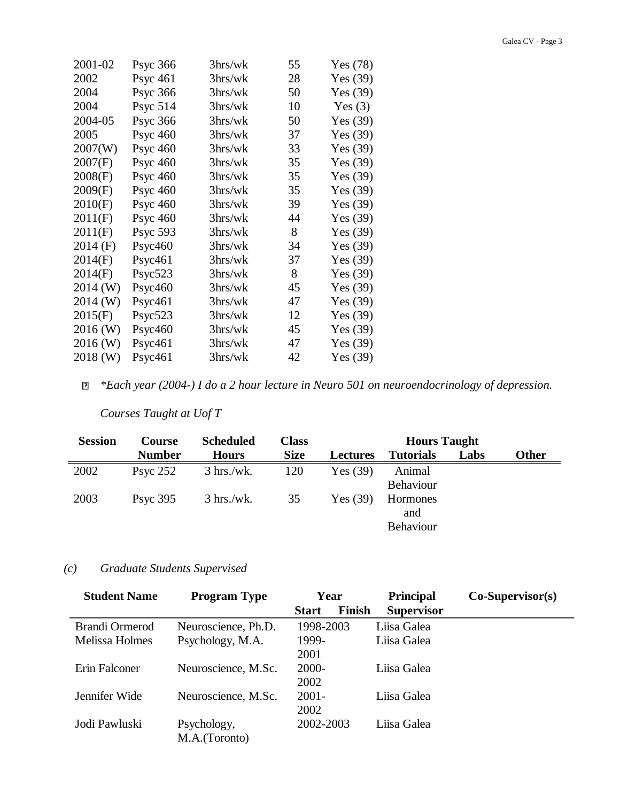| 2001-02    | <b>Psyc 366</b>      | 3 <sub>hrs/wk</sub> | 55 | Yes $(78)$ |
|------------|----------------------|---------------------|----|------------|
| 2002       | P <sub>SVC</sub> 461 | 3hrs/wk             | 28 | Yes $(39)$ |
| 2004       | <b>Psyc 366</b>      | 3hrs/wk             | 50 | Yes $(39)$ |
| 2004       | <b>Psyc 514</b>      | 3 <sub>hrs/wk</sub> | 10 | Yes $(3)$  |
| 2004-05    | <b>Psyc 366</b>      | 3hrs/wk             | 50 | Yes $(39)$ |
| 2005       | <b>Psyc 460</b>      | 3hrs/wk             | 37 | Yes $(39)$ |
| 2007(W)    | <b>Psyc 460</b>      | 3hrs/wk             | 33 | Yes $(39)$ |
| 2007(F)    | Psyc $460$           | 3hrs/wk             | 35 | Yes $(39)$ |
| 2008(F)    | <b>Psyc 460</b>      | 3 <sub>hrs/wk</sub> | 35 | Yes $(39)$ |
| 2009(F)    | P <sub>SVC</sub> 460 | 3 <sub>hrs/wk</sub> | 35 | Yes $(39)$ |
| 2010(F)    | P <sub>SVC</sub> 460 | 3hrs/wk             | 39 | Yes $(39)$ |
| 2011(F)    | <b>Psyc 460</b>      | 3hrs/wk             | 44 | Yes $(39)$ |
| 2011(F)    | <b>Psyc 593</b>      | 3hrs/wk             | 8  | Yes $(39)$ |
| $2014$ (F) | P <sub>ST</sub> 460  | 3hrs/wk             | 34 | Yes $(39)$ |
| 2014(F)    | P <sub>svc</sub> 461 | 3 <sub>hrs/wk</sub> | 37 | Yes $(39)$ |
| 2014(F)    | Psyc523              | 3hrs/wk             | 8  | Yes $(39)$ |
| 2014 (W)   | P <sub>ST</sub> 460  | 3 <sub>hrs/wk</sub> | 45 | Yes $(39)$ |
| 2014 (W)   | Psyc461              | 3 <sub>hrs/wk</sub> | 47 | Yes $(39)$ |
| 2015(F)    | Psyc523              | 3hrs/wk             | 12 | Yes $(39)$ |
| 2016 (W)   | P <sub>ST</sub> 460  | 3 <sub>hrs/wk</sub> | 45 | Yes $(39)$ |
| 2016 (W)   | Psyc461              | 3 <sub>hrs/wk</sub> | 47 | Yes $(39)$ |
| 2018 (W)   | Psyc461              | 3hrs/wk             | 42 | Yes $(39)$ |
|            |                      |                     |    |            |

*\*Each year (2004-) I do a 2 hour lecture in Neuro 501 on neuroendocrinology of depression.*  $\mathbf{E}$ 

# *Courses Taught at Uof T*

| <b>Session</b> | <b>Course</b> | <b>Scheduled</b>     | Class       |                 | <b>Hours Taught</b> |      |              |
|----------------|---------------|----------------------|-------------|-----------------|---------------------|------|--------------|
|                | <b>Number</b> | <b>Hours</b>         | <b>Size</b> | <b>Lectures</b> | <b>Tutorials</b>    | Labs | <b>Other</b> |
| 2002           | Psyc $252$    | $3 \text{ hrs./wk}.$ | 120         | Yes $(39)$      | Animal              |      |              |
|                |               |                      |             |                 | <b>Behaviour</b>    |      |              |
| 2003           | Psyc $395$    | $3 \text{ hrs./wk}.$ | 35          | Yes $(39)$      | Hormones            |      |              |
|                |               |                      |             |                 | and                 |      |              |
|                |               |                      |             |                 | <b>Behaviour</b>    |      |              |

# *(c) Graduate Students Supervised*

| <b>Student Name</b> | <b>Program Type</b> | Year                   | <b>Principal</b>  | $Co-Supervisor(s)$ |
|---------------------|---------------------|------------------------|-------------------|--------------------|
|                     |                     | Finish<br><b>Start</b> | <b>Supervisor</b> |                    |
| Brandi Ormerod      | Neuroscience, Ph.D. | 1998-2003              | Liisa Galea       |                    |
| Melissa Holmes      | Psychology, M.A.    | 1999-                  | Liisa Galea       |                    |
|                     |                     | 2001                   |                   |                    |
| Erin Falconer       | Neuroscience, M.Sc. | $2000 -$               | Liisa Galea       |                    |
|                     |                     | 2002                   |                   |                    |
| Jennifer Wide       | Neuroscience, M.Sc. | $2001 -$               | Liisa Galea       |                    |
|                     |                     | 2002                   |                   |                    |
| Jodi Pawluski       | Psychology,         | 2002-2003              | Liisa Galea       |                    |
|                     | M.A.(Toronto)       |                        |                   |                    |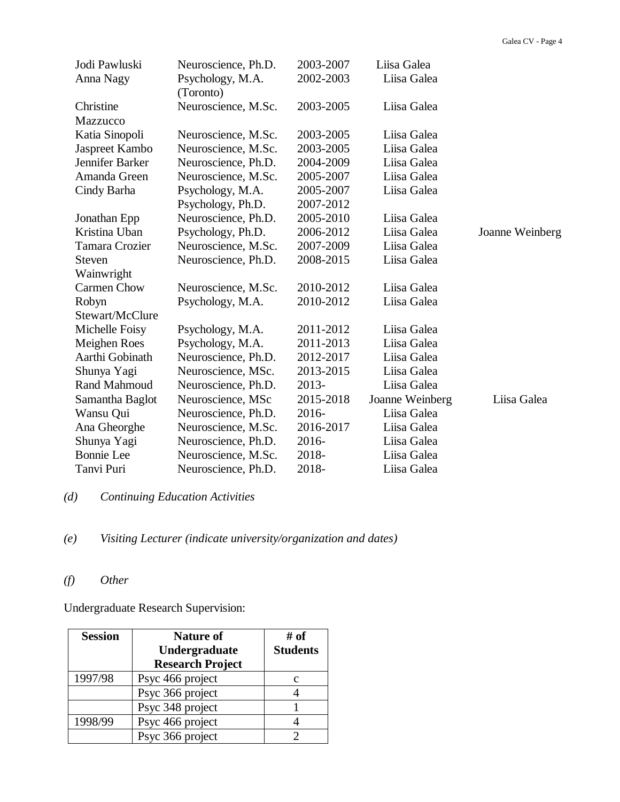| Jodi Pawluski         | Neuroscience, Ph.D.           | 2003-2007 | Liisa Galea     |                 |
|-----------------------|-------------------------------|-----------|-----------------|-----------------|
| Anna Nagy             | Psychology, M.A.<br>(Toronto) | 2002-2003 | Liisa Galea     |                 |
| Christine             | Neuroscience, M.Sc.           | 2003-2005 | Liisa Galea     |                 |
| Mazzucco              |                               |           |                 |                 |
| Katia Sinopoli        | Neuroscience, M.Sc.           | 2003-2005 | Liisa Galea     |                 |
| Jaspreet Kambo        | Neuroscience, M.Sc.           | 2003-2005 | Liisa Galea     |                 |
| Jennifer Barker       | Neuroscience, Ph.D.           | 2004-2009 | Liisa Galea     |                 |
| Amanda Green          | Neuroscience, M.Sc.           | 2005-2007 | Liisa Galea     |                 |
| Cindy Barha           | Psychology, M.A.              | 2005-2007 | Liisa Galea     |                 |
|                       | Psychology, Ph.D.             | 2007-2012 |                 |                 |
| Jonathan Epp          | Neuroscience, Ph.D.           | 2005-2010 | Liisa Galea     |                 |
| Kristina Uban         | Psychology, Ph.D.             | 2006-2012 | Liisa Galea     | Joanne Weinberg |
| <b>Tamara Crozier</b> | Neuroscience, M.Sc.           | 2007-2009 | Liisa Galea     |                 |
| Steven                | Neuroscience, Ph.D.           | 2008-2015 | Liisa Galea     |                 |
| Wainwright            |                               |           |                 |                 |
| <b>Carmen Chow</b>    | Neuroscience, M.Sc.           | 2010-2012 | Liisa Galea     |                 |
| Robyn                 | Psychology, M.A.              | 2010-2012 | Liisa Galea     |                 |
| Stewart/McClure       |                               |           |                 |                 |
| Michelle Foisy        | Psychology, M.A.              | 2011-2012 | Liisa Galea     |                 |
| Meighen Roes          | Psychology, M.A.              | 2011-2013 | Liisa Galea     |                 |
| Aarthi Gobinath       | Neuroscience, Ph.D.           | 2012-2017 | Liisa Galea     |                 |
| Shunya Yagi           | Neuroscience, MSc.            | 2013-2015 | Liisa Galea     |                 |
| Rand Mahmoud          | Neuroscience, Ph.D.           | 2013-     | Liisa Galea     |                 |
| Samantha Baglot       | Neuroscience, MSc             | 2015-2018 | Joanne Weinberg | Liisa Galea     |
| Wansu Qui             | Neuroscience, Ph.D.           | 2016-     | Liisa Galea     |                 |
| Ana Gheorghe          | Neuroscience, M.Sc.           | 2016-2017 | Liisa Galea     |                 |
| Shunya Yagi           | Neuroscience, Ph.D.           | 2016-     | Liisa Galea     |                 |
| <b>Bonnie</b> Lee     | Neuroscience, M.Sc.           | 2018-     | Liisa Galea     |                 |
| Tanvi Puri            | Neuroscience, Ph.D.           | 2018-     | Liisa Galea     |                 |

*(d) Continuing Education Activities*

*(e) Visiting Lecturer (indicate university/organization and dates)*

# *(f) Other*

Undergraduate Research Supervision:

| <b>Session</b> | <b>Nature of</b>        | # of            |
|----------------|-------------------------|-----------------|
|                | Undergraduate           | <b>Students</b> |
|                | <b>Research Project</b> |                 |
| 1997/98        | Psyc 466 project        |                 |
|                | Psyc 366 project        |                 |
|                | Psyc 348 project        |                 |
| 1998/99        | Psyc 466 project        |                 |
|                | Psyc 366 project        |                 |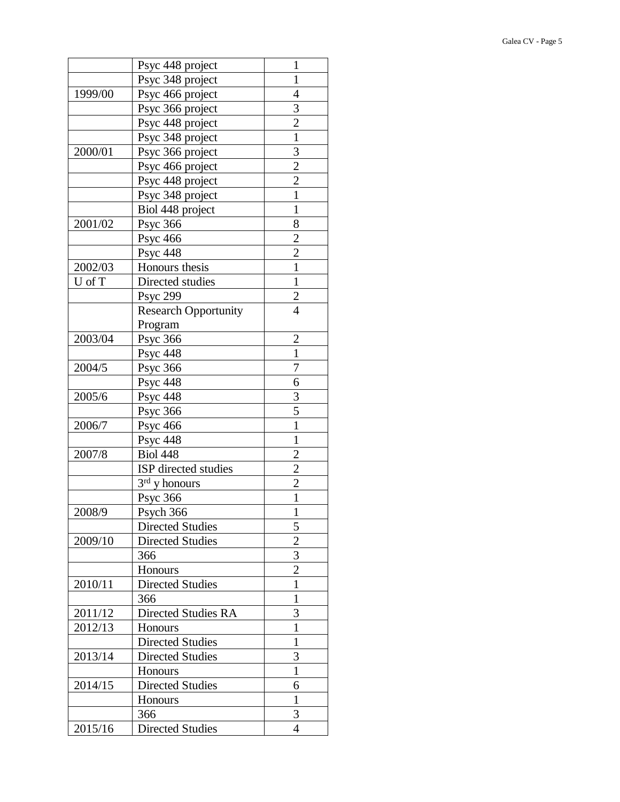|         | Psyc 448 project            | 1              |
|---------|-----------------------------|----------------|
|         | Psyc 348 project            | $\mathbf{1}$   |
| 1999/00 | Psyc 466 project            | 4              |
|         | Psyc 366 project            | 3              |
|         | Psyc 448 project            | $\overline{2}$ |
|         | Psyc 348 project            | $\mathbf{1}$   |
| 2000/01 | Psyc 366 project            | 3              |
|         | Psyc 466 project            | $\overline{c}$ |
|         | Psyc 448 project            | $\overline{2}$ |
|         | Psyc 348 project            | $\mathbf{1}$   |
|         | Biol 448 project            | $\mathbf{1}$   |
| 2001/02 | <b>Psyc 366</b>             | 8              |
|         | <b>Psyc 466</b>             | $\overline{c}$ |
|         | <b>Psyc 448</b>             | $\overline{2}$ |
| 2002/03 | Honours thesis              | $\mathbf{1}$   |
| U of T  | Directed studies            | $\mathbf{1}$   |
|         | <b>Psyc 299</b>             | $\overline{c}$ |
|         | <b>Research Opportunity</b> | $\overline{4}$ |
|         | Program                     |                |
| 2003/04 | <b>Psyc 366</b>             | $\overline{2}$ |
|         | <b>Psyc 448</b>             | 1              |
| 2004/5  | <b>Psyc 366</b>             | 7              |
|         | Psyc 448                    | 6              |
| 2005/6  | <b>Psyc 448</b>             | 3              |
|         | <b>Psyc 366</b>             | 5              |
| 2006/7  | <b>Psyc 466</b>             | $\mathbf{1}$   |
|         | Psyc 448                    | $\mathbf{1}$   |
| 2007/8  | <b>Biol 448</b>             | $\overline{2}$ |
|         | ISP directed studies        | $\overline{2}$ |
|         | $3rd$ y honours             | $\overline{2}$ |
|         | <b>Psyc 366</b>             | 1              |
| 2008/9  | Psych 366                   | $\mathbf{1}$   |
|         | <b>Directed Studies</b>     | 5              |
| 2009/10 | <b>Directed Studies</b>     | $\overline{2}$ |
|         | 366                         | 3              |
|         | Honours                     | $\overline{2}$ |
| 2010/11 | <b>Directed Studies</b>     | $\mathbf{1}$   |
|         | 366                         | $\mathbf{1}$   |
| 2011/12 | Directed Studies RA         | 3              |
| 2012/13 | Honours                     | $\mathbf{1}$   |
|         | <b>Directed Studies</b>     | 1              |
| 2013/14 | <b>Directed Studies</b>     | 3              |
|         | <b>Honours</b>              | 1              |
| 2014/15 | <b>Directed Studies</b>     | 6              |
|         | <b>Honours</b>              | 1              |
|         | 366                         | 3              |
| 2015/16 | <b>Directed Studies</b>     | 4              |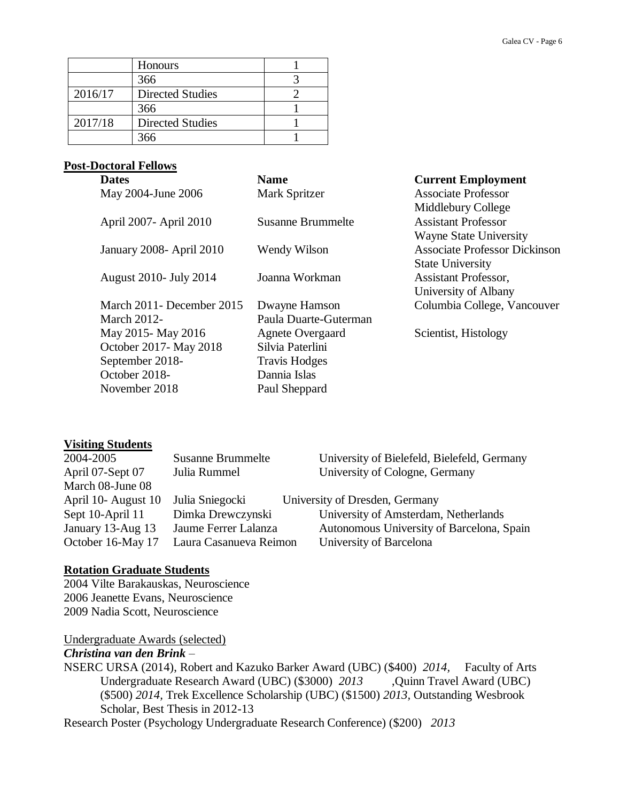|         | Honours                 |  |
|---------|-------------------------|--|
|         | 366                     |  |
| 2016/17 | <b>Directed Studies</b> |  |
|         | 366                     |  |
| 2017/18 | <b>Directed Studies</b> |  |
|         | 366                     |  |

### **Post-Doctoral Fellows**

| <b>Dates</b>                     | <b>Name</b>              | <b>Current Employment</b>            |
|----------------------------------|--------------------------|--------------------------------------|
| May 2004-June 2006               | Mark Spritzer            | <b>Associate Professor</b>           |
|                                  |                          | Middlebury College                   |
| April 2007 - April 2010          | <b>Susanne Brummelte</b> | <b>Assistant Professor</b>           |
|                                  |                          | <b>Wayne State University</b>        |
| <b>January 2008</b> - April 2010 | Wendy Wilson             | <b>Associate Professor Dickinson</b> |
|                                  |                          | <b>State University</b>              |
| <b>August 2010- July 2014</b>    | Joanna Workman           | <b>Assistant Professor,</b>          |
|                                  |                          | University of Albany                 |
| March 2011 - December 2015       | Dwayne Hamson            | Columbia College, Vancouver          |
| March $2012$ -                   | Paula Duarte-Guterman    |                                      |
| May 2015 - May 2016              | <b>Agnete Overgaard</b>  | Scientist, Histology                 |
| October 2017 - May 2018          | Silvia Paterlini         |                                      |
| September 2018-                  | <b>Travis Hodges</b>     |                                      |
| October 2018-                    | Dannia Islas             |                                      |
| November 2018                    | Paul Sheppard            |                                      |

#### **Visiting Students**

| 2004-2005           | <b>Susanne Brummelte</b> | University of Bielefeld, Bielefeld, Germany |
|---------------------|--------------------------|---------------------------------------------|
| April 07-Sept 07    | Julia Rummel             | University of Cologne, Germany              |
| March 08-June 08    |                          |                                             |
| April 10- August 10 | Julia Sniegocki          | University of Dresden, Germany              |
| Sept 10-April 11    | Dimka Drewczynski        | University of Amsterdam, Netherlands        |
| January 13-Aug 13   | Jaume Ferrer Lalanza     | Autonomous University of Barcelona, Spain   |
| October 16-May 17   | Laura Casanueva Reimon   | University of Barcelona                     |

### **Rotation Graduate Students**

2004 Vilte Barakauskas, Neuroscience 2006 Jeanette Evans, Neuroscience 2009 Nadia Scott, Neuroscience

Undergraduate Awards (selected)

### *Christina van den Brink* –

NSERC URSA (2014), Robert and Kazuko Barker Award (UBC) (\$400) *2014,* Faculty of Arts Undergraduate Research Award (UBC) (\$3000) *2013* ,Quinn Travel Award (UBC) (\$500) *2014,* Trek Excellence Scholarship (UBC) (\$1500) *2013,* Outstanding Wesbrook Scholar, Best Thesis in 2012-13

Research Poster (Psychology Undergraduate Research Conference) (\$200) *2013*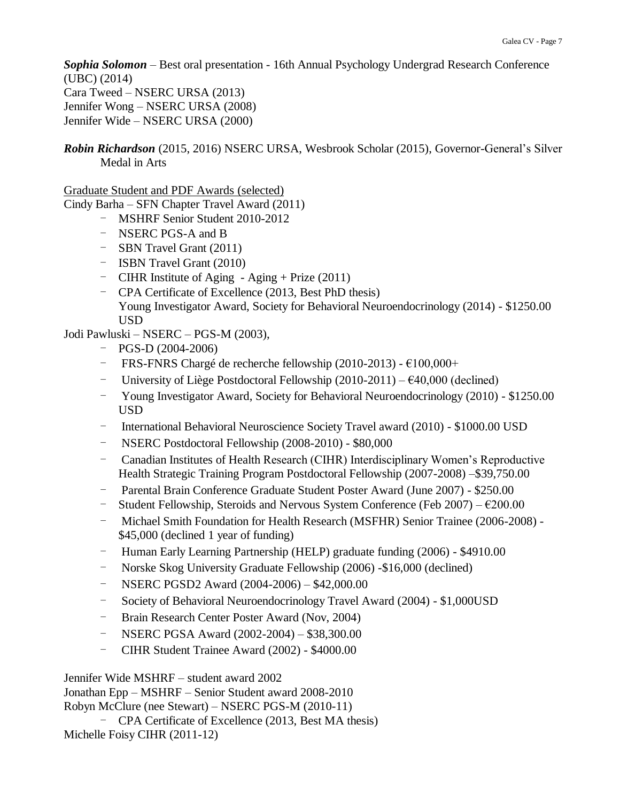*Sophia Solomon* – Best oral presentation - 16th Annual Psychology Undergrad Research Conference (UBC) (2014) Cara Tweed – NSERC URSA (2013) Jennifer Wong – NSERC URSA (2008) Jennifer Wide – NSERC URSA (2000)

### *Robin Richardson* (2015, 2016) NSERC URSA, Wesbrook Scholar (2015), Governor-General's Silver Medal in Arts

Graduate Student and PDF Awards (selected)

Cindy Barha – SFN Chapter Travel Award (2011)

- MSHRF Senior Student 2010-2012
- NSERC PGS-A and B
- SBN Travel Grant (2011)
- ISBN Travel Grant (2010)
- CIHR Institute of Aging Aging + Prize (2011)
- CPA Certificate of Excellence (2013, Best PhD thesis) Young Investigator Award, Society for Behavioral Neuroendocrinology (2014) - \$1250.00 USD

Jodi Pawluski – NSERC – PGS-M (2003),

- PGS-D (2004-2006)
- FRS-FNRS Chargé de recherche fellowship (2010-2013) €100,000+
- University of Liège Postdoctoral Fellowship  $(2010-2011) \epsilon 40,000$  (declined)
- Young Investigator Award, Society for Behavioral Neuroendocrinology (2010) \$1250.00 USD
- International Behavioral Neuroscience Society Travel award (2010) \$1000.00 USD
- NSERC Postdoctoral Fellowship (2008-2010) \$80,000
- Canadian Institutes of Health Research (CIHR) Interdisciplinary Women's Reproductive Health Strategic Training Program Postdoctoral Fellowship (2007-2008) –\$39,750.00
- Parental Brain Conference Graduate Student Poster Award (June 2007) \$250.00
- Student Fellowship, Steroids and Nervous System Conference (Feb  $2007$ )  $6200.00$
- Michael Smith Foundation for Health Research (MSFHR) Senior Trainee (2006-2008) \$45,000 (declined 1 year of funding)
- Human Early Learning Partnership (HELP) graduate funding (2006) \$4910.00
- Norske Skog University Graduate Fellowship (2006) -\$16,000 (declined)
- NSERC PGSD2 Award (2004-2006) \$42,000.00
- Society of Behavioral Neuroendocrinology Travel Award (2004) \$1,000USD
- Brain Research Center Poster Award (Nov, 2004)
- NSERC PGSA Award (2002-2004) \$38,300.00
- CIHR Student Trainee Award (2002) \$4000.00

Jennifer Wide MSHRF – student award 2002 Jonathan Epp – MSHRF – Senior Student award 2008-2010 Robyn McClure (nee Stewart) – NSERC PGS-M (2010-11)

- CPA Certificate of Excellence (2013, Best MA thesis) Michelle Foisy CIHR (2011-12)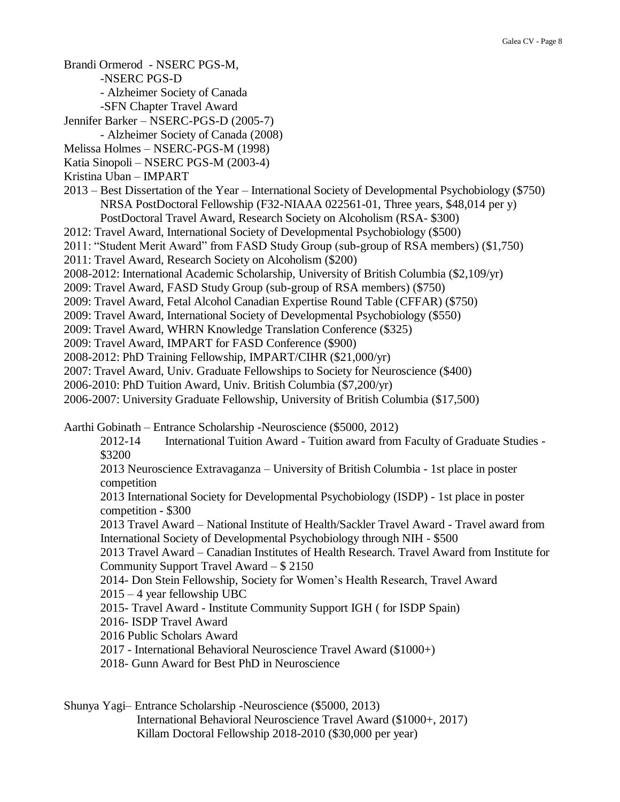Brandi Ormerod - NSERC PGS-M,

- -NSERC PGS-D
- Alzheimer Society of Canada
- -SFN Chapter Travel Award
- Jennifer Barker NSERC-PGS-D (2005-7)
	- Alzheimer Society of Canada (2008)
- Melissa Holmes NSERC-PGS-M (1998)
- Katia Sinopoli NSERC PGS-M (2003-4)
- Kristina Uban IMPART
- 2013 Best Dissertation of the Year International Society of Developmental Psychobiology (\$750) NRSA PostDoctoral Fellowship (F32-NIAAA 022561-01, Three years, \$48,014 per y) PostDoctoral Travel Award, Research Society on Alcoholism (RSA- \$300)
- 2012: Travel Award, International Society of Developmental Psychobiology (\$500)
- 2011: "Student Merit Award" from FASD Study Group (sub-group of RSA members) (\$1,750)
- 2011: Travel Award, Research Society on Alcoholism (\$200)
- 
- 2008-2012: International Academic Scholarship, University of British Columbia (\$2,109/yr)
- 2009: Travel Award, FASD Study Group (sub-group of RSA members) (\$750)
- 2009: Travel Award, Fetal Alcohol Canadian Expertise Round Table (CFFAR) (\$750)
- 2009: Travel Award, International Society of Developmental Psychobiology (\$550)
- 2009: Travel Award, WHRN Knowledge Translation Conference (\$325)
- 2009: Travel Award, IMPART for FASD Conference (\$900)
- 2008-2012: PhD Training Fellowship, IMPART/CIHR (\$21,000/yr)
- 2007: Travel Award, Univ. Graduate Fellowships to Society for Neuroscience (\$400)
- 2006-2010: PhD Tuition Award, Univ. British Columbia (\$7,200/yr)
- 2006-2007: University Graduate Fellowship, University of British Columbia (\$17,500)

Aarthi Gobinath – Entrance Scholarship -Neuroscience (\$5000, 2012)

- 2012-14 International Tuition Award Tuition award from Faculty of Graduate Studies \$3200
- 2013 Neuroscience Extravaganza University of British Columbia 1st place in poster competition

2013 International Society for Developmental Psychobiology (ISDP) - 1st place in poster competition - \$300

2013 Travel Award – National Institute of Health/Sackler Travel Award - Travel award from International Society of Developmental Psychobiology through NIH - \$500

2013 Travel Award – Canadian Institutes of Health Research. Travel Award from Institute for Community Support Travel Award – \$ 2150

2014- Don Stein Fellowship, Society for Women's Health Research, Travel Award

2015 – 4 year fellowship UBC

2015- Travel Award - Institute Community Support IGH ( for ISDP Spain)

- 2016- ISDP Travel Award
- 2016 Public Scholars Award
- 2017 International Behavioral Neuroscience Travel Award (\$1000+)
- 2018- Gunn Award for Best PhD in Neuroscience

Shunya Yagi– Entrance Scholarship -Neuroscience (\$5000, 2013) International Behavioral Neuroscience Travel Award (\$1000+, 2017) Killam Doctoral Fellowship 2018-2010 (\$30,000 per year)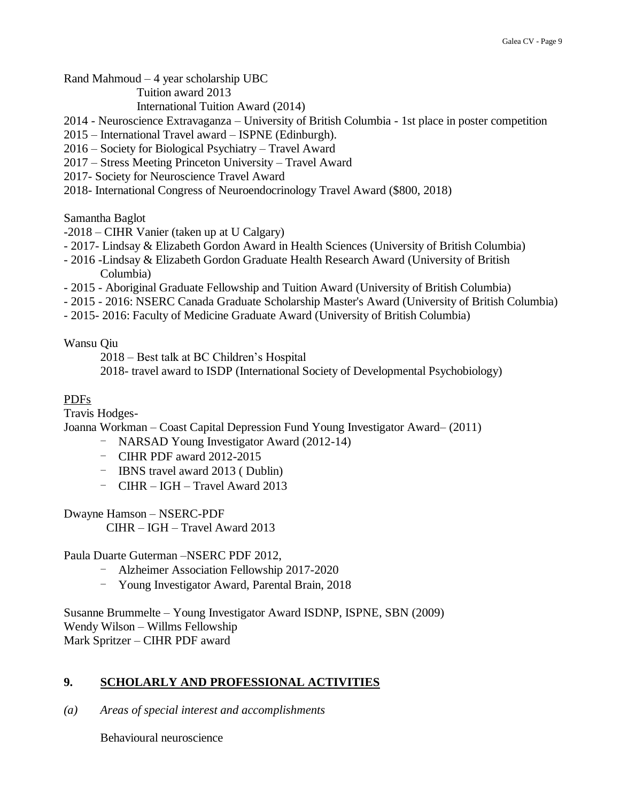Rand Mahmoud – 4 year scholarship UBC

Tuition award 2013

International Tuition Award (2014)

2014 - Neuroscience Extravaganza – University of British Columbia - 1st place in poster competition

- 2015 International Travel award ISPNE (Edinburgh).
- 2016 Society for Biological Psychiatry Travel Award
- 2017 Stress Meeting Princeton University Travel Award
- 2017- Society for Neuroscience Travel Award
- 2018- International Congress of Neuroendocrinology Travel Award (\$800, 2018)

Samantha Baglot

- -2018 CIHR Vanier (taken up at U Calgary)
- 2017- Lindsay & Elizabeth Gordon Award in Health Sciences (University of British Columbia)
- 2016 -Lindsay & Elizabeth Gordon Graduate Health Research Award (University of British Columbia)
- 2015 Aboriginal Graduate Fellowship and Tuition Award (University of British Columbia)
- 2015 2016: NSERC Canada Graduate Scholarship Master's Award (University of British Columbia)
- 2015- 2016: Faculty of Medicine Graduate Award (University of British Columbia)

Wansu Qiu

2018 – Best talk at BC Children's Hospital

2018- travel award to ISDP (International Society of Developmental Psychobiology)

### PDFs

Travis Hodges-

Joanna Workman – Coast Capital Depression Fund Young Investigator Award– (2011)

- NARSAD Young Investigator Award (2012-14)
- CIHR PDF award 2012-2015
- IBNS travel award 2013 ( Dublin)
- CIHR IGH Travel Award 2013

Dwayne Hamson – NSERC-PDF

CIHR – IGH – Travel Award 2013

Paula Duarte Guterman –NSERC PDF 2012,

- Alzheimer Association Fellowship 2017-2020
- Young Investigator Award, Parental Brain, 2018

Susanne Brummelte – Young Investigator Award ISDNP, ISPNE, SBN (2009) Wendy Wilson – Willms Fellowship Mark Spritzer – CIHR PDF award

## **9. SCHOLARLY AND PROFESSIONAL ACTIVITIES**

*(a) Areas of special interest and accomplishments*

Behavioural neuroscience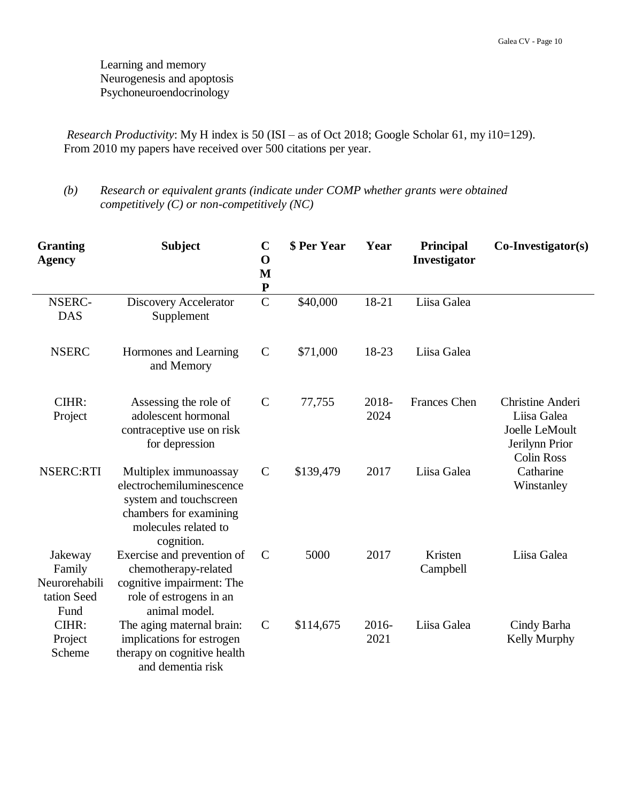Learning and memory Neurogenesis and apoptosis Psychoneuroendocrinology

*Research Productivity*: My H index is 50 (ISI – as of Oct 2018; Google Scholar 61, my i10=129). From 2010 my papers have received over 500 citations per year.

*(b) Research or equivalent grants (indicate under COMP whether grants were obtained competitively (C) or non-competitively (NC)*

| <b>Granting</b><br><b>Agency</b>                          | <b>Subject</b>                                                                                                                              | $\mathbf C$<br>$\mathbf 0$<br>M<br>${\bf P}$ | \$ Per Year | Year          | Principal<br>Investigator | $Co\text{-}Investigator(s)$                                                              |
|-----------------------------------------------------------|---------------------------------------------------------------------------------------------------------------------------------------------|----------------------------------------------|-------------|---------------|---------------------------|------------------------------------------------------------------------------------------|
| NSERC-<br><b>DAS</b>                                      | <b>Discovery Accelerator</b><br>Supplement                                                                                                  | $\overline{C}$                               | \$40,000    | 18-21         | Liisa Galea               |                                                                                          |
| <b>NSERC</b>                                              | Hormones and Learning<br>and Memory                                                                                                         | $\mathsf{C}$                                 | \$71,000    | 18-23         | Liisa Galea               |                                                                                          |
| CIHR:<br>Project                                          | Assessing the role of<br>adolescent hormonal<br>contraceptive use on risk<br>for depression                                                 | $\mathsf{C}$                                 | 77,755      | 2018-<br>2024 | <b>Frances</b> Chen       | Christine Anderi<br>Liisa Galea<br>Joelle LeMoult<br>Jerilynn Prior<br><b>Colin Ross</b> |
| <b>NSERC:RTI</b>                                          | Multiplex immunoassay<br>electrochemiluminescence<br>system and touchscreen<br>chambers for examining<br>molecules related to<br>cognition. | $\mathcal{C}$                                | \$139,479   | 2017          | Liisa Galea               | Catharine<br>Winstanley                                                                  |
| Jakeway<br>Family<br>Neurorehabili<br>tation Seed<br>Fund | Exercise and prevention of<br>chemotherapy-related<br>cognitive impairment: The<br>role of estrogens in an<br>animal model.                 | $\mathcal{C}$                                | 5000        | 2017          | Kristen<br>Campbell       | Liisa Galea                                                                              |
| CIHR:<br>Project<br>Scheme                                | The aging maternal brain:<br>implications for estrogen<br>therapy on cognitive health<br>and dementia risk                                  | $\mathcal{C}$                                | \$114,675   | 2016-<br>2021 | Liisa Galea               | Cindy Barha<br>Kelly Murphy                                                              |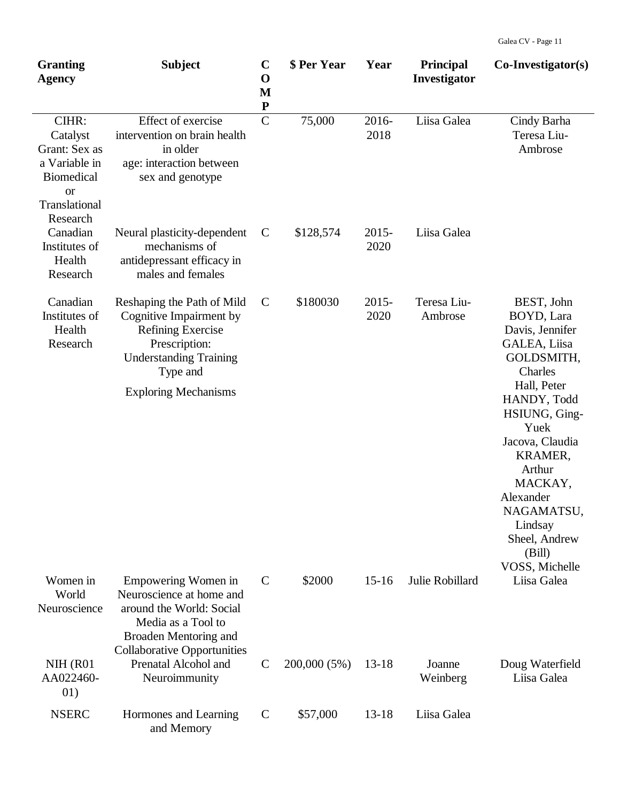| <b>Granting</b><br><b>Agency</b>                                                                       | <b>Subject</b>                                                                                                                                                                 | $\mathbf C$<br>$\mathbf 0$<br>M<br>${\bf P}$ | \$ Per Year  | Year             | <b>Principal</b><br>Investigator | $Co\text{-}Investigator(s)$                                                                                                                                                                                                                                                       |
|--------------------------------------------------------------------------------------------------------|--------------------------------------------------------------------------------------------------------------------------------------------------------------------------------|----------------------------------------------|--------------|------------------|----------------------------------|-----------------------------------------------------------------------------------------------------------------------------------------------------------------------------------------------------------------------------------------------------------------------------------|
| CIHR:<br>Catalyst<br>Grant: Sex as<br>a Variable in<br><b>Biomedical</b><br><b>or</b><br>Translational | Effect of exercise<br>intervention on brain health<br>in older<br>age: interaction between<br>sex and genotype                                                                 | $\overline{C}$                               | 75,000       | 2016-<br>2018    | Liisa Galea                      | Cindy Barha<br>Teresa Liu-<br>Ambrose                                                                                                                                                                                                                                             |
| Research<br>Canadian<br>Institutes of<br>Health<br>Research                                            | Neural plasticity-dependent<br>mechanisms of<br>antidepressant efficacy in<br>males and females                                                                                | $\mathbf C$                                  | \$128,574    | $2015 -$<br>2020 | Liisa Galea                      |                                                                                                                                                                                                                                                                                   |
| Canadian<br>Institutes of<br>Health<br>Research                                                        | Reshaping the Path of Mild<br>Cognitive Impairment by<br><b>Refining Exercise</b><br>Prescription:<br><b>Understanding Training</b><br>Type and<br><b>Exploring Mechanisms</b> | $\mathbf C$                                  | \$180030     | $2015 -$<br>2020 | Teresa Liu-<br>Ambrose           | BEST, John<br>BOYD, Lara<br>Davis, Jennifer<br>GALEA, Liisa<br>GOLDSMITH,<br>Charles<br>Hall, Peter<br>HANDY, Todd<br>HSIUNG, Ging-<br>Yuek<br>Jacova, Claudia<br>KRAMER,<br>Arthur<br>MACKAY,<br>Alexander<br>NAGAMATSU,<br>Lindsay<br>Sheel, Andrew<br>(Bill)<br>VOSS, Michelle |
| Women in<br>World<br>Neuroscience                                                                      | Empowering Women in<br>Neuroscience at home and<br>around the World: Social<br>Media as a Tool to<br>Broaden Mentoring and<br><b>Collaborative Opportunities</b>               | $\mathcal{C}$                                | \$2000       | $15 - 16$        | Julie Robillard                  | Liisa Galea                                                                                                                                                                                                                                                                       |
| NIH (R01<br>AA022460-<br>01)                                                                           | Prenatal Alcohol and<br>Neuroimmunity                                                                                                                                          | $\mathcal{C}$                                | 200,000 (5%) | $13-18$          | Joanne<br>Weinberg               | Doug Waterfield<br>Liisa Galea                                                                                                                                                                                                                                                    |
| <b>NSERC</b>                                                                                           | Hormones and Learning<br>and Memory                                                                                                                                            | $\mathbf C$                                  | \$57,000     | $13 - 18$        | Liisa Galea                      |                                                                                                                                                                                                                                                                                   |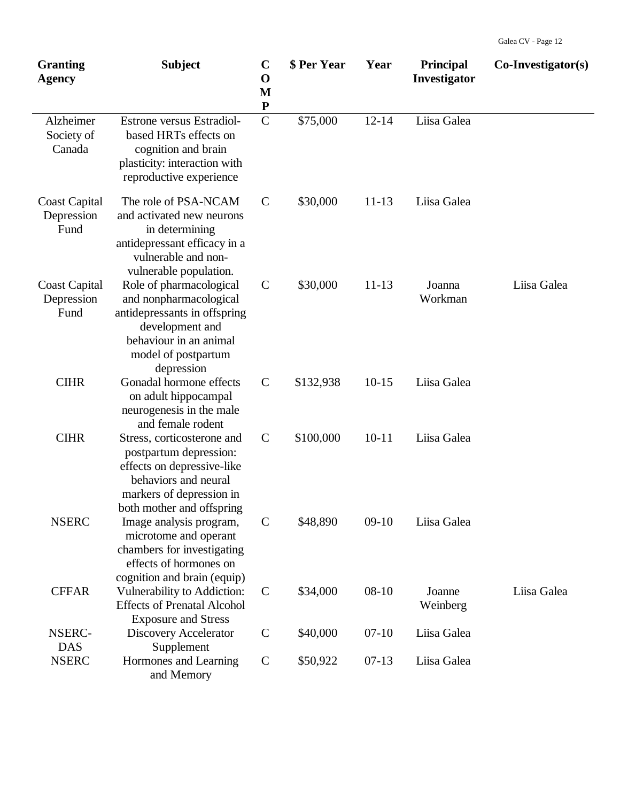| <b>Granting</b><br><b>Agency</b>           | <b>Subject</b>                                                                                                                                                      | $\mathbf C$<br>$\mathbf 0$<br>M<br>${\bf P}$ | \$ Per Year | Year      | <b>Principal</b><br>Investigator | $Co\text{-}Investigator(s)$ |
|--------------------------------------------|---------------------------------------------------------------------------------------------------------------------------------------------------------------------|----------------------------------------------|-------------|-----------|----------------------------------|-----------------------------|
| Alzheimer<br>Society of<br>Canada          | Estrone versus Estradiol-<br>based HRTs effects on<br>cognition and brain<br>plasticity: interaction with<br>reproductive experience                                | $\mathbf C$                                  | \$75,000    | $12 - 14$ | Liisa Galea                      |                             |
| <b>Coast Capital</b><br>Depression<br>Fund | The role of PSA-NCAM<br>and activated new neurons<br>in determining<br>antidepressant efficacy in a<br>vulnerable and non-<br>vulnerable population.                | $\mathcal{C}$                                | \$30,000    | $11 - 13$ | Liisa Galea                      |                             |
| <b>Coast Capital</b><br>Depression<br>Fund | Role of pharmacological<br>and nonpharmacological<br>antidepressants in offspring<br>development and<br>behaviour in an animal<br>model of postpartum<br>depression | $\mathsf{C}$                                 | \$30,000    | $11 - 13$ | Joanna<br>Workman                | Liisa Galea                 |
| <b>CIHR</b>                                | Gonadal hormone effects<br>on adult hippocampal<br>neurogenesis in the male<br>and female rodent                                                                    | $\mathcal{C}$                                | \$132,938   | $10-15$   | Liisa Galea                      |                             |
| <b>CIHR</b>                                | Stress, corticosterone and<br>postpartum depression:<br>effects on depressive-like<br>behaviors and neural<br>markers of depression in<br>both mother and offspring | $\mathsf{C}$                                 | \$100,000   | $10 - 11$ | Liisa Galea                      |                             |
| <b>NSERC</b>                               | Image analysis program,<br>microtome and operant<br>chambers for investigating<br>effects of hormones on<br>cognition and brain (equip)                             | $\mathsf{C}$                                 | \$48,890    | $09-10$   | Liisa Galea                      |                             |
| <b>CFFAR</b>                               | Vulnerability to Addiction:<br><b>Effects of Prenatal Alcohol</b><br><b>Exposure and Stress</b>                                                                     | $\mathcal{C}$                                | \$34,000    | $08 - 10$ | Joanne<br>Weinberg               | Liisa Galea                 |
| NSERC-<br><b>DAS</b>                       | <b>Discovery Accelerator</b><br>Supplement                                                                                                                          | $\mathsf{C}$                                 | \$40,000    | $07-10$   | Liisa Galea                      |                             |
| <b>NSERC</b>                               | Hormones and Learning<br>and Memory                                                                                                                                 | $\mathbf C$                                  | \$50,922    | $07-13$   | Liisa Galea                      |                             |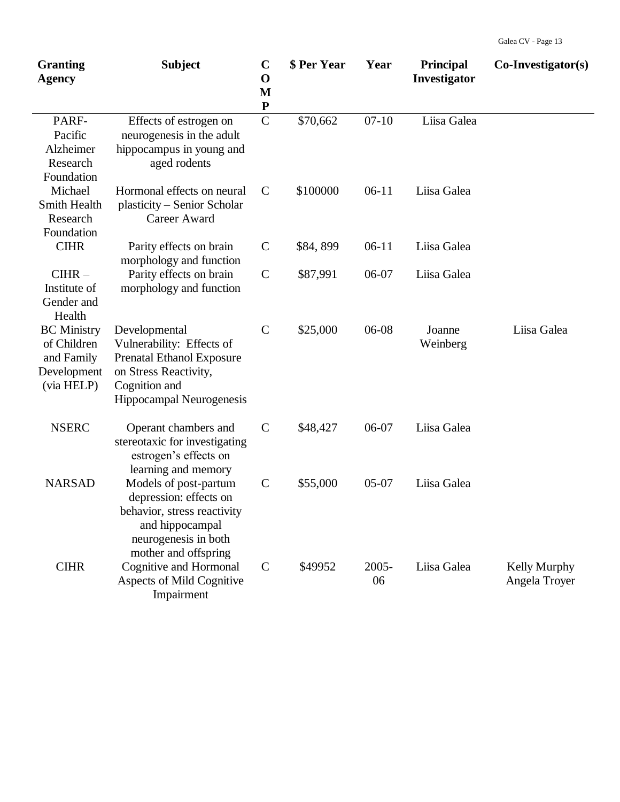| <b>Granting</b><br><b>Agency</b>                                             | <b>Subject</b>                                                                                                                                       | $\mathbf C$<br>$\mathbf 0$<br>M<br>${\bf P}$ | \$ Per Year | Year        | <b>Principal</b><br>Investigator | $Co\text{-}Investigator(s)$          |
|------------------------------------------------------------------------------|------------------------------------------------------------------------------------------------------------------------------------------------------|----------------------------------------------|-------------|-------------|----------------------------------|--------------------------------------|
| PARF-<br>Pacific<br>Alzheimer<br>Research<br>Foundation                      | Effects of estrogen on<br>neurogenesis in the adult<br>hippocampus in young and<br>aged rodents                                                      | $\mathcal{C}$                                | \$70,662    | $07-10$     | Liisa Galea                      |                                      |
| Michael<br>Smith Health<br>Research<br>Foundation                            | Hormonal effects on neural<br>plasticity – Senior Scholar<br>Career Award                                                                            | $\mathcal{C}$                                | \$100000    | $06-11$     | Liisa Galea                      |                                      |
| <b>CIHR</b>                                                                  | Parity effects on brain<br>morphology and function                                                                                                   | $\mathsf{C}$                                 | \$84,899    | $06-11$     | Liisa Galea                      |                                      |
| $CHR -$<br>Institute of<br>Gender and<br>Health                              | Parity effects on brain<br>morphology and function                                                                                                   | $\mathsf{C}$                                 | \$87,991    | 06-07       | Liisa Galea                      |                                      |
| <b>BC</b> Ministry<br>of Children<br>and Family<br>Development<br>(via HELP) | Developmental<br>Vulnerability: Effects of<br><b>Prenatal Ethanol Exposure</b><br>on Stress Reactivity,<br>Cognition and<br>Hippocampal Neurogenesis | $\mathbf C$                                  | \$25,000    | 06-08       | Joanne<br>Weinberg               | Liisa Galea                          |
| <b>NSERC</b>                                                                 | Operant chambers and<br>stereotaxic for investigating<br>estrogen's effects on<br>learning and memory                                                | $\mathsf{C}$                                 | \$48,427    | 06-07       | Liisa Galea                      |                                      |
| <b>NARSAD</b>                                                                | Models of post-partum<br>depression: effects on<br>behavior, stress reactivity<br>and hippocampal<br>neurogenesis in both<br>mother and offspring    | $\mathsf{C}$                                 | \$55,000    | $05-07$     | Liisa Galea                      |                                      |
| <b>CIHR</b>                                                                  | Cognitive and Hormonal<br>Aspects of Mild Cognitive<br>Impairment                                                                                    | $\mathcal{C}$                                | \$49952     | 2005-<br>06 | Liisa Galea                      | <b>Kelly Murphy</b><br>Angela Troyer |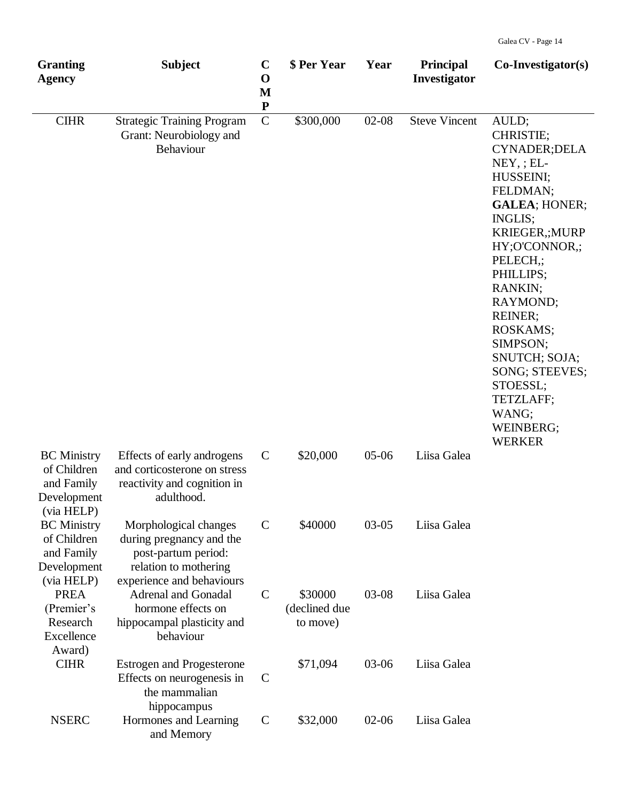| <b>Granting</b><br><b>Agency</b>                                             | <b>Subject</b>                                                                                                                 | $\mathbf C$<br>$\mathbf 0$<br>M<br>${\bf P}$ | \$ Per Year                          | Year      | <b>Principal</b><br>Investigator | $Co\text{-}Investigator(s)$                                                                                                                                                                                                                                                                                                                                   |
|------------------------------------------------------------------------------|--------------------------------------------------------------------------------------------------------------------------------|----------------------------------------------|--------------------------------------|-----------|----------------------------------|---------------------------------------------------------------------------------------------------------------------------------------------------------------------------------------------------------------------------------------------------------------------------------------------------------------------------------------------------------------|
| <b>CIHR</b>                                                                  | <b>Strategic Training Program</b><br>Grant: Neurobiology and<br>Behaviour                                                      | $\mathbf C$                                  | \$300,000                            | $02-08$   | <b>Steve Vincent</b>             | AULD;<br>CHRISTIE;<br>CYNADER; DELA<br>$NEY$ , ; $EL-$<br>HUSSEINI;<br>FELDMAN;<br><b>GALEA; HONER;</b><br>INGLIS;<br>KRIEGER,; MURP<br>HY;O'CONNOR,;<br>PELECH <sub>;</sub><br>PHILLIPS;<br>RANKIN;<br>RAYMOND;<br>REINER;<br><b>ROSKAMS:</b><br>SIMPSON;<br>SNUTCH; SOJA;<br>SONG; STEEVES;<br>STOESSL;<br>TETZLAFF;<br>WANG;<br>WEINBERG;<br><b>WERKER</b> |
| <b>BC</b> Ministry<br>of Children<br>and Family<br>Development<br>(via HELP) | Effects of early androgens<br>and corticosterone on stress<br>reactivity and cognition in<br>adulthood.                        | $\mathcal{C}$                                | \$20,000                             | $05-06$   | Liisa Galea                      |                                                                                                                                                                                                                                                                                                                                                               |
| <b>BC</b> Ministry<br>of Children<br>and Family<br>Development<br>(via HELP) | Morphological changes<br>during pregnancy and the<br>post-partum period:<br>relation to mothering<br>experience and behaviours | $\mathsf{C}$                                 | \$40000                              | $03-05$   | Liisa Galea                      |                                                                                                                                                                                                                                                                                                                                                               |
| <b>PREA</b><br>(Premier's<br>Research<br>Excellence<br>Award)                | <b>Adrenal and Gonadal</b><br>hormone effects on<br>hippocampal plasticity and<br>behaviour                                    | $\mathsf{C}$                                 | \$30000<br>(declined due<br>to move) | 03-08     | Liisa Galea                      |                                                                                                                                                                                                                                                                                                                                                               |
| <b>CIHR</b>                                                                  | <b>Estrogen and Progesterone</b><br>Effects on neurogenesis in<br>the mammalian<br>hippocampus                                 | $\mathbf C$                                  | \$71,094                             | 03-06     | Liisa Galea                      |                                                                                                                                                                                                                                                                                                                                                               |
| <b>NSERC</b>                                                                 | Hormones and Learning<br>and Memory                                                                                            | $\mathbf C$                                  | \$32,000                             | $02 - 06$ | Liisa Galea                      |                                                                                                                                                                                                                                                                                                                                                               |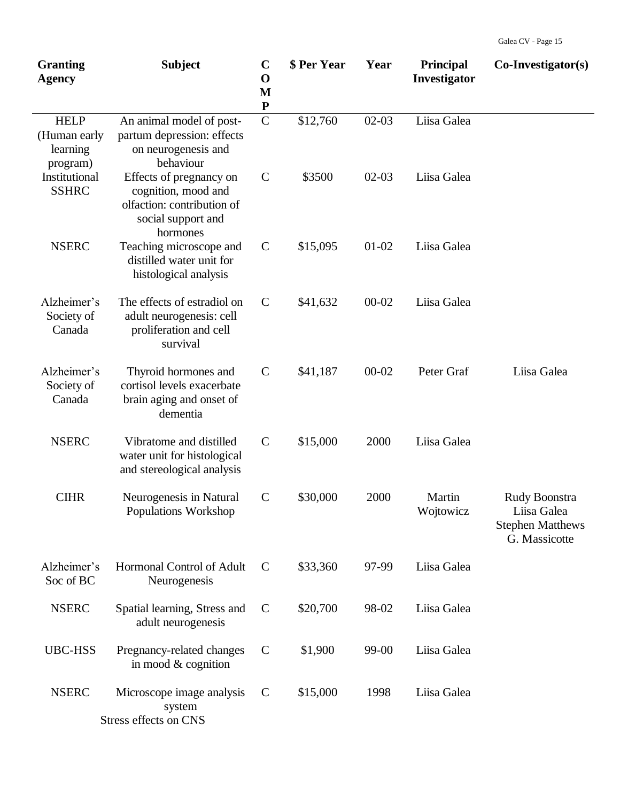| <b>Granting</b><br><b>Agency</b>                    | <b>Subject</b>                                                                                                 | $\mathbf C$<br>$\mathbf 0$<br>M<br>${\bf P}$ | \$ Per Year | Year      | <b>Principal</b><br>Investigator | $Co\text{-}Investigator(s)$                                              |
|-----------------------------------------------------|----------------------------------------------------------------------------------------------------------------|----------------------------------------------|-------------|-----------|----------------------------------|--------------------------------------------------------------------------|
| <b>HELP</b><br>(Human early<br>learning<br>program) | An animal model of post-<br>partum depression: effects<br>on neurogenesis and<br>behaviour                     | $\mathcal{C}$                                | \$12,760    | $02-03$   | Liisa Galea                      |                                                                          |
| Institutional<br><b>SSHRC</b>                       | Effects of pregnancy on<br>cognition, mood and<br>olfaction: contribution of<br>social support and<br>hormones | $\mathbf C$                                  | \$3500      | $02 - 03$ | Liisa Galea                      |                                                                          |
| <b>NSERC</b>                                        | Teaching microscope and<br>distilled water unit for<br>histological analysis                                   | $\mathbf C$                                  | \$15,095    | $01 - 02$ | Liisa Galea                      |                                                                          |
| Alzheimer's<br>Society of<br>Canada                 | The effects of estradiol on<br>adult neurogenesis: cell<br>proliferation and cell<br>survival                  | $\mathbf C$                                  | \$41,632    | $00 - 02$ | Liisa Galea                      |                                                                          |
| Alzheimer's<br>Society of<br>Canada                 | Thyroid hormones and<br>cortisol levels exacerbate<br>brain aging and onset of<br>dementia                     | $\mathbf C$                                  | \$41,187    | $00 - 02$ | Peter Graf                       | Liisa Galea                                                              |
| <b>NSERC</b>                                        | Vibratome and distilled<br>water unit for histological<br>and stereological analysis                           | $\mathbf C$                                  | \$15,000    | 2000      | Liisa Galea                      |                                                                          |
| <b>CIHR</b>                                         | Neurogenesis in Natural<br><b>Populations Workshop</b>                                                         | $\mathbf C$                                  | \$30,000    | 2000      | Martin<br>Wojtowicz              | Rudy Boonstra<br>Liisa Galea<br><b>Stephen Matthews</b><br>G. Massicotte |
| Alzheimer's<br>Soc of BC                            | <b>Hormonal Control of Adult</b><br>Neurogenesis                                                               | $\mathcal{C}$                                | \$33,360    | 97-99     | Liisa Galea                      |                                                                          |
| <b>NSERC</b>                                        | Spatial learning, Stress and<br>adult neurogenesis                                                             | $\mathbf C$                                  | \$20,700    | 98-02     | Liisa Galea                      |                                                                          |
| <b>UBC-HSS</b>                                      | Pregnancy-related changes<br>in mood & cognition                                                               | $\mathbf C$                                  | \$1,900     | 99-00     | Liisa Galea                      |                                                                          |
| <b>NSERC</b>                                        | Microscope image analysis<br>system<br>Stress effects on CNS                                                   | $\mathbf C$                                  | \$15,000    | 1998      | Liisa Galea                      |                                                                          |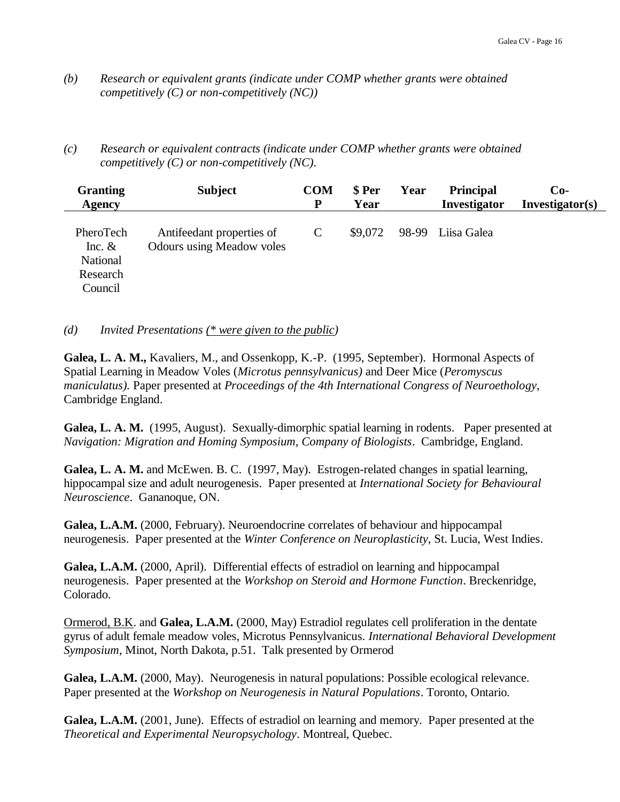- *(b) Research or equivalent grants (indicate under COMP whether grants were obtained competitively (C) or non-competitively (NC))*
- *(c) Research or equivalent contracts (indicate under COMP whether grants were obtained competitively (C) or non-competitively (NC).*

| <b>Granting</b><br><b>Agency</b>                         | <b>Subject</b>                                                | <b>COM</b><br>P | \$ Per<br>Year | Year | <b>Principal</b><br>Investigator | $Co-$<br>Investigator(s) |
|----------------------------------------------------------|---------------------------------------------------------------|-----------------|----------------|------|----------------------------------|--------------------------|
| PheroTech<br>Inc. $&$<br>National<br>Research<br>Council | Antifeedant properties of<br><b>Odours using Meadow voles</b> |                 | \$9,072        |      | 98-99 Liisa Galea                |                          |

*(d) Invited Presentations (\* were given to the public)*

**Galea, L. A. M.,** Kavaliers, M., and Ossenkopp, K.-P. (1995, September). Hormonal Aspects of Spatial Learning in Meadow Voles (*Microtus pennsylvanicus)* and Deer Mice (*Peromyscus maniculatus).* Paper presented at *Proceedings of the 4th International Congress of Neuroethology*, Cambridge England.

**Galea, L. A. M.** (1995, August). Sexually-dimorphic spatial learning in rodents. Paper presented at *Navigation: Migration and Homing Symposium, Company of Biologists*. Cambridge, England.

**Galea, L. A. M.** and McEwen. B. C. (1997, May). Estrogen-related changes in spatial learning, hippocampal size and adult neurogenesis. Paper presented at *International Society for Behavioural Neuroscience*. Gananoque, ON.

**Galea, L.A.M.** (2000, February). Neuroendocrine correlates of behaviour and hippocampal neurogenesis. Paper presented at the *Winter Conference on Neuroplasticity*, St. Lucia, West Indies.

**Galea, L.A.M.** (2000, April). Differential effects of estradiol on learning and hippocampal neurogenesis. Paper presented at the *Workshop on Steroid and Hormone Function*. Breckenridge, Colorado.

Ormerod, B.K. and **Galea, L.A.M.** (2000, May) Estradiol regulates cell proliferation in the dentate gyrus of adult female meadow voles, Microtus Pennsylvanicus. *International Behavioral Development Symposium*, Minot, North Dakota, p.51. Talk presented by Ormerod

**Galea, L.A.M.** (2000, May). Neurogenesis in natural populations: Possible ecological relevance. Paper presented at the *Workshop on Neurogenesis in Natural Populations*. Toronto, Ontario.

**Galea, L.A.M.** (2001, June). Effects of estradiol on learning and memory. Paper presented at the *Theoretical and Experimental Neuropsychology*. Montreal, Quebec.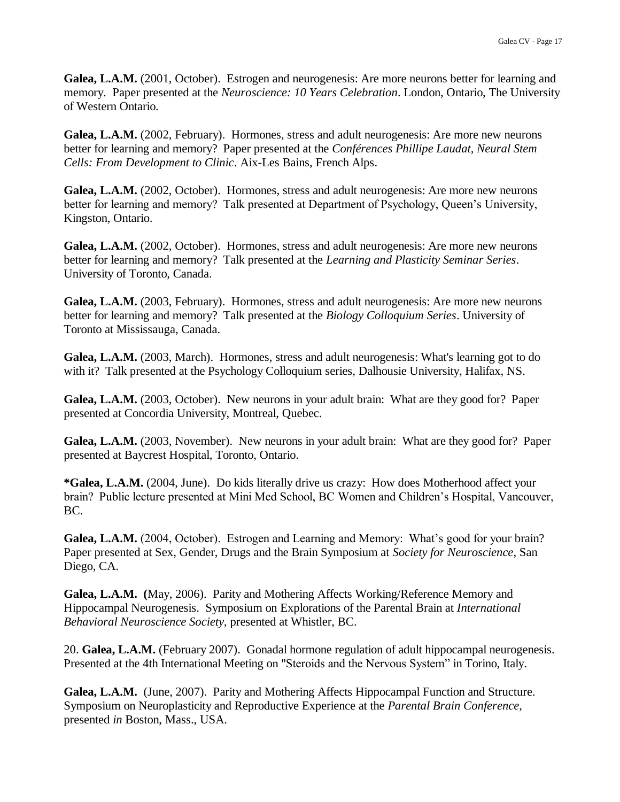Galea, L.A.M. (2001, October). Estrogen and neurogenesis: Are more neurons better for learning and memory. Paper presented at the *Neuroscience: 10 Years Celebration*. London, Ontario, The University of Western Ontario.

**Galea, L.A.M.** (2002, February). Hormones, stress and adult neurogenesis: Are more new neurons better for learning and memory? Paper presented at the *Conférences Phillipe Laudat, Neural Stem Cells: From Development to Clinic*. Aix-Les Bains, French Alps.

Galea, L.A.M. (2002, October). Hormones, stress and adult neurogenesis: Are more new neurons better for learning and memory? Talk presented at Department of Psychology, Queen's University, Kingston, Ontario.

Galea, L.A.M. (2002, October). Hormones, stress and adult neurogenesis: Are more new neurons better for learning and memory? Talk presented at the *Learning and Plasticity Seminar Series*. University of Toronto, Canada.

**Galea, L.A.M.** (2003, February). Hormones, stress and adult neurogenesis: Are more new neurons better for learning and memory? Talk presented at the *Biology Colloquium Series*. University of Toronto at Mississauga, Canada.

**Galea, L.A.M.** (2003, March). Hormones, stress and adult neurogenesis: What's learning got to do with it? Talk presented at the Psychology Colloquium series, Dalhousie University, Halifax, NS.

**Galea, L.A.M.** (2003, October). New neurons in your adult brain: What are they good for? Paper presented at Concordia University, Montreal, Quebec.

**Galea, L.A.M.** (2003, November). New neurons in your adult brain: What are they good for? Paper presented at Baycrest Hospital, Toronto, Ontario.

**\*Galea, L.A.M.** (2004, June). Do kids literally drive us crazy: How does Motherhood affect your brain? Public lecture presented at Mini Med School, BC Women and Children's Hospital, Vancouver, BC.

Galea, L.A.M. (2004, October). Estrogen and Learning and Memory: What's good for your brain? Paper presented at Sex, Gender, Drugs and the Brain Symposium at *Society for Neuroscience*, San Diego, CA.

**Galea, L.A.M. (**May, 2006). Parity and Mothering Affects Working/Reference Memory and Hippocampal Neurogenesis. Symposium on Explorations of the Parental Brain at *International Behavioral Neuroscience Society,* presented at Whistler, BC.

20. **Galea, L.A.M.** (February 2007). Gonadal hormone regulation of adult hippocampal neurogenesis. Presented at the 4th International Meeting on "Steroids and the Nervous System" in Torino, Italy.

**Galea, L.A.M.** (June, 2007). Parity and Mothering Affects Hippocampal Function and Structure. Symposium on Neuroplasticity and Reproductive Experience at the *Parental Brain Conference,* presented *in* Boston, Mass., USA.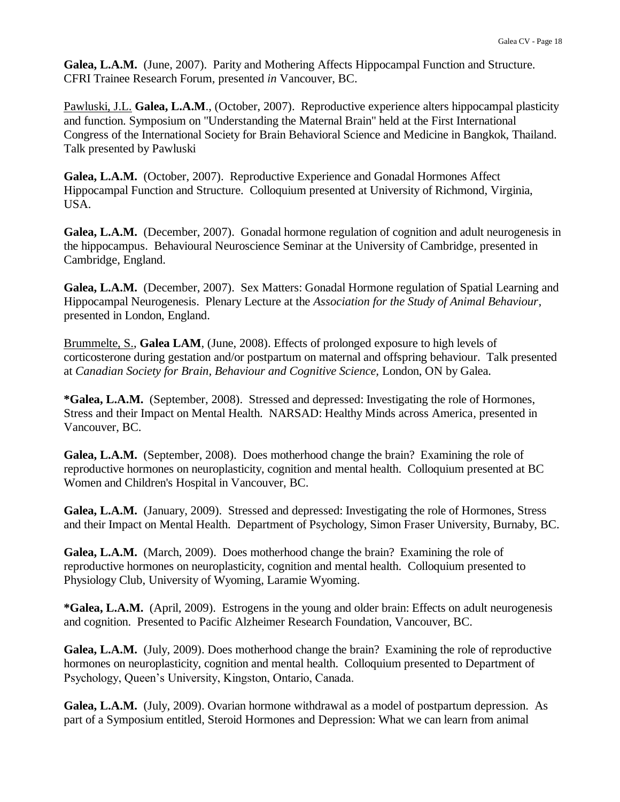Galea, L.A.M. (June, 2007). Parity and Mothering Affects Hippocampal Function and Structure. CFRI Trainee Research Forum*,* presented *in* Vancouver, BC.

Pawluski, J.L. **Galea, L.A.M**., (October, 2007). Reproductive experience alters hippocampal plasticity and function. Symposium on "Understanding the Maternal Brain" held at the First International Congress of the International Society for Brain Behavioral Science and Medicine in Bangkok, Thailand. Talk presented by Pawluski

**Galea, L.A.M.** (October, 2007). Reproductive Experience and Gonadal Hormones Affect Hippocampal Function and Structure. Colloquium presented at University of Richmond, Virginia, USA.

**Galea, L.A.M.** (December, 2007). Gonadal hormone regulation of cognition and adult neurogenesis in the hippocampus. Behavioural Neuroscience Seminar at the University of Cambridge*,* presented in Cambridge, England.

**Galea, L.A.M.** (December, 2007). Sex Matters: Gonadal Hormone regulation of Spatial Learning and Hippocampal Neurogenesis. Plenary Lecture at the *Association for the Study of Animal Behaviour,* presented in London, England.

Brummelte, S., **Galea LAM**, (June, 2008). Effects of prolonged exposure to high levels of corticosterone during gestation and/or postpartum on maternal and offspring behaviour. Talk presented at *Canadian Society for Brain, Behaviour and Cognitive Science,* London, ON by Galea.

**\*Galea, L.A.M.** (September, 2008). Stressed and depressed: Investigating the role of Hormones, Stress and their Impact on Mental Health. NARSAD: Healthy Minds across America*,* presented in Vancouver, BC.

**Galea, L.A.M.** (September, 2008). Does motherhood change the brain? Examining the role of reproductive hormones on neuroplasticity, cognition and mental health. Colloquium presented at BC Women and Children's Hospital in Vancouver, BC.

**Galea, L.A.M.** (January, 2009). Stressed and depressed: Investigating the role of Hormones, Stress and their Impact on Mental Health. Department of Psychology, Simon Fraser University, Burnaby, BC.

**Galea, L.A.M.** (March, 2009). Does motherhood change the brain? Examining the role of reproductive hormones on neuroplasticity, cognition and mental health. Colloquium presented to Physiology Club, University of Wyoming, Laramie Wyoming.

**\*Galea, L.A.M.** (April, 2009). Estrogens in the young and older brain: Effects on adult neurogenesis and cognition. Presented to Pacific Alzheimer Research Foundation, Vancouver, BC.

**Galea, L.A.M.** (July, 2009). Does motherhood change the brain? Examining the role of reproductive hormones on neuroplasticity, cognition and mental health. Colloquium presented to Department of Psychology, Queen's University, Kingston, Ontario, Canada.

**Galea, L.A.M.** (July, 2009). Ovarian hormone withdrawal as a model of postpartum depression. As part of a Symposium entitled, Steroid Hormones and Depression: What we can learn from animal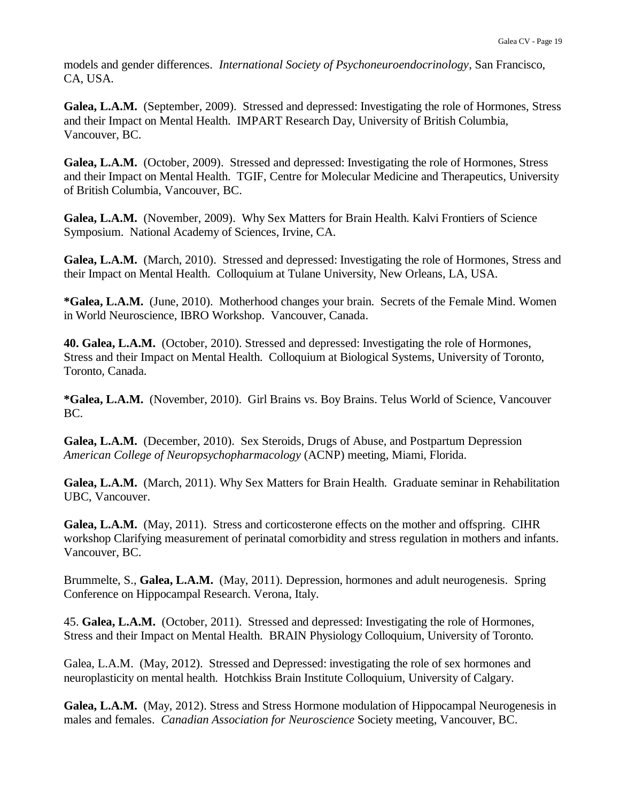models and gender differences. *International Society of Psychoneuroendocrinology*, San Francisco, CA, USA.

**Galea, L.A.M.** (September, 2009). Stressed and depressed: Investigating the role of Hormones, Stress and their Impact on Mental Health. IMPART Research Day, University of British Columbia, Vancouver, BC.

**Galea, L.A.M.** (October, 2009). Stressed and depressed: Investigating the role of Hormones, Stress and their Impact on Mental Health. TGIF, Centre for Molecular Medicine and Therapeutics, University of British Columbia, Vancouver, BC.

**Galea, L.A.M.** (November, 2009). Why Sex Matters for Brain Health. Kalvi Frontiers of Science Symposium. National Academy of Sciences, Irvine, CA.

**Galea, L.A.M.** (March, 2010). Stressed and depressed: Investigating the role of Hormones, Stress and their Impact on Mental Health. Colloquium at Tulane University, New Orleans, LA, USA.

**\*Galea, L.A.M.** (June, 2010). Motherhood changes your brain. Secrets of the Female Mind. Women in World Neuroscience, IBRO Workshop. Vancouver, Canada.

**40. Galea, L.A.M.** (October, 2010). Stressed and depressed: Investigating the role of Hormones, Stress and their Impact on Mental Health. Colloquium at Biological Systems, University of Toronto, Toronto, Canada.

**\*Galea, L.A.M.** (November, 2010). Girl Brains vs. Boy Brains. Telus World of Science, Vancouver BC.

**Galea, L.A.M.** (December, 2010). Sex Steroids, Drugs of Abuse, and Postpartum Depression *American College of Neuropsychopharmacology* (ACNP) meeting, Miami, Florida.

**Galea, L.A.M.** (March, 2011). Why Sex Matters for Brain Health. Graduate seminar in Rehabilitation UBC, Vancouver.

**Galea, L.A.M.** (May, 2011). Stress and corticosterone effects on the mother and offspring. CIHR workshop Clarifying measurement of perinatal comorbidity and stress regulation in mothers and infants. Vancouver, BC.

Brummelte, S., **Galea, L.A.M.** (May, 2011). Depression, hormones and adult neurogenesis. Spring Conference on Hippocampal Research. Verona, Italy.

45. **Galea, L.A.M.** (October, 2011). Stressed and depressed: Investigating the role of Hormones, Stress and their Impact on Mental Health. BRAIN Physiology Colloquium, University of Toronto.

Galea, L.A.M. (May, 2012). Stressed and Depressed: investigating the role of sex hormones and neuroplasticity on mental health. Hotchkiss Brain Institute Colloquium, University of Calgary.

**Galea, L.A.M.** (May, 2012). Stress and Stress Hormone modulation of Hippocampal Neurogenesis in males and females. *Canadian Association for Neuroscience* Society meeting, Vancouver, BC.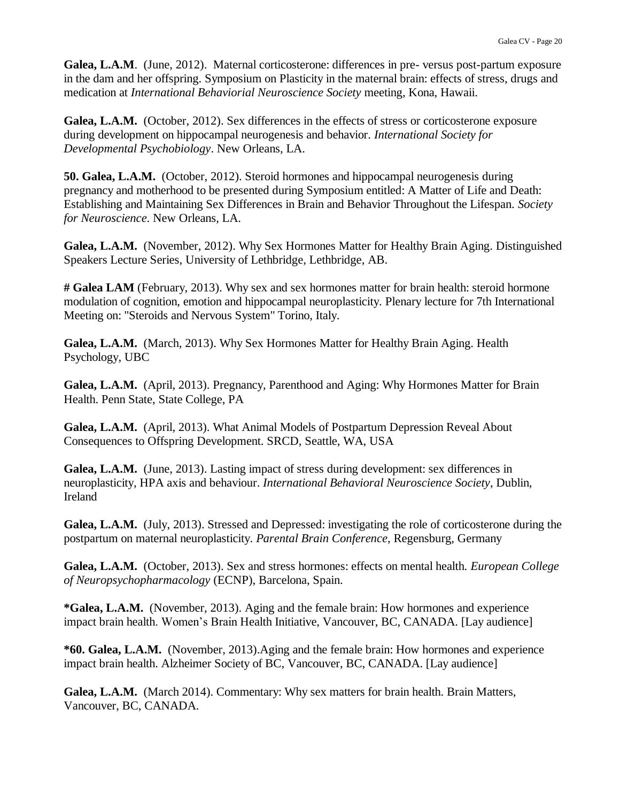**Galea, L.A.M**. (June, 2012). Maternal corticosterone: differences in pre- versus post-partum exposure in the dam and her offspring. Symposium on Plasticity in the maternal brain: effects of stress, drugs and medication at *International Behaviorial Neuroscience Society* meeting, Kona, Hawaii.

**Galea, L.A.M.** (October, 2012). Sex differences in the effects of stress or corticosterone exposure during development on hippocampal neurogenesis and behavior. *International Society for Developmental Psychobiology*. New Orleans, LA.

**50. Galea, L.A.M.** (October, 2012). Steroid hormones and hippocampal neurogenesis during pregnancy and motherhood to be presented during Symposium entitled: A Matter of Life and Death: Establishing and Maintaining Sex Differences in Brain and Behavior Throughout the Lifespan. *Society for Neuroscience*. New Orleans, LA.

**Galea, L.A.M.** (November, 2012). Why Sex Hormones Matter for Healthy Brain Aging. Distinguished Speakers Lecture Series, University of Lethbridge, Lethbridge, AB.

**# Galea LAM** (February, 2013). Why sex and sex hormones matter for brain health: steroid hormone modulation of cognition, emotion and hippocampal neuroplasticity. Plenary lecture for 7th International Meeting on: "Steroids and Nervous System" Torino, Italy.

**Galea, L.A.M.** (March, 2013). Why Sex Hormones Matter for Healthy Brain Aging. Health Psychology, UBC

**Galea, L.A.M.** (April, 2013). Pregnancy, Parenthood and Aging: Why Hormones Matter for Brain Health. Penn State, State College, PA

**Galea, L.A.M.** (April, 2013). What Animal Models of Postpartum Depression Reveal About Consequences to Offspring Development. SRCD, Seattle, WA, USA

**Galea, L.A.M.** (June, 2013). Lasting impact of stress during development: sex differences in neuroplasticity, HPA axis and behaviour. *International Behavioral Neuroscience Society*, Dublin, Ireland

**Galea, L.A.M.** (July, 2013). Stressed and Depressed: investigating the role of corticosterone during the postpartum on maternal neuroplasticity. *Parental Brain Conference*, Regensburg, Germany

**Galea, L.A.M.** (October, 2013). Sex and stress hormones: effects on mental health. *European College of Neuropsychopharmacology* (ECNP), Barcelona, Spain.

**\*Galea, L.A.M.** (November, 2013). Aging and the female brain: How hormones and experience impact brain health. Women's Brain Health Initiative, Vancouver, BC, CANADA. [Lay audience]

**\*60. Galea, L.A.M.** (November, 2013).Aging and the female brain: How hormones and experience impact brain health. Alzheimer Society of BC, Vancouver, BC, CANADA. [Lay audience]

Galea, L.A.M. (March 2014). Commentary: Why sex matters for brain health. Brain Matters, Vancouver, BC, CANADA.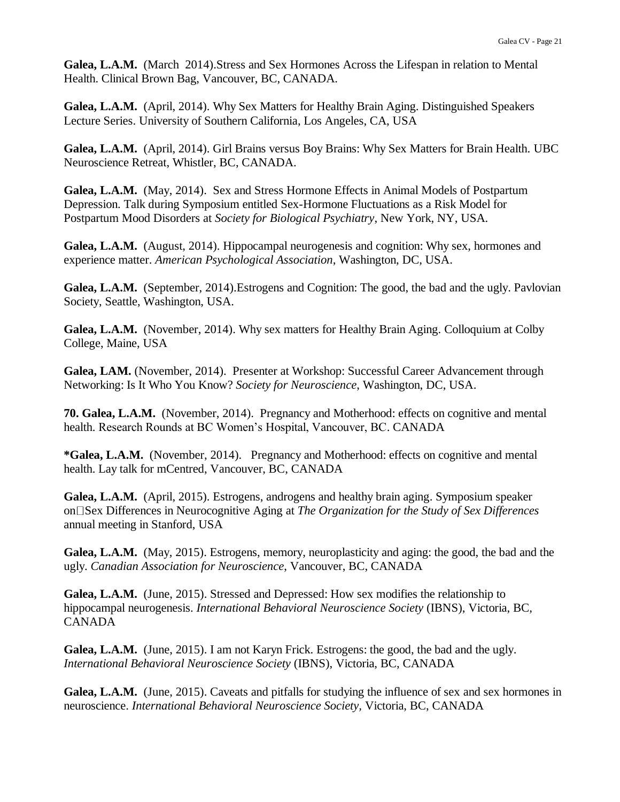**Galea, L.A.M.** (March 2014).Stress and Sex Hormones Across the Lifespan in relation to Mental Health. Clinical Brown Bag, Vancouver, BC, CANADA.

**Galea, L.A.M.** (April, 2014). Why Sex Matters for Healthy Brain Aging. Distinguished Speakers Lecture Series. University of Southern California, Los Angeles, CA, USA

**Galea, L.A.M.** (April, 2014). Girl Brains versus Boy Brains: Why Sex Matters for Brain Health. UBC Neuroscience Retreat, Whistler, BC, CANADA.

**Galea, L.A.M.** (May, 2014). Sex and Stress Hormone Effects in Animal Models of Postpartum Depression. Talk during Symposium entitled Sex-Hormone Fluctuations as a Risk Model for Postpartum Mood Disorders at *Society for Biological Psychiatry*, New York, NY, USA.

**Galea, L.A.M.** (August, 2014). Hippocampal neurogenesis and cognition: Why sex, hormones and experience matter. *American Psychological Association*, Washington, DC, USA.

Galea, L.A.M. (September, 2014). Estrogens and Cognition: The good, the bad and the ugly. Pavlovian Society, Seattle, Washington, USA.

**Galea, L.A.M.** (November, 2014). Why sex matters for Healthy Brain Aging. Colloquium at Colby College, Maine, USA

**Galea, LAM.** (November, 2014). Presenter at Workshop: Successful Career Advancement through Networking: Is It Who You Know? *Society for Neuroscience*, Washington, DC, USA.

**70. Galea, L.A.M.** (November, 2014). Pregnancy and Motherhood: effects on cognitive and mental health. Research Rounds at BC Women's Hospital, Vancouver, BC. CANADA

**\*Galea, L.A.M.** (November, 2014). Pregnancy and Motherhood: effects on cognitive and mental health. Lay talk for mCentred, Vancouver, BC, CANADA

**Galea, L.A.M.** (April, 2015). Estrogens, androgens and healthy brain aging. Symposium speaker on Sex Differences in Neurocognitive Aging at *The Organization for the Study of Sex Differences* annual meeting in Stanford, USA

**Galea, L.A.M.** (May, 2015). Estrogens, memory, neuroplasticity and aging: the good, the bad and the ugly. *Canadian Association for Neuroscience*, Vancouver, BC, CANADA

**Galea, L.A.M.** (June, 2015). Stressed and Depressed: How sex modifies the relationship to hippocampal neurogenesis. *International Behavioral Neuroscience Society* (IBNS), Victoria, BC, CANADA

**Galea, L.A.M.** (June, 2015). I am not Karyn Frick. Estrogens: the good, the bad and the ugly. *International Behavioral Neuroscience Society* (IBNS), Victoria, BC, CANADA

**Galea, L.A.M.** (June, 2015). Caveats and pitfalls for studying the influence of sex and sex hormones in neuroscience. *International Behavioral Neuroscience Society,* Victoria, BC, CANADA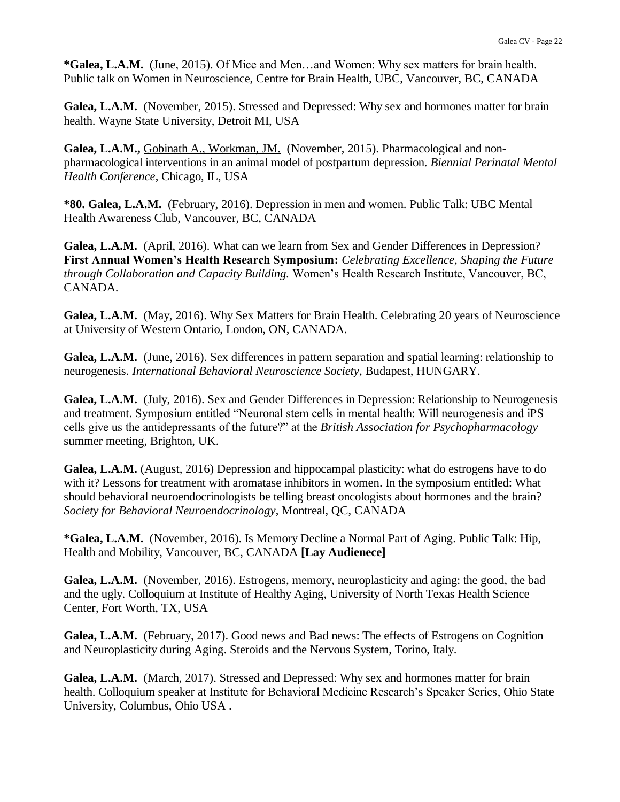**\*Galea, L.A.M.** (June, 2015). Of Mice and Men…and Women: Why sex matters for brain health. Public talk on Women in Neuroscience, Centre for Brain Health, UBC, Vancouver, BC, CANADA

**Galea, L.A.M.** (November, 2015). Stressed and Depressed: Why sex and hormones matter for brain health. Wayne State University, Detroit MI, USA

**Galea, L.A.M.,** Gobinath A., Workman, JM. (November, 2015). Pharmacological and nonpharmacological interventions in an animal model of postpartum depression. *Biennial Perinatal Mental Health Conference*, Chicago, IL, USA

**\*80. Galea, L.A.M.** (February, 2016). Depression in men and women. Public Talk: UBC Mental Health Awareness Club, Vancouver, BC, CANADA

Galea, L.A.M. (April, 2016). What can we learn from Sex and Gender Differences in Depression? **First Annual Women's Health Research Symposium:** *Celebrating Excellence, Shaping the Future through Collaboration and Capacity Building.* Women's Health Research Institute, Vancouver, BC, CANADA.

Galea, L.A.M. (May, 2016). Why Sex Matters for Brain Health. Celebrating 20 years of Neuroscience at University of Western Ontario, London, ON, CANADA.

**Galea, L.A.M.** (June, 2016). Sex differences in pattern separation and spatial learning: relationship to neurogenesis. *International Behavioral Neuroscience Society*, Budapest, HUNGARY.

**Galea, L.A.M.** (July, 2016). Sex and Gender Differences in Depression: Relationship to Neurogenesis and treatment. Symposium entitled "Neuronal stem cells in mental health: Will neurogenesis and iPS cells give us the antidepressants of the future?" at the *British Association for Psychopharmacology* summer meeting, Brighton, UK.

**Galea, L.A.M.** (August, 2016) Depression and hippocampal plasticity: what do estrogens have to do with it? Lessons for treatment with aromatase inhibitors in women. In the symposium entitled: What should behavioral neuroendocrinologists be telling breast oncologists about hormones and the brain? *Society for Behavioral Neuroendocrinology*, Montreal, QC, CANADA

**\*Galea, L.A.M.** (November, 2016). Is Memory Decline a Normal Part of Aging. Public Talk: Hip, Health and Mobility, Vancouver, BC, CANADA **[Lay Audienece]**

Galea, L.A.M. (November, 2016). Estrogens, memory, neuroplasticity and aging: the good, the bad and the ugly. Colloquium at Institute of Healthy Aging, University of North Texas Health Science Center, Fort Worth, TX, USA

Galea, L.A.M. (February, 2017). Good news and Bad news: The effects of Estrogens on Cognition and Neuroplasticity during Aging. Steroids and the Nervous System, Torino, Italy.

Galea, L.A.M. (March, 2017). Stressed and Depressed: Why sex and hormones matter for brain health. Colloquium speaker at Institute for Behavioral Medicine Research's Speaker Series, Ohio State University, Columbus, Ohio USA .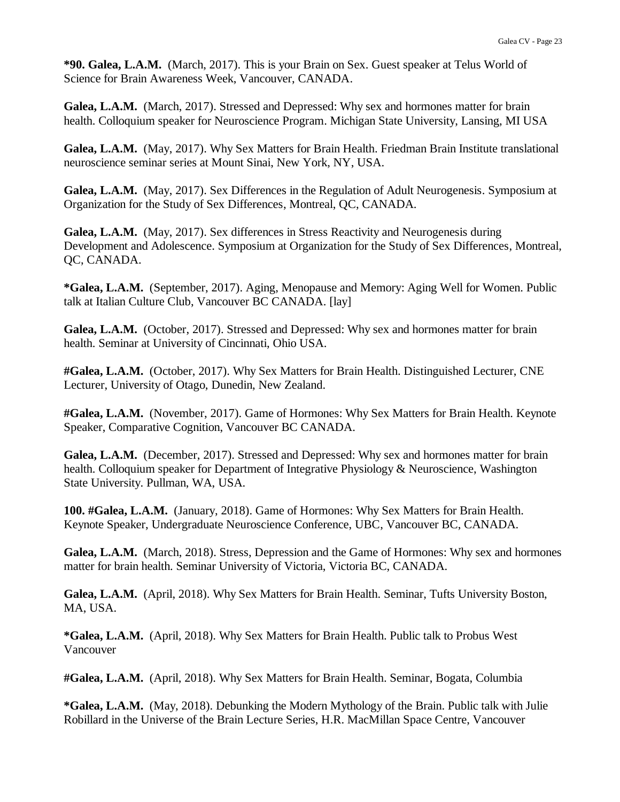**\*90. Galea, L.A.M.** (March, 2017). This is your Brain on Sex. Guest speaker at Telus World of Science for Brain Awareness Week, Vancouver, CANADA.

Galea, L.A.M. (March, 2017). Stressed and Depressed: Why sex and hormones matter for brain health. Colloquium speaker for Neuroscience Program. Michigan State University, Lansing, MI USA

**Galea, L.A.M.** (May, 2017). Why Sex Matters for Brain Health. Friedman Brain Institute translational neuroscience seminar series at Mount Sinai, New York, NY, USA.

**Galea, L.A.M.** (May, 2017). Sex Differences in the Regulation of Adult Neurogenesis. Symposium at Organization for the Study of Sex Differences, Montreal, QC, CANADA.

**Galea, L.A.M.** (May, 2017). Sex differences in Stress Reactivity and Neurogenesis during Development and Adolescence. Symposium at Organization for the Study of Sex Differences, Montreal, QC, CANADA.

**\*Galea, L.A.M.** (September, 2017). Aging, Menopause and Memory: Aging Well for Women. Public talk at Italian Culture Club, Vancouver BC CANADA. [lay]

Galea, L.A.M. (October, 2017). Stressed and Depressed: Why sex and hormones matter for brain health. Seminar at University of Cincinnati, Ohio USA.

**#Galea, L.A.M.** (October, 2017). Why Sex Matters for Brain Health. Distinguished Lecturer, CNE Lecturer, University of Otago, Dunedin, New Zealand.

**#Galea, L.A.M.** (November, 2017). Game of Hormones: Why Sex Matters for Brain Health. Keynote Speaker, Comparative Cognition, Vancouver BC CANADA.

Galea, L.A.M. (December, 2017). Stressed and Depressed: Why sex and hormones matter for brain health. Colloquium speaker for Department of Integrative Physiology & Neuroscience, Washington State University. Pullman, WA, USA.

**100. #Galea, L.A.M.** (January, 2018). Game of Hormones: Why Sex Matters for Brain Health. Keynote Speaker, Undergraduate Neuroscience Conference, UBC, Vancouver BC, CANADA.

**Galea, L.A.M.** (March, 2018). Stress, Depression and the Game of Hormones: Why sex and hormones matter for brain health. Seminar University of Victoria, Victoria BC, CANADA.

**Galea, L.A.M.** (April, 2018). Why Sex Matters for Brain Health. Seminar, Tufts University Boston, MA, USA.

**\*Galea, L.A.M.** (April, 2018). Why Sex Matters for Brain Health. Public talk to Probus West Vancouver

**#Galea, L.A.M.** (April, 2018). Why Sex Matters for Brain Health. Seminar, Bogata, Columbia

**\*Galea, L.A.M.** (May, 2018). Debunking the Modern Mythology of the Brain. Public talk with Julie Robillard in the Universe of the Brain Lecture Series, H.R. MacMillan Space Centre, Vancouver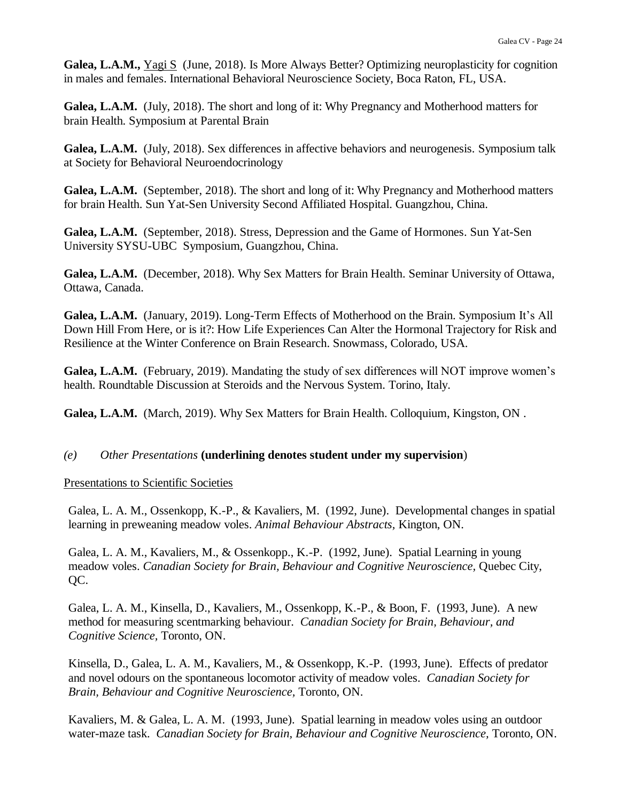**Galea, L.A.M.,** Yagi S (June, 2018). Is More Always Better? Optimizing neuroplasticity for cognition in males and females. International Behavioral Neuroscience Society, Boca Raton, FL, USA.

**Galea, L.A.M.** (July, 2018). The short and long of it: Why Pregnancy and Motherhood matters for brain Health. Symposium at Parental Brain

**Galea, L.A.M.** (July, 2018). Sex differences in affective behaviors and neurogenesis. Symposium talk at Society for Behavioral Neuroendocrinology

**Galea, L.A.M.** (September, 2018). The short and long of it: Why Pregnancy and Motherhood matters for brain Health. Sun Yat-Sen University Second Affiliated Hospital. Guangzhou, China.

**Galea, L.A.M.** (September, 2018). Stress, Depression and the Game of Hormones. Sun Yat-Sen University SYSU-UBC Symposium, Guangzhou, China.

**Galea, L.A.M.** (December, 2018). Why Sex Matters for Brain Health. Seminar University of Ottawa, Ottawa, Canada.

**Galea, L.A.M.** (January, 2019). Long-Term Effects of Motherhood on the Brain. Symposium It's All Down Hill From Here, or is it?: How Life Experiences Can Alter the Hormonal Trajectory for Risk and Resilience at the Winter Conference on Brain Research. Snowmass, Colorado, USA.

**Galea, L.A.M.** (February, 2019). Mandating the study of sex differences will NOT improve women's health. Roundtable Discussion at Steroids and the Nervous System. Torino, Italy.

Galea, L.A.M. (March, 2019). Why Sex Matters for Brain Health. Colloquium, Kingston, ON.

### *(e) Other Presentations* **(underlining denotes student under my supervision**)

Presentations to Scientific Societies

Galea, L. A. M., Ossenkopp, K.-P., & Kavaliers, M. (1992, June). Developmental changes in spatial learning in preweaning meadow voles. *Animal Behaviour Abstracts,* Kington, ON.

Galea, L. A. M., Kavaliers, M., & Ossenkopp., K.-P. (1992, June). Spatial Learning in young meadow voles. *Canadian Society for Brain, Behaviour and Cognitive Neuroscience,* Quebec City, QC.

Galea, L. A. M., Kinsella, D., Kavaliers, M., Ossenkopp, K.-P., & Boon, F. (1993, June). A new method for measuring scentmarking behaviour. *Canadian Society for Brain, Behaviour, and Cognitive Science,* Toronto, ON.

Kinsella, D., Galea, L. A. M., Kavaliers, M., & Ossenkopp, K.-P. (1993, June). Effects of predator and novel odours on the spontaneous locomotor activity of meadow voles. *Canadian Society for Brain, Behaviour and Cognitive Neuroscience,* Toronto, ON.

Kavaliers, M. & Galea, L. A. M. (1993, June). Spatial learning in meadow voles using an outdoor water-maze task. *Canadian Society for Brain, Behaviour and Cognitive Neuroscience,* Toronto, ON.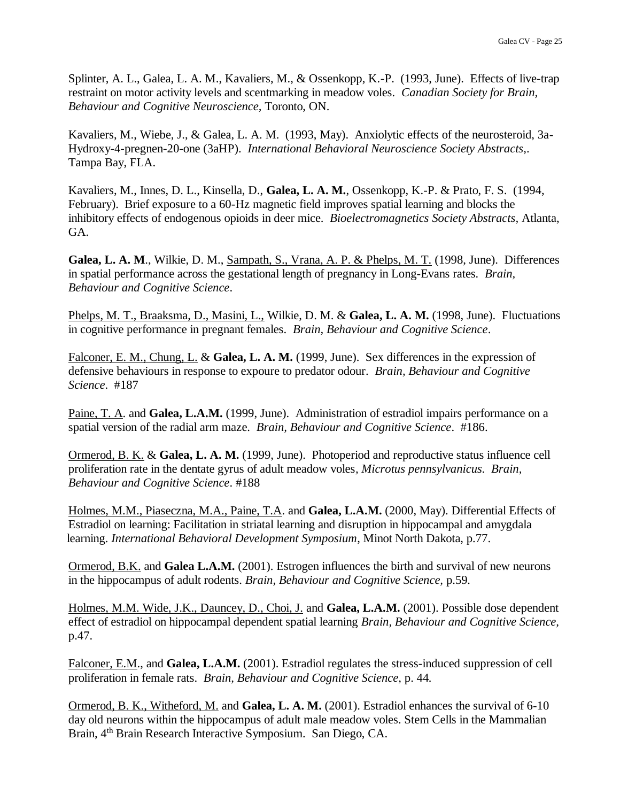Splinter, A. L., Galea, L. A. M., Kavaliers, M., & Ossenkopp, K.-P. (1993, June). Effects of live-trap restraint on motor activity levels and scentmarking in meadow voles. *Canadian Society for Brain, Behaviour and Cognitive Neuroscience,* Toronto, ON.

Kavaliers, M., Wiebe, J., & Galea, L. A. M. (1993, May). Anxiolytic effects of the neurosteroid, 3a-Hydroxy-4-pregnen-20-one (3aHP). *International Behavioral Neuroscience Society Abstracts,*. Tampa Bay, FLA.

Kavaliers, M., Innes, D. L., Kinsella, D., **Galea, L. A. M.**, Ossenkopp, K.-P. & Prato, F. S. (1994, February). Brief exposure to a 60-Hz magnetic field improves spatial learning and blocks the inhibitory effects of endogenous opioids in deer mice. *Bioelectromagnetics Society Abstracts,* Atlanta, GA.

**Galea, L. A. M**., Wilkie, D. M., Sampath, S., Vrana, A. P. & Phelps, M. T. (1998, June). Differences in spatial performance across the gestational length of pregnancy in Long-Evans rates*. Brain, Behaviour and Cognitive Science*.

Phelps, M. T., Braaksma, D., Masini, L., Wilkie, D. M. & **Galea, L. A. M.** (1998, June). Fluctuations in cognitive performance in pregnant females. *Brain, Behaviour and Cognitive Science*.

Falconer, E. M., Chung, L. & **Galea, L. A. M.** (1999, June). Sex differences in the expression of defensive behaviours in response to expoure to predator odour. *Brain, Behaviour and Cognitive Science*. #187

Paine, T. A. and **Galea, L.A.M.** (1999, June). Administration of estradiol impairs performance on a spatial version of the radial arm maze. *Brain, Behaviour and Cognitive Science*. #186.

Ormerod, B. K. & **Galea, L. A. M.** (1999, June). Photoperiod and reproductive status influence cell proliferation rate in the dentate gyrus of adult meadow voles*, Microtus pennsylvanicus. Brain, Behaviour and Cognitive Science*. #188

Holmes, M.M., Piaseczna, M.A., Paine, T.A. and **Galea, L.A.M.** (2000, May). Differential Effects of Estradiol on learning: Facilitation in striatal learning and disruption in hippocampal and amygdala learning. *International Behavioral Development Symposium*, Minot North Dakota, p.77.

Ormerod, B.K. and **Galea L.A.M.** (2001). Estrogen influences the birth and survival of new neurons in the hippocampus of adult rodents. *Brain, Behaviour and Cognitive Science,* p.59*.*

Holmes, M.M. Wide, J.K., Dauncey, D., Choi, J. and **Galea, L.A.M.** (2001). Possible dose dependent effect of estradiol on hippocampal dependent spatial learning *Brain, Behaviour and Cognitive Science,*  p.47.

Falconer, E.M., and **Galea, L.A.M.** (2001). Estradiol regulates the stress-induced suppression of cell proliferation in female rats. *Brain, Behaviour and Cognitive Science,* p. 44*.*

Ormerod, B. K., Witheford, M. and **Galea, L. A. M.** (2001). Estradiol enhances the survival of 6-10 day old neurons within the hippocampus of adult male meadow voles. Stem Cells in the Mammalian Brain, 4<sup>th</sup> Brain Research Interactive Symposium. San Diego, CA.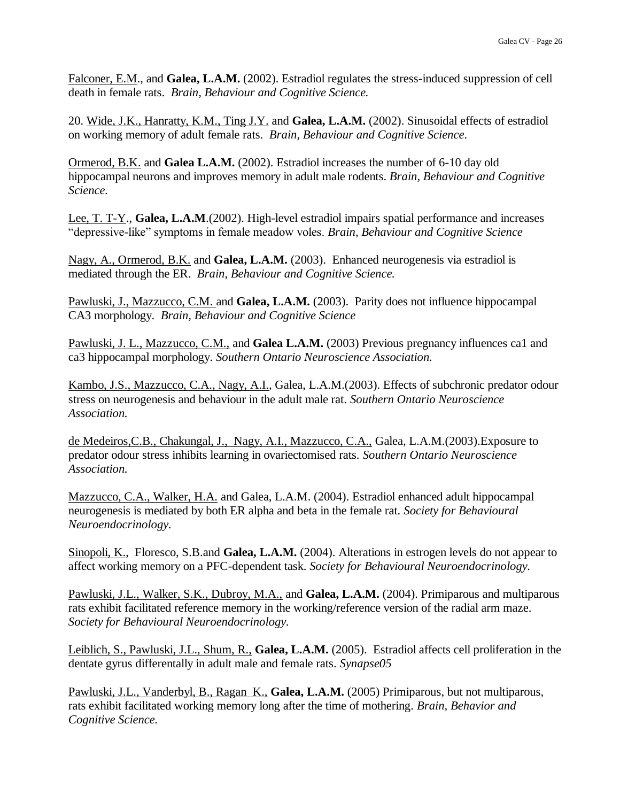Falconer, E.M., and **Galea, L.A.M.** (2002). Estradiol regulates the stress-induced suppression of cell death in female rats. *Brain, Behaviour and Cognitive Science.*

20. Wide, J.K., Hanratty, K.M., Ting J.Y. and **Galea, L.A.M.** (2002). Sinusoidal effects of estradiol on working memory of adult female rats. *Brain, Behaviour and Cognitive Science*.

Ormerod, B.K. and **Galea L.A.M.** (2002). Estradiol increases the number of 6-10 day old hippocampal neurons and improves memory in adult male rodents. *Brain, Behaviour and Cognitive Science.*

Lee, T. T-Y., **Galea, L.A.M**.(2002). High-level estradiol impairs spatial performance and increases "depressive-like" symptoms in female meadow voles. *Brain, Behaviour and Cognitive Science*

Nagy, A., Ormerod, B.K. and **Galea, L.A.M.** (2003). Enhanced neurogenesis via estradiol is mediated through the ER. *Brain, Behaviour and Cognitive Science.*

Pawluski, J., Mazzucco, C.M. and **Galea, L.A.M.** (2003). Parity does not influence hippocampal CA3 morphology. *Brain, Behaviour and Cognitive Science*

Pawluski, J. L., Mazzucco, C.M., and **Galea L.A.M.** (2003) Previous pregnancy influences ca1 and ca3 hippocampal morphology. *Southern Ontario Neuroscience Association.*

Kambo, J.S., Mazzucco, C.A., Nagy, A.I., Galea, L.A.M.(2003). Effects of subchronic predator odour stress on neurogenesis and behaviour in the adult male rat. *Southern Ontario Neuroscience Association.*

de Medeiros,C.B., Chakungal, J., Nagy, A.I., Mazzucco, C.A., Galea, L.A.M.(2003).Exposure to predator odour stress inhibits learning in ovariectomised rats. *Southern Ontario Neuroscience Association.*

Mazzucco, C.A., Walker, H.A. and Galea, L.A.M. (2004). Estradiol enhanced adult hippocampal neurogenesis is mediated by both ER alpha and beta in the female rat. *Society for Behavioural Neuroendocrinology.*

Sinopoli, K., Floresco, S.B.and **Galea, L.A.M.** (2004). Alterations in estrogen levels do not appear to affect working memory on a PFC-dependent task. *Society for Behavioural Neuroendocrinology.*

Pawluski, J.L., Walker, S.K., Dubroy, M.A., and **Galea, L.A.M.** (2004). Primiparous and multiparous rats exhibit facilitated reference memory in the working/reference version of the radial arm maze. *Society for Behavioural Neuroendocrinology.*

Leiblich, S., Pawluski, J.L., Shum, R., **Galea, L.A.M.** (2005). Estradiol affects cell proliferation in the dentate gyrus differentally in adult male and female rats. *Synapse05*

Pawluski, J.L., Vanderbyl, B., Ragan K., **Galea, L.A.M.** (2005) Primiparous, but not multiparous, rats exhibit facilitated working memory long after the time of mothering. *Brain, Behavior and Cognitive Science.*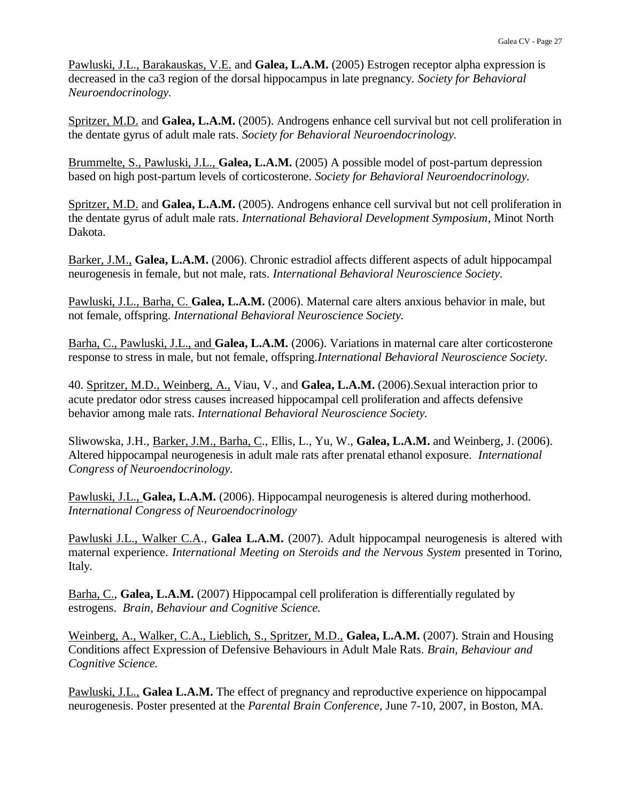Pawluski, J.L., Barakauskas, V.E. and **Galea, L.A.M.** (2005) Estrogen receptor alpha expression is decreased in the ca3 region of the dorsal hippocampus in late pregnancy. *Society for Behavioral Neuroendocrinology.*

Spritzer, M.D. and **Galea, L.A.M.** (2005). Androgens enhance cell survival but not cell proliferation in the dentate gyrus of adult male rats. *Society for Behavioral Neuroendocrinology.*

Brummelte, S., Pawluski, J.L., **Galea, L.A.M.** (2005) A possible model of post-partum depression based on high post-partum levels of corticosterone. *Society for Behavioral Neuroendocrinology.*

Spritzer, M.D. and **Galea, L.A.M.** (2005). Androgens enhance cell survival but not cell proliferation in the dentate gyrus of adult male rats. *International Behavioral Development Symposium*, Minot North Dakota.

Barker, J.M., **Galea, L.A.M.** (2006). Chronic estradiol affects different aspects of adult hippocampal neurogenesis in female, but not male, rats. *International Behavioral Neuroscience Society.*

Pawluski, J.L., Barha, C. **Galea, L.A.M.** (2006). Maternal care alters anxious behavior in male, but not female, offspring. *International Behavioral Neuroscience Society.*

Barha, C., Pawluski, J.L., and **Galea, L.A.M.** (2006). Variations in maternal care alter corticosterone response to stress in male, but not female, offspring*.International Behavioral Neuroscience Society.*

40. Spritzer, M.D., Weinberg, A., Viau, V., and **Galea, L.A.M.** (2006).Sexual interaction prior to acute predator odor stress causes increased hippocampal cell proliferation and affects defensive behavior among male rats. *International Behavioral Neuroscience Society.*

Sliwowska, J.H., Barker, J.M., Barha, C., Ellis, L., Yu, W., **Galea, L.A.M.** and Weinberg, J. (2006). Altered hippocampal neurogenesis in adult male rats after prenatal ethanol exposure. *International Congress of Neuroendocrinology.*

Pawluski, J.L., **Galea, L.A.M.** (2006). Hippocampal neurogenesis is altered during motherhood. *International Congress of Neuroendocrinology*

Pawluski J.L., Walker C.A., **Galea L.A.M.** (2007). Adult hippocampal neurogenesis is altered with maternal experience. *International Meeting on Steroids and the Nervous System* presented in Torino, Italy.

Barha, C., **Galea, L.A.M.** (2007) Hippocampal cell proliferation is differentially regulated by estrogens. *Brain, Behaviour and Cognitive Science.*

Weinberg, A., Walker, C.A., Lieblich, S., Spritzer, M.D., **Galea, L.A.M.** (2007). Strain and Housing Conditions affect Expression of Defensive Behaviours in Adult Male Rats. *Brain, Behaviour and Cognitive Science.*

Pawluski, J.L., **Galea L.A.M.** The effect of pregnancy and reproductive experience on hippocampal neurogenesis. Poster presented at the *Parental Brain Conference,* June 7-10, 2007, in Boston, MA.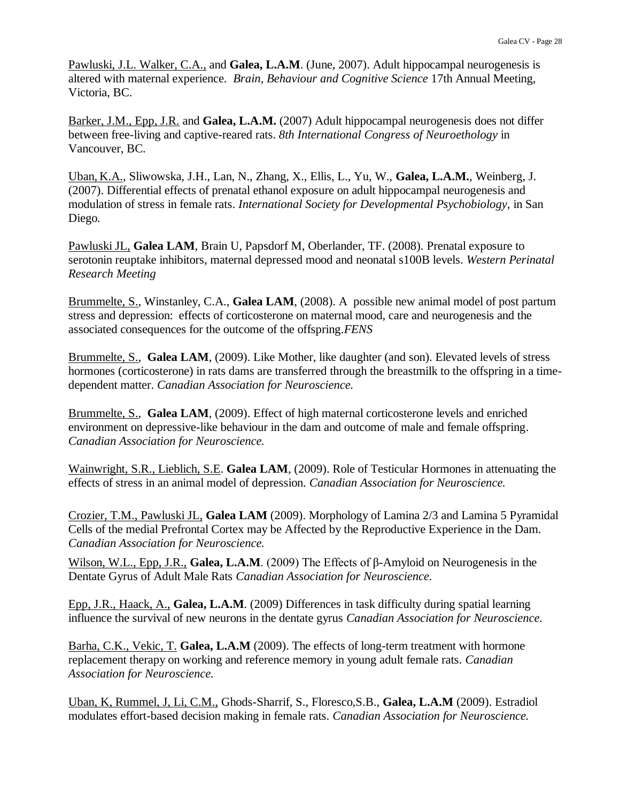Pawluski, J.L. Walker, C.A., and **Galea, L.A.M**. (June, 2007). Adult hippocampal neurogenesis is altered with maternal experience. *Brain, Behaviour and Cognitive Science* 17th Annual Meeting, Victoria, BC.

Barker, J.M., Epp, J.R. and **Galea, L.A.M.** (2007) Adult hippocampal neurogenesis does not differ between free-living and captive-reared rats. *8th International Congress of Neuroethology* in Vancouver, BC*.*

Uban, K.A., Sliwowska, J.H., Lan, N., Zhang, X., Ellis, L., Yu, W., **Galea, L.A.M.**, Weinberg, J. (2007). Differential effects of prenatal ethanol exposure on adult hippocampal neurogenesis and modulation of stress in female rats. *International Society for Developmental Psychobiology,* in San Diego*.*

Pawluski JL, **Galea LAM**, Brain U, Papsdorf M, Oberlander, TF. (2008). Prenatal exposure to serotonin reuptake inhibitors, maternal depressed mood and neonatal s100B levels. *Western Perinatal Research Meeting*

Brummelte, S., Winstanley, C.A., **Galea LAM**, (2008). A possible new animal model of post partum stress and depression: effects of corticosterone on maternal mood, care and neurogenesis and the associated consequences for the outcome of the offspring.*FENS*

Brummelte, S., **Galea LAM**, (2009). Like Mother, like daughter (and son). Elevated levels of stress hormones (corticosterone) in rats dams are transferred through the breastmilk to the offspring in a timedependent matter. *Canadian Association for Neuroscience.*

Brummelte, S., **Galea LAM**, (2009). Effect of high maternal corticosterone levels and enriched environment on depressive-like behaviour in the dam and outcome of male and female offspring. *Canadian Association for Neuroscience.*

Wainwright, S.R., Lieblich, S.E. **Galea LAM**, (2009). Role of Testicular Hormones in attenuating the effects of stress in an animal model of depression. *Canadian Association for Neuroscience.*

Crozier, T.M., Pawluski JL, **Galea LAM** (2009). Morphology of Lamina 2/3 and Lamina 5 Pyramidal Cells of the medial Prefrontal Cortex may be Affected by the Reproductive Experience in the Dam. *Canadian Association for Neuroscience.*

Wilson, W.L., Epp, J.R., **Galea, L.A.M**. (2009) The Effects of β-Amyloid on Neurogenesis in the Dentate Gyrus of Adult Male Rats *Canadian Association for Neuroscience.*

Epp, J.R., Haack, A., **Galea, L.A.M**. (2009) Differences in task difficulty during spatial learning influence the survival of new neurons in the dentate gyrus *Canadian Association for Neuroscience.*

Barha, C.K., Vekic, T. **Galea, L.A.M** (2009). The effects of long-term treatment with hormone replacement therapy on working and reference memory in young adult female rats. *Canadian Association for Neuroscience.*

Uban, K, Rummel, J, Li, C.M., Ghods-Sharrif, S., Floresco,S.B., **Galea, L.A.M** (2009). Estradiol modulates effort-based decision making in female rats. *Canadian Association for Neuroscience.*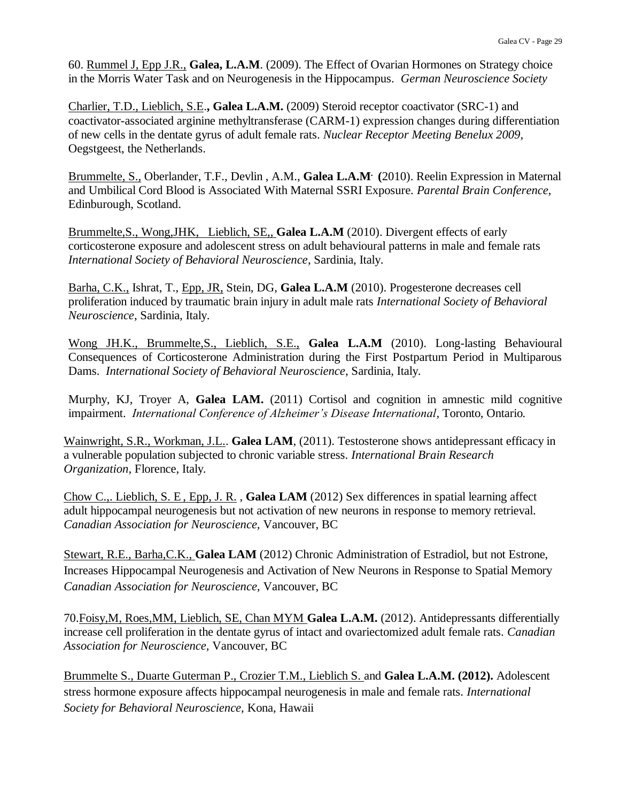60. Rummel J, Epp J.R., **Galea, L.A.M**. (2009). The Effect of Ovarian Hormones on Strategy choice in the Morris Water Task and on Neurogenesis in the Hippocampus. *German Neuroscience Society*

Charlier, T.D., Lieblich, S.E.**, Galea L.A.M.** (2009) Steroid receptor coactivator (SRC-1) and coactivator-associated arginine methyltransferase (CARM-1) expression changes during differentiation of new cells in the dentate gyrus of adult female rats. *Nuclear Receptor Meeting Benelux 2009,* Oegstgeest, the Netherlands.

Brummelte, S., Oberlander, T.F., Devlin , A.M., **Galea L.A.M. (**2010). Reelin Expression in Maternal and Umbilical Cord Blood is Associated With Maternal SSRI Exposure. *Parental Brain Conference*, Edinburough, Scotland.

Brummelte,S., Wong,JHK, Lieblich, SE,, **Galea L.A.M** (2010). Divergent effects of early corticosterone exposure and adolescent stress on adult behavioural patterns in male and female rats *International Society of Behavioral Neuroscience*, Sardinia, Italy.

Barha, C.K., Ishrat, T., Epp, JR, Stein, DG, **Galea L.A.M** (2010). Progesterone decreases cell proliferation induced by traumatic brain injury in adult male rats *International Society of Behavioral Neuroscience*, Sardinia, Italy.

Wong JH.K., Brummelte,S., Lieblich, S.E., **Galea L.A.M** (2010). Long-lasting Behavioural Consequences of Corticosterone Administration during the First Postpartum Period in Multiparous Dams. *International Society of Behavioral Neuroscience*, Sardinia, Italy.

Murphy, KJ, Troyer A, **Galea LAM.** (2011) Cortisol and cognition in amnestic mild cognitive impairment. *International Conference of Alzheimer's Disease International,* Toronto, Ontario*.*

Wainwright, S.R., Workman, J.L.. **Galea LAM**, (2011). Testosterone shows antidepressant efficacy in a vulnerable population subjected to chronic variable stress. *International Brain Research Organization,* Florence, Italy*.*

Chow C.,. Lieblich, S. E , Epp, J. R. , **Galea LAM** (2012) Sex differences in spatial learning affect adult hippocampal neurogenesis but not activation of new neurons in response to memory retrieval. *Canadian Association for Neuroscience,* Vancouver, BC

Stewart, R.E., Barha,C.K., **Galea LAM** (2012) Chronic Administration of Estradiol, but not Estrone, Increases Hippocampal Neurogenesis and Activation of New Neurons in Response to Spatial Memory *Canadian Association for Neuroscience,* Vancouver, BC

70.Foisy,M, Roes,MM, Lieblich, SE, Chan MYM **Galea L.A.M.** (2012). Antidepressants differentially increase cell proliferation in the dentate gyrus of intact and ovariectomized adult female rats. *Canadian Association for Neuroscience,* Vancouver, BC

Brummelte S., Duarte Guterman P., Crozier T.M., Lieblich S. and **Galea L.A.M. (2012).** Adolescent stress hormone exposure affects hippocampal neurogenesis in male and female rats. *International Society for Behavioral Neuroscience,* Kona, Hawaii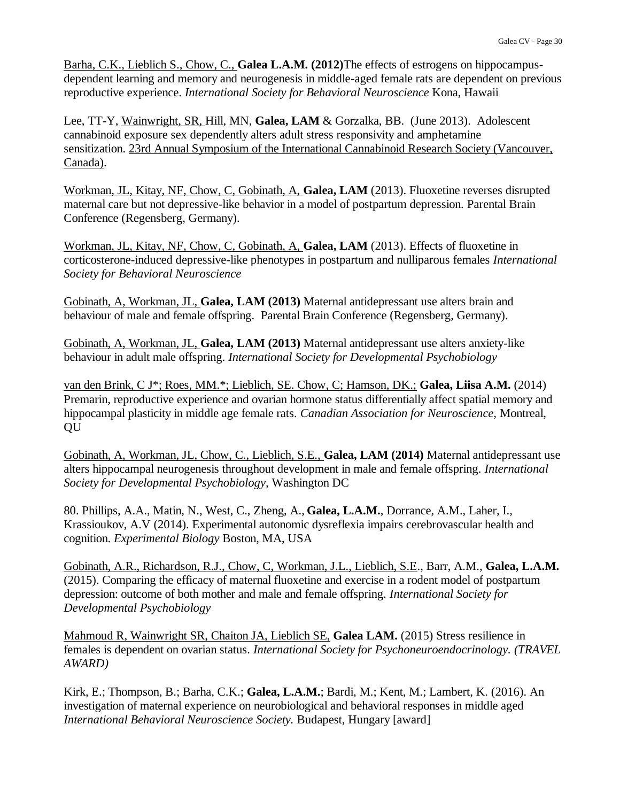Barha, C.K., Lieblich S., Chow, C., **Galea L.A.M. (2012)**The effects of estrogens on hippocampusdependent learning and memory and neurogenesis in middle-aged female rats are dependent on previous reproductive experience. *International Society for Behavioral Neuroscience* Kona, Hawaii

Lee, TT-Y, Wainwright, SR, Hill, MN, **Galea, LAM** & Gorzalka, BB. (June 2013). Adolescent cannabinoid exposure sex dependently alters adult stress responsivity and amphetamine sensitization. 23rd Annual Symposium of the International Cannabinoid Research Society (Vancouver, Canada).

Workman, JL, Kitay, NF, Chow, C, Gobinath, A, **Galea, LAM** (2013). Fluoxetine reverses disrupted maternal care but not depressive-like behavior in a model of postpartum depression. Parental Brain Conference (Regensberg, Germany).

Workman, JL, Kitay, NF, Chow, C, Gobinath, A, **Galea, LAM** (2013). Effects of fluoxetine in corticosterone-induced depressive-like phenotypes in postpartum and nulliparous females *International Society for Behavioral Neuroscience*

Gobinath, A, Workman, JL, **Galea, LAM (2013)** Maternal antidepressant use alters brain and behaviour of male and female offspring. Parental Brain Conference (Regensberg, Germany).

Gobinath, A, Workman, JL, **Galea, LAM (2013)** Maternal antidepressant use alters anxiety-like behaviour in adult male offspring. *International Society for Developmental Psychobiology*

van den Brink, C J\*; Roes, MM.\*; Lieblich, SE. Chow, C; Hamson, DK.; **Galea, Liisa A.M.** (2014) Premarin, reproductive experience and ovarian hormone status differentially affect spatial memory and hippocampal plasticity in middle age female rats. *Canadian Association for Neuroscience,* Montreal, QU

Gobinath, A, Workman, JL, Chow, C., Lieblich, S.E., **Galea, LAM (2014)** Maternal antidepressant use alters hippocampal neurogenesis throughout development in male and female offspring*. International Society for Developmental Psychobiology,* Washington DC

80. Phillips, A.A., Matin, N., West, C., Zheng, A., **Galea, L.A.M.**, Dorrance, A.M., Laher, I., Krassioukov, A.V (2014). Experimental autonomic dysreflexia impairs cerebrovascular health and cognition. *Experimental Biology* Boston, MA, USA

Gobinath, A.R., Richardson, R.J., Chow, C, Workman, J.L., Lieblich, S.E., Barr, A.M., **Galea, L.A.M.** (2015). Comparing the efficacy of maternal fluoxetine and exercise in a rodent model of postpartum depression: outcome of both mother and male and female offspring. *International Society for Developmental Psychobiology*

Mahmoud R, Wainwright SR, Chaiton JA, Lieblich SE, **Galea LAM.** (2015) Stress resilience in females is dependent on ovarian status. *International Society for Psychoneuroendocrinology. (TRAVEL AWARD)*

Kirk, E.; Thompson, B.; Barha, C.K.; **Galea, L.A.M.**; Bardi, M.; Kent, M.; Lambert, K. (2016). An investigation of maternal experience on neurobiological and behavioral responses in middle aged *International Behavioral Neuroscience Society.* Budapest, Hungary [award]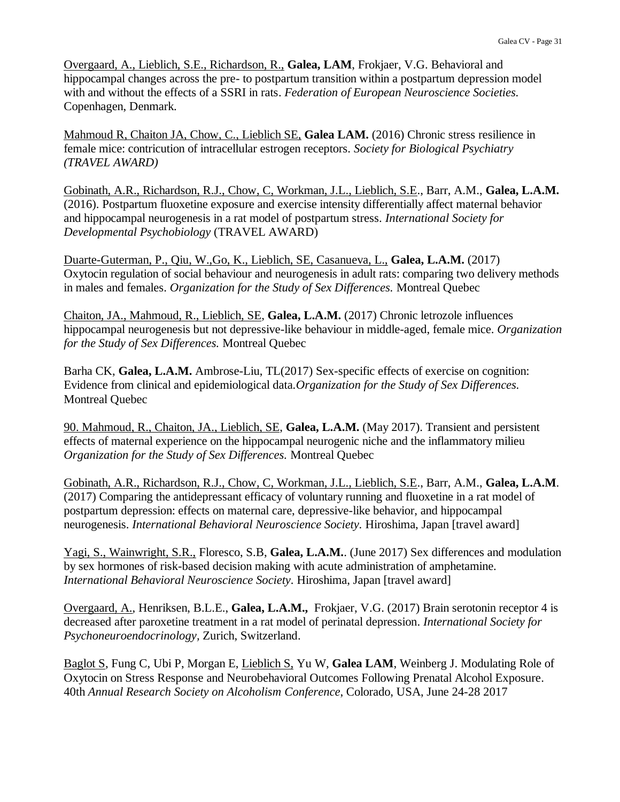Overgaard, A., Lieblich, S.E., Richardson, R., **Galea, LAM**, Frokjaer, V.G. Behavioral and hippocampal changes across the pre- to postpartum transition within a postpartum depression model with and without the effects of a SSRI in rats. *Federation of European Neuroscience Societies.* Copenhagen, Denmark.

Mahmoud R, Chaiton JA, Chow, C., Lieblich SE, **Galea LAM.** (2016) Chronic stress resilience in female mice: contricution of intracellular estrogen receptors. *Society for Biological Psychiatry (TRAVEL AWARD)*

Gobinath, A.R., Richardson, R.J., Chow, C, Workman, J.L., Lieblich, S.E., Barr, A.M., **Galea, L.A.M.**  (2016). Postpartum fluoxetine exposure and exercise intensity differentially affect maternal behavior and hippocampal neurogenesis in a rat model of postpartum stress. *International Society for Developmental Psychobiology* (TRAVEL AWARD)

Duarte-Guterman, P., Qiu, W.,Go, K., Lieblich, SE, Casanueva, L., **Galea, L.A.M.** (2017) Oxytocin regulation of social behaviour and neurogenesis in adult rats: comparing two delivery methods in males and females. *Organization for the Study of Sex Differences.* Montreal Quebec

Chaiton, JA., Mahmoud, R., Lieblich, SE, **Galea, L.A.M.** (2017) Chronic letrozole influences hippocampal neurogenesis but not depressive-like behaviour in middle-aged, female mice. *Organization for the Study of Sex Differences.* Montreal Quebec

Barha CK, **Galea, L.A.M.** Ambrose-Liu, TL(2017) Sex-specific effects of exercise on cognition: Evidence from clinical and epidemiological data*.Organization for the Study of Sex Differences.* Montreal Quebec

90. Mahmoud, R., Chaiton, JA., Lieblich, SE, **Galea, L.A.M.** (May 2017). Transient and persistent effects of maternal experience on the hippocampal neurogenic niche and the inflammatory milieu *Organization for the Study of Sex Differences.* Montreal Quebec

Gobinath, A.R., Richardson, R.J., Chow, C, Workman, J.L., Lieblich, S.E., Barr, A.M., **Galea, L.A.M**. (2017) Comparing the antidepressant efficacy of voluntary running and fluoxetine in a rat model of postpartum depression: effects on maternal care, depressive-like behavior, and hippocampal neurogenesis. *International Behavioral Neuroscience Society.* Hiroshima, Japan [travel award]

Yagi, S., Wainwright, S.R., Floresco, S.B, **Galea, L.A.M.**. (June 2017) Sex differences and modulation by sex hormones of risk-based decision making with acute administration of amphetamine. *International Behavioral Neuroscience Society.* Hiroshima, Japan [travel award]

Overgaard, A., Henriksen, B.L.E., **Galea, L.A.M.,** Frokjaer, V.G. (2017) Brain serotonin receptor 4 is decreased after paroxetine treatment in a rat model of perinatal depression. *International Society for Psychoneuroendocrinology,* Zurich, Switzerland.

Baglot S, Fung C, Ubi P, Morgan E, Lieblich S, Yu W, **Galea LAM**, Weinberg J. Modulating Role of Oxytocin on Stress Response and Neurobehavioral Outcomes Following Prenatal Alcohol Exposure. 40th *Annual Research Society on Alcoholism Conference*, Colorado, USA, June 24-28 2017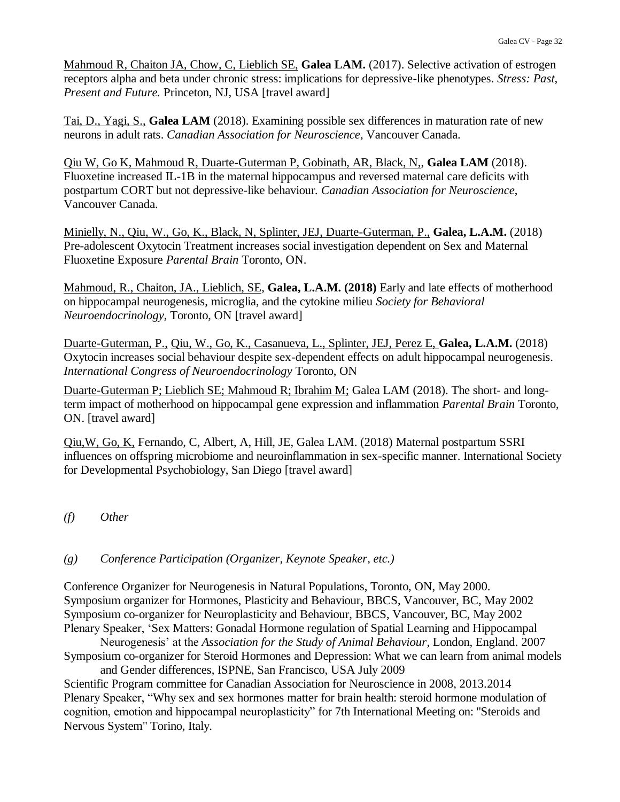Mahmoud R, Chaiton JA, Chow, C, Lieblich SE, **Galea LAM.** (2017). Selective activation of estrogen receptors alpha and beta under chronic stress: implications for depressive-like phenotypes. *Stress: Past, Present and Future.* Princeton, NJ, USA [travel award]

Tai, D., Yagi, S., **Galea LAM** (2018). Examining possible sex differences in maturation rate of new neurons in adult rats. *Canadian Association for Neuroscience*, Vancouver Canada.

Qiu W, Go K, Mahmoud R, Duarte-Guterman P, Gobinath, AR, Black, N,, **Galea LAM** (2018). Fluoxetine increased IL-1B in the maternal hippocampus and reversed maternal care deficits with postpartum CORT but not depressive-like behaviour*. Canadian Association for Neuroscience*, Vancouver Canada.

Minielly, N., Qiu, W., Go, K., Black, N, Splinter, JEJ, Duarte-Guterman, P., **Galea, L.A.M.** (2018) Pre-adolescent Oxytocin Treatment increases social investigation dependent on Sex and Maternal Fluoxetine Exposure *Parental Brain* Toronto, ON.

Mahmoud, R., Chaiton, JA., Lieblich, SE, **Galea, L.A.M. (2018)** Early and late effects of motherhood on hippocampal neurogenesis, microglia, and the cytokine milieu *Society for Behavioral Neuroendocrinology,* Toronto, ON [travel award]

Duarte-Guterman, P., Qiu, W., Go, K., Casanueva, L., Splinter, JEJ, Perez E, **Galea, L.A.M.** (2018) Oxytocin increases social behaviour despite sex-dependent effects on adult hippocampal neurogenesis. *International Congress of Neuroendocrinology* Toronto, ON

Duarte-Guterman P; Lieblich SE; Mahmoud R; Ibrahim M; Galea LAM (2018). The short- and longterm impact of motherhood on hippocampal gene expression and inflammation *Parental Brain* Toronto, ON. [travel award]

Qiu,W, Go, K, Fernando, C, Albert, A, Hill, JE, Galea LAM. (2018) Maternal postpartum SSRI influences on offspring microbiome and neuroinflammation in sex-specific manner. International Society for Developmental Psychobiology, San Diego [travel award]

*(f) Other*

### *(g) Conference Participation (Organizer, Keynote Speaker, etc.)*

Conference Organizer for Neurogenesis in Natural Populations, Toronto, ON, May 2000. Symposium organizer for Hormones, Plasticity and Behaviour, BBCS, Vancouver, BC, May 2002 Symposium co-organizer for Neuroplasticity and Behaviour, BBCS, Vancouver, BC, May 2002 Plenary Speaker, 'Sex Matters: Gonadal Hormone regulation of Spatial Learning and Hippocampal

Neurogenesis' at the *Association for the Study of Animal Behaviour,* London, England. 2007 Symposium co-organizer for Steroid Hormones and Depression: What we can learn from animal models

and Gender differences, ISPNE, San Francisco, USA July 2009 Scientific Program committee for Canadian Association for Neuroscience in 2008, 2013.2014 Plenary Speaker, "Why sex and sex hormones matter for brain health: steroid hormone modulation of cognition, emotion and hippocampal neuroplasticity" for 7th International Meeting on: "Steroids and Nervous System" Torino, Italy.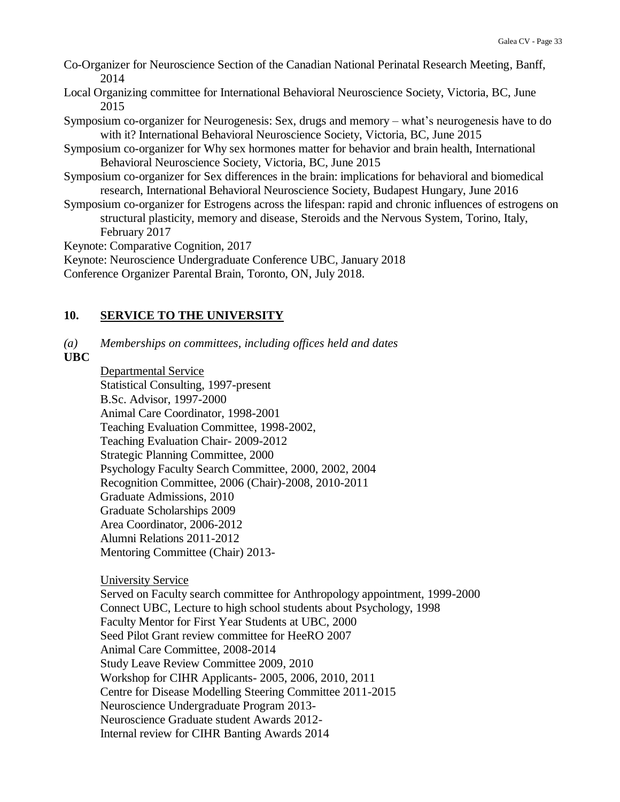- Co-Organizer for Neuroscience Section of the Canadian National Perinatal Research Meeting, Banff, 2014
- Local Organizing committee for International Behavioral Neuroscience Society, Victoria, BC, June 2015
- Symposium co-organizer for Neurogenesis: Sex, drugs and memory what's neurogenesis have to do with it? International Behavioral Neuroscience Society, Victoria, BC, June 2015
- Symposium co-organizer for Why sex hormones matter for behavior and brain health, International Behavioral Neuroscience Society, Victoria, BC, June 2015
- Symposium co-organizer for Sex differences in the brain: implications for behavioral and biomedical research, International Behavioral Neuroscience Society, Budapest Hungary, June 2016
- Symposium co-organizer for Estrogens across the lifespan: rapid and chronic influences of estrogens on structural plasticity, memory and disease, Steroids and the Nervous System, Torino, Italy, February 2017

Keynote: Comparative Cognition, 2017

Keynote: Neuroscience Undergraduate Conference UBC, January 2018

Conference Organizer Parental Brain, Toronto, ON, July 2018.

## **10. SERVICE TO THE UNIVERSITY**

*(a) Memberships on committees, including offices held and dates*

**UBC**

Departmental Service Statistical Consulting, 1997-present B.Sc. Advisor, 1997-2000 Animal Care Coordinator, 1998-2001 Teaching Evaluation Committee, 1998-2002, Teaching Evaluation Chair- 2009-2012 Strategic Planning Committee, 2000 Psychology Faculty Search Committee, 2000, 2002, 2004 Recognition Committee, 2006 (Chair)-2008, 2010-2011 Graduate Admissions, 2010 Graduate Scholarships 2009 Area Coordinator, 2006-2012 Alumni Relations 2011-2012 Mentoring Committee (Chair) 2013-

University Service

Served on Faculty search committee for Anthropology appointment, 1999-2000 Connect UBC, Lecture to high school students about Psychology, 1998 Faculty Mentor for First Year Students at UBC, 2000 Seed Pilot Grant review committee for HeeRO 2007 Animal Care Committee, 2008-2014 Study Leave Review Committee 2009, 2010 Workshop for CIHR Applicants- 2005, 2006, 2010, 2011 Centre for Disease Modelling Steering Committee 2011-2015 Neuroscience Undergraduate Program 2013- Neuroscience Graduate student Awards 2012- Internal review for CIHR Banting Awards 2014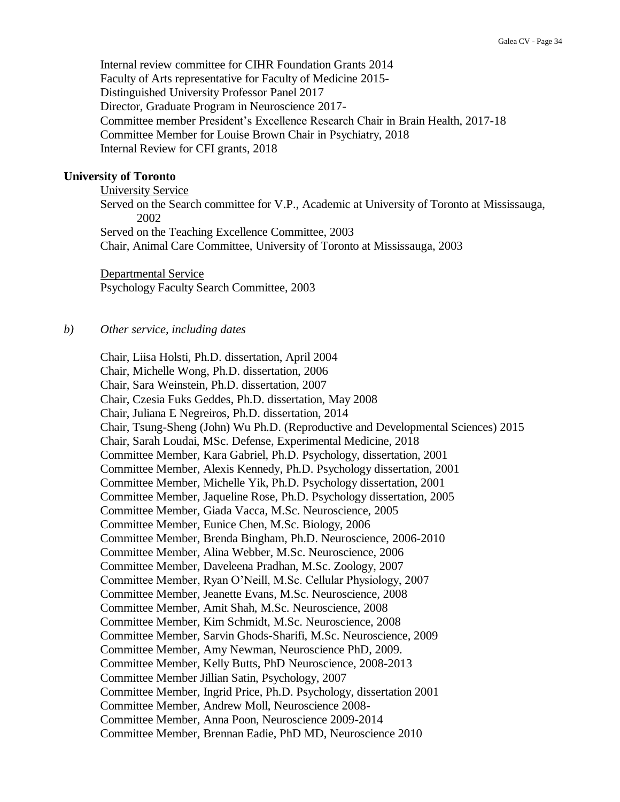Internal review committee for CIHR Foundation Grants 2014 Faculty of Arts representative for Faculty of Medicine 2015- Distinguished University Professor Panel 2017 Director, Graduate Program in Neuroscience 2017- Committee member President's Excellence Research Chair in Brain Health, 2017-18 Committee Member for Louise Brown Chair in Psychiatry, 2018 Internal Review for CFI grants, 2018

#### **University of Toronto**

University Service Served on the Search committee for V.P., Academic at University of Toronto at Mississauga, 2002 Served on the Teaching Excellence Committee, 2003 Chair, Animal Care Committee, University of Toronto at Mississauga, 2003

Departmental Service Psychology Faculty Search Committee, 2003

#### *b) Other service, including dates*

Chair, Liisa Holsti, Ph.D. dissertation, April 2004 Chair, Michelle Wong, Ph.D. dissertation, 2006 Chair, Sara Weinstein, Ph.D. dissertation, 2007 Chair, Czesia Fuks Geddes, Ph.D. dissertation, May 2008 Chair, Juliana E Negreiros, Ph.D. dissertation, 2014 Chair, Tsung-Sheng (John) Wu Ph.D. (Reproductive and Developmental Sciences) 2015 Chair, Sarah Loudai, MSc. Defense, Experimental Medicine, 2018 Committee Member, Kara Gabriel, Ph.D. Psychology, dissertation, 2001 Committee Member, Alexis Kennedy, Ph.D. Psychology dissertation, 2001 Committee Member, Michelle Yik, Ph.D. Psychology dissertation, 2001 Committee Member, Jaqueline Rose, Ph.D. Psychology dissertation, 2005 Committee Member, Giada Vacca, M.Sc. Neuroscience, 2005 Committee Member, Eunice Chen, M.Sc. Biology, 2006 Committee Member, Brenda Bingham, Ph.D. Neuroscience, 2006-2010 Committee Member, Alina Webber, M.Sc. Neuroscience, 2006 Committee Member, Daveleena Pradhan, M.Sc. Zoology, 2007 Committee Member, Ryan O'Neill, M.Sc. Cellular Physiology, 2007 Committee Member, Jeanette Evans, M.Sc. Neuroscience, 2008 Committee Member, Amit Shah, M.Sc. Neuroscience, 2008 Committee Member, Kim Schmidt, M.Sc. Neuroscience, 2008 Committee Member, Sarvin Ghods-Sharifi, M.Sc. Neuroscience, 2009 Committee Member, Amy Newman, Neuroscience PhD, 2009. Committee Member, Kelly Butts, PhD Neuroscience, 2008-2013 Committee Member Jillian Satin, Psychology, 2007 Committee Member, Ingrid Price, Ph.D. Psychology, dissertation 2001 Committee Member, Andrew Moll, Neuroscience 2008- Committee Member, Anna Poon, Neuroscience 2009-2014 Committee Member, Brennan Eadie, PhD MD, Neuroscience 2010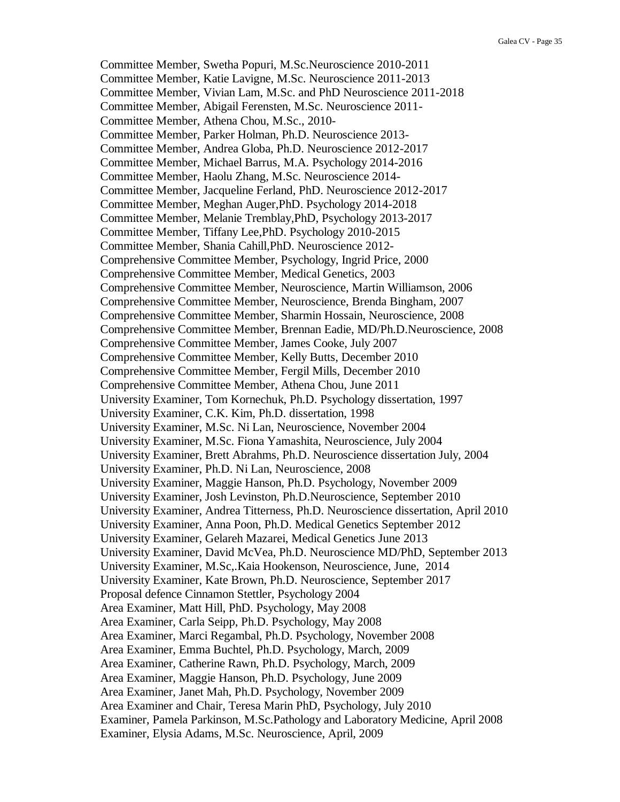Committee Member, Swetha Popuri, M.Sc.Neuroscience 2010-2011 Committee Member, Katie Lavigne, M.Sc. Neuroscience 2011-2013 Committee Member, Vivian Lam, M.Sc. and PhD Neuroscience 2011-2018 Committee Member, Abigail Ferensten, M.Sc. Neuroscience 2011- Committee Member, Athena Chou, M.Sc., 2010- Committee Member, Parker Holman, Ph.D. Neuroscience 2013- Committee Member, Andrea Globa, Ph.D. Neuroscience 2012-2017 Committee Member, Michael Barrus, M.A. Psychology 2014-2016 Committee Member, Haolu Zhang, M.Sc. Neuroscience 2014- Committee Member, Jacqueline Ferland, PhD. Neuroscience 2012-2017 Committee Member, Meghan Auger,PhD. Psychology 2014-2018 Committee Member, Melanie Tremblay,PhD, Psychology 2013-2017 Committee Member, Tiffany Lee,PhD. Psychology 2010-2015 Committee Member, Shania Cahill,PhD. Neuroscience 2012- Comprehensive Committee Member, Psychology, Ingrid Price, 2000 Comprehensive Committee Member, Medical Genetics, 2003 Comprehensive Committee Member, Neuroscience, Martin Williamson, 2006 Comprehensive Committee Member, Neuroscience, Brenda Bingham, 2007 Comprehensive Committee Member, Sharmin Hossain, Neuroscience, 2008 Comprehensive Committee Member, Brennan Eadie, MD/Ph.D.Neuroscience, 2008 Comprehensive Committee Member, James Cooke, July 2007 Comprehensive Committee Member, Kelly Butts, December 2010 Comprehensive Committee Member, Fergil Mills, December 2010 Comprehensive Committee Member, Athena Chou, June 2011 University Examiner, Tom Kornechuk, Ph.D. Psychology dissertation, 1997 University Examiner, C.K. Kim, Ph.D. dissertation, 1998 University Examiner, M.Sc. Ni Lan, Neuroscience, November 2004 University Examiner, M.Sc. Fiona Yamashita, Neuroscience, July 2004 University Examiner, Brett Abrahms, Ph.D. Neuroscience dissertation July, 2004 University Examiner, Ph.D. Ni Lan, Neuroscience, 2008 University Examiner, Maggie Hanson, Ph.D. Psychology, November 2009 University Examiner, Josh Levinston, Ph.D.Neuroscience, September 2010 University Examiner, Andrea Titterness, Ph.D. Neuroscience dissertation, April 2010 University Examiner, Anna Poon, Ph.D. Medical Genetics September 2012 University Examiner, Gelareh Mazarei, Medical Genetics June 2013 University Examiner, David McVea, Ph.D. Neuroscience MD/PhD, September 2013 University Examiner, M.Sc,.Kaia Hookenson, Neuroscience, June, 2014 University Examiner, Kate Brown, Ph.D. Neuroscience, September 2017 Proposal defence Cinnamon Stettler, Psychology 2004 Area Examiner, Matt Hill, PhD. Psychology, May 2008 Area Examiner, Carla Seipp, Ph.D. Psychology, May 2008 Area Examiner, Marci Regambal, Ph.D. Psychology, November 2008 Area Examiner, Emma Buchtel, Ph.D. Psychology, March, 2009 Area Examiner, Catherine Rawn, Ph.D. Psychology, March, 2009 Area Examiner, Maggie Hanson, Ph.D. Psychology, June 2009 Area Examiner, Janet Mah, Ph.D. Psychology, November 2009 Area Examiner and Chair, Teresa Marin PhD, Psychology, July 2010 Examiner, Pamela Parkinson, M.Sc.Pathology and Laboratory Medicine, April 2008 Examiner, Elysia Adams, M.Sc. Neuroscience, April, 2009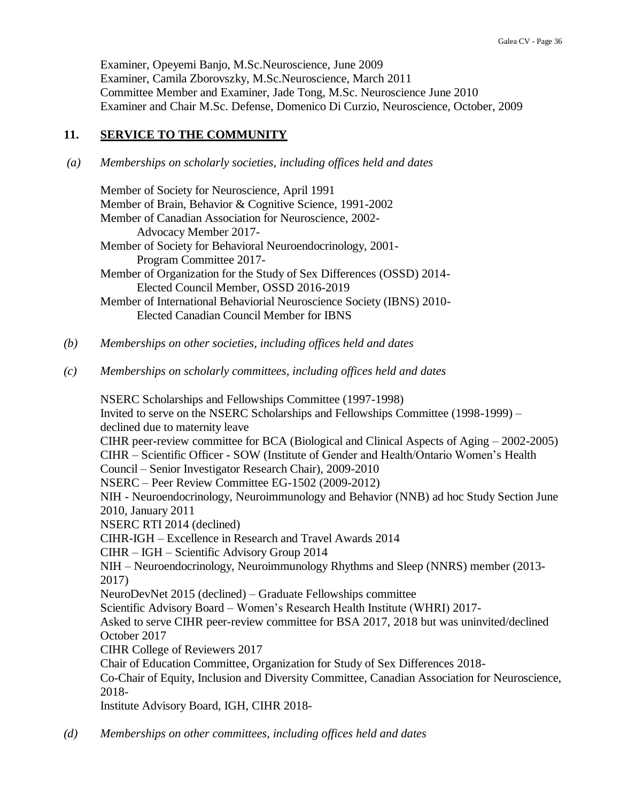Examiner, Opeyemi Banjo, M.Sc.Neuroscience, June 2009 Examiner, Camila Zborovszky, M.Sc.Neuroscience, March 2011 Committee Member and Examiner, Jade Tong, M.Sc. Neuroscience June 2010 Examiner and Chair M.Sc. Defense, Domenico Di Curzio, Neuroscience, October, 2009

### **11. SERVICE TO THE COMMUNITY**

### *(a) Memberships on scholarly societies, including offices held and dates*

| Member of Society for Neuroscience, April 1991                        |
|-----------------------------------------------------------------------|
|                                                                       |
| Member of Brain, Behavior & Cognitive Science, 1991-2002              |
| Member of Canadian Association for Neuroscience, 2002-                |
| Advocacy Member 2017-                                                 |
| Member of Society for Behavioral Neuroendocrinology, 2001-            |
| Program Committee 2017-                                               |
| Member of Organization for the Study of Sex Differences (OSSD) 2014-  |
| Elected Council Member, OSSD 2016-2019                                |
| Member of International Behaviorial Neuroscience Society (IBNS) 2010- |
| <b>Elected Canadian Council Member for IBNS</b>                       |
|                                                                       |

- *(b) Memberships on other societies, including offices held and dates*
- *(c) Memberships on scholarly committees, including offices held and dates*

NSERC Scholarships and Fellowships Committee (1997-1998) Invited to serve on the NSERC Scholarships and Fellowships Committee (1998-1999) – declined due to maternity leave CIHR peer-review committee for BCA (Biological and Clinical Aspects of Aging – 2002-2005) CIHR – Scientific Officer - SOW (Institute of Gender and Health/Ontario Women's Health Council – Senior Investigator Research Chair), 2009-2010 NSERC – Peer Review Committee EG-1502 (2009-2012) NIH - Neuroendocrinology, Neuroimmunology and Behavior (NNB) ad hoc Study Section June 2010, January 2011 NSERC RTI 2014 (declined) CIHR-IGH – Excellence in Research and Travel Awards 2014 CIHR – IGH – Scientific Advisory Group 2014 NIH – Neuroendocrinology, Neuroimmunology Rhythms and Sleep (NNRS) member (2013- 2017) NeuroDevNet 2015 (declined) – Graduate Fellowships committee Scientific Advisory Board – Women's Research Health Institute (WHRI) 2017- Asked to serve CIHR peer-review committee for BSA 2017, 2018 but was uninvited/declined October 2017 CIHR College of Reviewers 2017 Chair of Education Committee, Organization for Study of Sex Differences 2018- Co-Chair of Equity, Inclusion and Diversity Committee, Canadian Association for Neuroscience, 2018- Institute Advisory Board, IGH, CIHR 2018-

*(d) Memberships on other committees, including offices held and dates*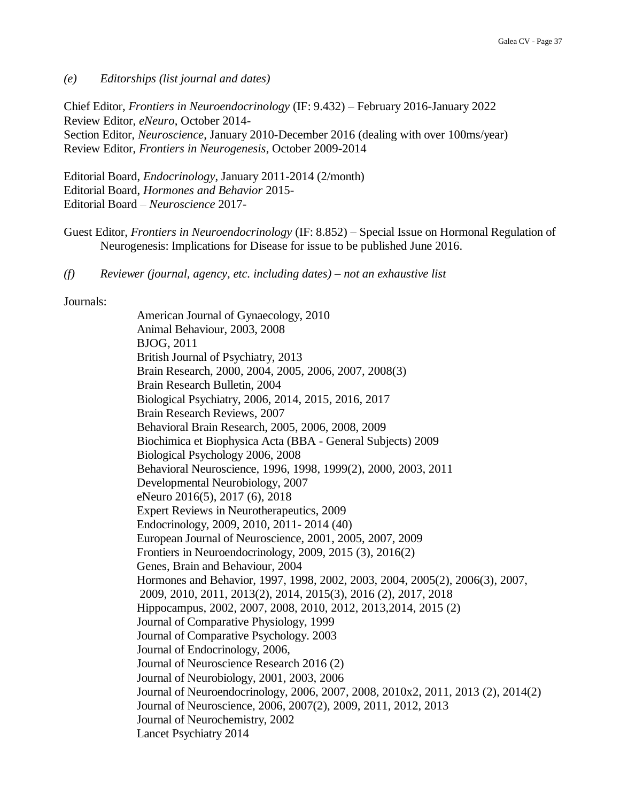#### *(e) Editorships (list journal and dates)*

Chief Editor, *Frontiers in Neuroendocrinology* (IF: 9.432) – February 2016-January 2022 Review Editor, *eNeuro*, October 2014- Section Editor, *Neuroscience*, January 2010-December 2016 (dealing with over 100ms/year) Review Editor, *Frontiers in Neurogenesis*, October 2009-2014

Editorial Board, *Endocrinology*, January 2011-2014 (2/month) Editorial Board, *Hormones and Behavior* 2015- Editorial Board – *Neuroscience* 2017-

- Guest Editor, *Frontiers in Neuroendocrinology* (IF: 8.852) Special Issue on Hormonal Regulation of Neurogenesis: Implications for Disease for issue to be published June 2016.
- *(f) Reviewer (journal, agency, etc. including dates) – not an exhaustive list*

#### Journals:

American Journal of Gynaecology, 2010 Animal Behaviour, 2003, 2008 BJOG, 2011 British Journal of Psychiatry, 2013 Brain Research, 2000, 2004, 2005, 2006, 2007, 2008(3) Brain Research Bulletin, 2004 Biological Psychiatry, 2006, 2014, 2015, 2016, 2017 Brain Research Reviews, 2007 Behavioral Brain Research, 2005, 2006, 2008, 2009 Biochimica et Biophysica Acta (BBA - General Subjects) 2009 Biological Psychology 2006, 2008 Behavioral Neuroscience, 1996, 1998, 1999(2), 2000, 2003, 2011 Developmental Neurobiology, 2007 eNeuro 2016(5), 2017 (6), 2018 Expert Reviews in Neurotherapeutics, 2009 Endocrinology, 2009, 2010, 2011- 2014 (40) European Journal of Neuroscience, 2001, 2005, 2007, 2009 Frontiers in Neuroendocrinology, 2009, 2015 (3), 2016(2) Genes, Brain and Behaviour, 2004 Hormones and Behavior, 1997, 1998, 2002, 2003, 2004, 2005(2), 2006(3), 2007, 2009, 2010, 2011, 2013(2), 2014, 2015(3), 2016 (2), 2017, 2018 Hippocampus, 2002, 2007, 2008, 2010, 2012, 2013,2014, 2015 (2) Journal of Comparative Physiology, 1999 Journal of Comparative Psychology. 2003 Journal of Endocrinology, 2006, Journal of Neuroscience Research 2016 (2) Journal of Neurobiology, 2001, 2003, 2006 Journal of Neuroendocrinology, 2006, 2007, 2008, 2010x2, 2011, 2013 (2), 2014(2) Journal of Neuroscience, 2006, 2007(2), 2009, 2011, 2012, 2013 Journal of Neurochemistry, 2002 Lancet Psychiatry 2014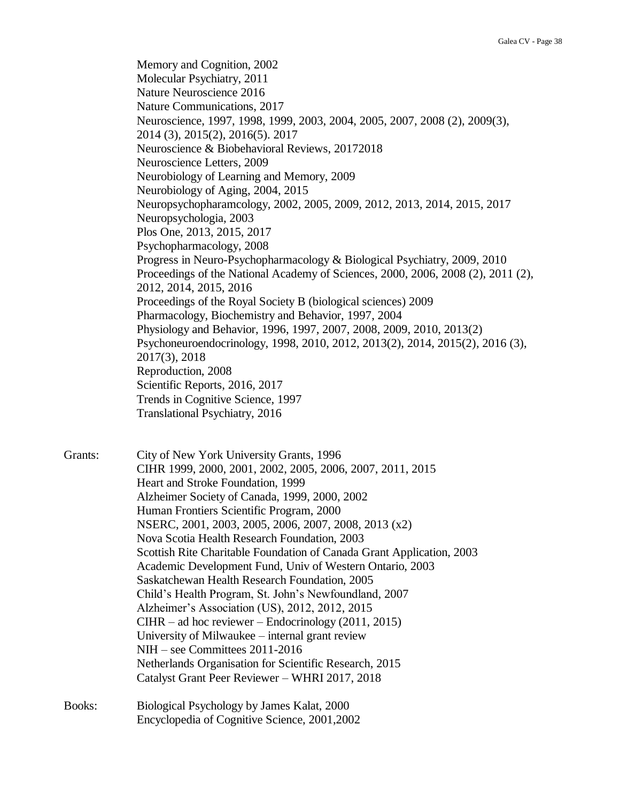Memory and Cognition, 2002 Molecular Psychiatry, 2011 Nature Neuroscience 2016 Nature Communications, 2017 Neuroscience, 1997, 1998, 1999, 2003, 2004, 2005, 2007, 2008 (2), 2009(3), 2014 (3), 2015(2), 2016(5). 2017 Neuroscience & Biobehavioral Reviews, 20172018 Neuroscience Letters, 2009 Neurobiology of Learning and Memory, 2009 Neurobiology of Aging, 2004, 2015 Neuropsychopharamcology, 2002, 2005, 2009, 2012, 2013, 2014, 2015, 2017 Neuropsychologia, 2003 Plos One, 2013, 2015, 2017 Psychopharmacology, 2008 Progress in Neuro-Psychopharmacology & Biological Psychiatry, 2009, 2010 Proceedings of the National Academy of Sciences, 2000, 2006, 2008 (2), 2011 (2), 2012, 2014, 2015, 2016 Proceedings of the Royal Society B (biological sciences) 2009 Pharmacology, Biochemistry and Behavior, 1997, 2004 Physiology and Behavior, 1996, 1997, 2007, 2008, 2009, 2010, 2013(2) Psychoneuroendocrinology, 1998, 2010, 2012, 2013(2), 2014, 2015(2), 2016 (3), 2017(3), 2018 Reproduction, 2008 Scientific Reports, 2016, 2017 Trends in Cognitive Science, 1997 Translational Psychiatry, 2016

Grants: City of New York University Grants, 1996 CIHR 1999, 2000, 2001, 2002, 2005, 2006, 2007, 2011, 2015 Heart and Stroke Foundation, 1999 Alzheimer Society of Canada, 1999, 2000, 2002 Human Frontiers Scientific Program, 2000 NSERC, 2001, 2003, 2005, 2006, 2007, 2008, 2013 (x2) Nova Scotia Health Research Foundation, 2003 Scottish Rite Charitable Foundation of Canada Grant Application, 2003 Academic Development Fund, Univ of Western Ontario, 2003 Saskatchewan Health Research Foundation, 2005 Child's Health Program, St. John's Newfoundland, 2007 Alzheimer's Association (US), 2012, 2012, 2015 CIHR – ad hoc reviewer – Endocrinology (2011, 2015) University of Milwaukee – internal grant review NIH – see Committees 2011-2016 Netherlands Organisation for Scientific Research, 2015 Catalyst Grant Peer Reviewer – WHRI 2017, 2018 Books: Biological Psychology by James Kalat, 2000

Encyclopedia of Cognitive Science, 2001,2002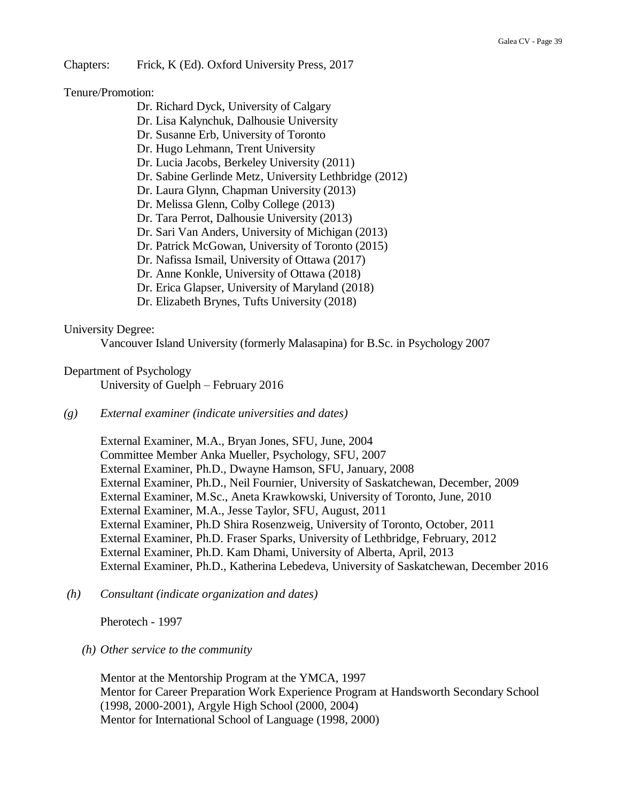Chapters: Frick, K (Ed). Oxford University Press, 2017

Tenure/Promotion:

- Dr. Richard Dyck, University of Calgary
- Dr. Lisa Kalynchuk, Dalhousie University
- Dr. Susanne Erb, University of Toronto
- Dr. Hugo Lehmann, Trent University
- Dr. Lucia Jacobs, Berkeley University (2011)
- Dr. Sabine Gerlinde Metz, University Lethbridge (2012)
- Dr. Laura Glynn, Chapman University (2013)
- Dr. Melissa Glenn, Colby College (2013)
- Dr. Tara Perrot, Dalhousie University (2013)
- Dr. Sari Van Anders, University of Michigan (2013)
- Dr. Patrick McGowan, University of Toronto (2015)
- Dr. Nafissa Ismail, University of Ottawa (2017)
- Dr. Anne Konkle, University of Ottawa (2018)
- Dr. Erica Glapser, University of Maryland (2018)
- Dr. Elizabeth Brynes, Tufts University (2018)

#### University Degree:

Vancouver Island University (formerly Malasapina) for B.Sc. in Psychology 2007

### Department of Psychology

University of Guelph – February 2016

*(g) External examiner (indicate universities and dates)*

External Examiner, M.A., Bryan Jones, SFU, June, 2004 Committee Member Anka Mueller, Psychology, SFU, 2007 External Examiner, Ph.D., Dwayne Hamson, SFU, January, 2008 External Examiner, Ph.D., Neil Fournier, University of Saskatchewan, December, 2009 External Examiner, M.Sc., Aneta Krawkowski, University of Toronto, June, 2010 External Examiner, M.A., Jesse Taylor, SFU, August, 2011 External Examiner, Ph.D Shira Rosenzweig, University of Toronto, October, 2011 External Examiner, Ph.D. Fraser Sparks, University of Lethbridge, February, 2012 External Examiner, Ph.D. Kam Dhami, University of Alberta, April, 2013 External Examiner, Ph.D., Katherina Lebedeva, University of Saskatchewan, December 2016

*(h) Consultant (indicate organization and dates)*

Pherotech - 1997

#### *(h) Other service to the community*

Mentor at the Mentorship Program at the YMCA, 1997 Mentor for Career Preparation Work Experience Program at Handsworth Secondary School (1998, 2000-2001), Argyle High School (2000, 2004) Mentor for International School of Language (1998, 2000)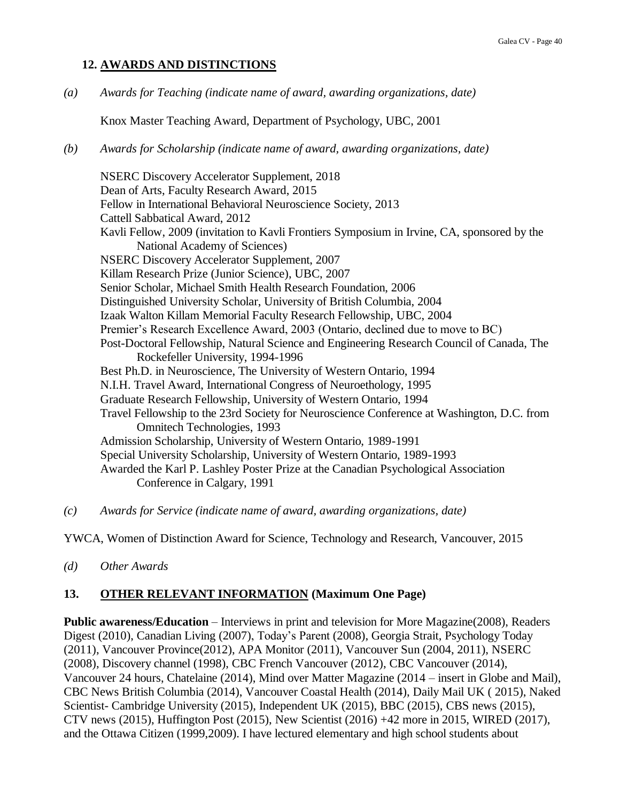### **12. AWARDS AND DISTINCTIONS**

*(a) Awards for Teaching (indicate name of award, awarding organizations, date)*

Knox Master Teaching Award, Department of Psychology, UBC, 2001

*(b) Awards for Scholarship (indicate name of award, awarding organizations, date)*

NSERC Discovery Accelerator Supplement, 2018 Dean of Arts, Faculty Research Award, 2015 Fellow in International Behavioral Neuroscience Society, 2013 Cattell Sabbatical Award, 2012 Kavli Fellow, 2009 (invitation to Kavli Frontiers Symposium in Irvine, CA, sponsored by the National Academy of Sciences) NSERC Discovery Accelerator Supplement, 2007 Killam Research Prize (Junior Science), UBC, 2007 Senior Scholar, Michael Smith Health Research Foundation, 2006 Distinguished University Scholar, University of British Columbia, 2004 Izaak Walton Killam Memorial Faculty Research Fellowship, UBC, 2004 Premier's Research Excellence Award, 2003 (Ontario, declined due to move to BC) Post-Doctoral Fellowship, Natural Science and Engineering Research Council of Canada, The Rockefeller University, 1994-1996 Best Ph.D. in Neuroscience, The University of Western Ontario, 1994 N.I.H. Travel Award, International Congress of Neuroethology, 1995 Graduate Research Fellowship, University of Western Ontario, 1994 Travel Fellowship to the 23rd Society for Neuroscience Conference at Washington, D.C. from Omnitech Technologies, 1993 Admission Scholarship, University of Western Ontario, 1989-1991 Special University Scholarship, University of Western Ontario, 1989-1993 Awarded the Karl P. Lashley Poster Prize at the Canadian Psychological Association Conference in Calgary, 1991

*(c) Awards for Service (indicate name of award, awarding organizations, date)*

YWCA, Women of Distinction Award for Science, Technology and Research, Vancouver, 2015

*(d) Other Awards*

## **13. OTHER RELEVANT INFORMATION (Maximum One Page)**

**Public awareness/Education** – Interviews in print and television for More Magazine(2008), Readers Digest (2010), Canadian Living (2007), Today's Parent (2008), Georgia Strait, Psychology Today (2011), Vancouver Province(2012), APA Monitor (2011), Vancouver Sun (2004, 2011), NSERC (2008), Discovery channel (1998), CBC French Vancouver (2012), CBC Vancouver (2014), Vancouver 24 hours, Chatelaine (2014), Mind over Matter Magazine (2014 – insert in Globe and Mail), CBC News British Columbia (2014), Vancouver Coastal Health (2014), Daily Mail UK ( 2015), Naked Scientist- Cambridge University (2015), Independent UK (2015), BBC (2015), CBS news (2015), CTV news (2015), Huffington Post (2015), New Scientist (2016) +42 more in 2015, WIRED (2017), and the Ottawa Citizen (1999,2009). I have lectured elementary and high school students about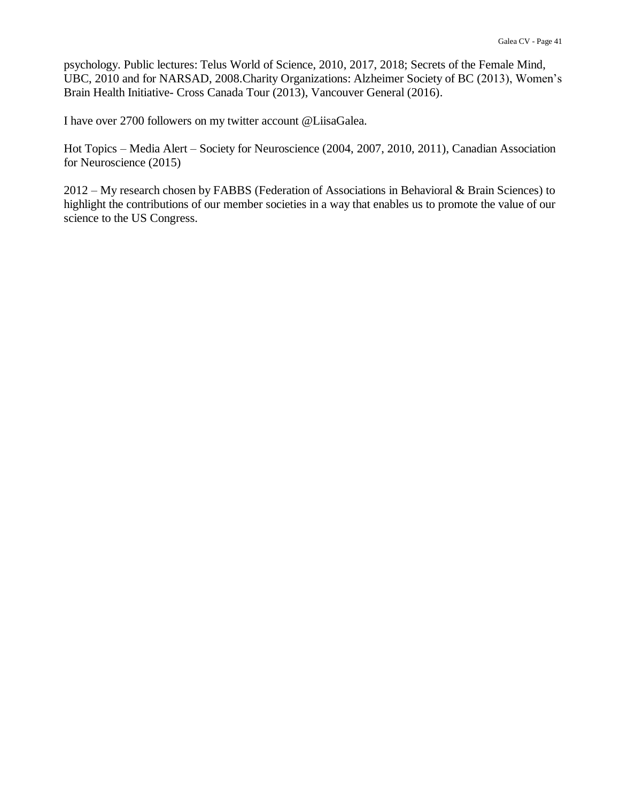psychology. Public lectures: Telus World of Science, 2010, 2017, 2018; Secrets of the Female Mind, UBC, 2010 and for NARSAD, 2008.Charity Organizations: Alzheimer Society of BC (2013), Women's Brain Health Initiative- Cross Canada Tour (2013), Vancouver General (2016).

I have over 2700 followers on my twitter account @LiisaGalea.

Hot Topics – Media Alert – Society for Neuroscience (2004, 2007, 2010, 2011), Canadian Association for Neuroscience (2015)

2012 – My research chosen by FABBS (Federation of Associations in Behavioral & Brain Sciences) to highlight the contributions of our member societies in a way that enables us to promote the value of our science to the US Congress.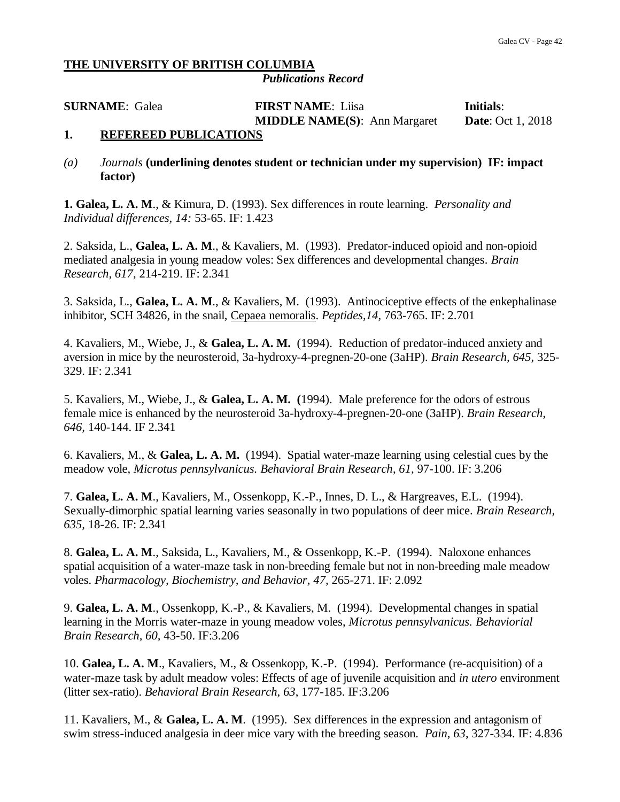#### **THE UNIVERSITY OF BRITISH COLUMBIA** *Publications Record*

**SURNAME**: Galea **FIRST NAME**: Liisa **Initials**: **MIDDLE NAME(S)**: Ann Margaret **Date**: Oct 1, 2018

### **1. REFEREED PUBLICATIONS**

*(a) Journals* **(underlining denotes student or technician under my supervision) IF: impact factor)**

**1. Galea, L. A. M**., & Kimura, D. (1993). Sex differences in route learning. *Personality and Individual differences, 14:* 53-65. IF: 1.423

2. Saksida, L., **Galea, L. A. M**., & Kavaliers, M. (1993). Predator-induced opioid and non-opioid mediated analgesia in young meadow voles: Sex differences and developmental changes. *Brain Research, 617,* 214-219. IF: 2.341

3. Saksida, L., **Galea, L. A. M**., & Kavaliers, M. (1993). Antinociceptive effects of the enkephalinase inhibitor, SCH 34826, in the snail, Cepaea nemoralis. *Peptides,14*, 763-765. IF: 2.701

4. Kavaliers, M., Wiebe, J., & **Galea, L. A. M.** (1994). Reduction of predator-induced anxiety and aversion in mice by the neurosteroid, 3a-hydroxy-4-pregnen-20-one (3aHP). *Brain Research, 645,* 325- 329. IF: 2.341

5. Kavaliers, M., Wiebe, J., & **Galea, L. A. M. (**1994). Male preference for the odors of estrous female mice is enhanced by the neurosteroid 3a-hydroxy-4-pregnen-20-one (3aHP). *Brain Research*, *646,* 140-144. IF 2.341

6. Kavaliers, M., & **Galea, L. A. M.** (1994). Spatial water-maze learning using celestial cues by the meadow vole, *Microtus pennsylvanicus. Behavioral Brain Research*, *61,* 97-100. IF: 3.206

7. **Galea, L. A. M**., Kavaliers, M., Ossenkopp, K.-P., Innes, D. L., & Hargreaves, E.L. (1994). Sexually-dimorphic spatial learning varies seasonally in two populations of deer mice. *Brain Research, 635,* 18-26. IF: 2.341

8. **Galea, L. A. M**., Saksida, L., Kavaliers, M., & Ossenkopp, K.-P. (1994). Naloxone enhances spatial acquisition of a water-maze task in non-breeding female but not in non-breeding male meadow voles. *Pharmacology, Biochemistry, and Behavior, 47,* 265-271. IF: 2.092

9. **Galea, L. A. M**., Ossenkopp, K.-P., & Kavaliers, M. (1994). Developmental changes in spatial learning in the Morris water-maze in young meadow voles, *Microtus pennsylvanicus. Behaviorial Brain Research, 60,* 43-50. IF:3.206

10. **Galea, L. A. M**., Kavaliers, M., & Ossenkopp, K.-P. (1994). Performance (re-acquisition) of a water-maze task by adult meadow voles: Effects of age of juvenile acquisition and *in utero* environment (litter sex-ratio). *Behavioral Brain Research*, *63*, 177-185. IF:3.206

11. Kavaliers, M., & **Galea, L. A. M**. (1995). Sex differences in the expression and antagonism of swim stress-induced analgesia in deer mice vary with the breeding season. *Pain, 63*, 327-334. IF: 4.836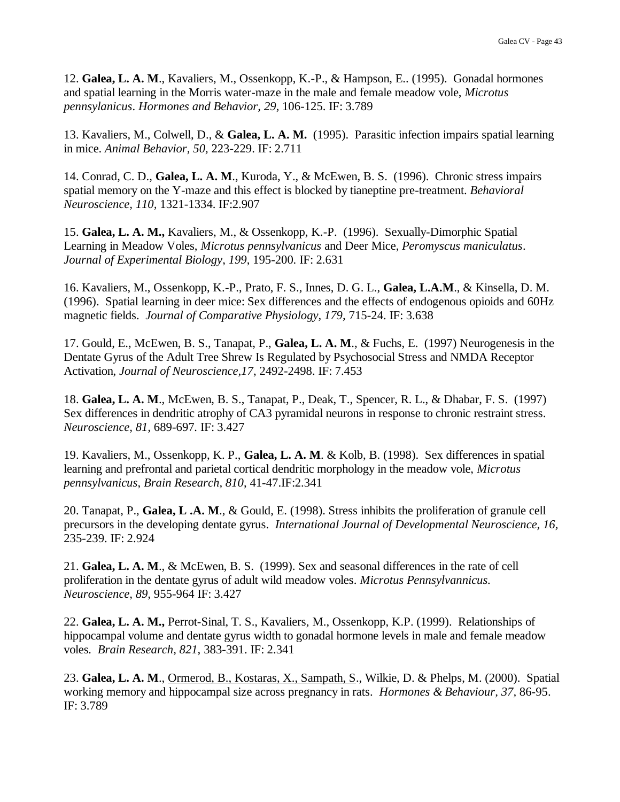12. **Galea, L. A. M**., Kavaliers, M., Ossenkopp, K.-P., & Hampson, E.. (1995). Gonadal hormones and spatial learning in the Morris water-maze in the male and female meadow vole, *Microtus pennsylanicus*. *Hormones and Behavior, 29*, 106-125. IF: 3.789

13. Kavaliers, M., Colwell, D., & **Galea, L. A. M.** (1995). Parasitic infection impairs spatial learning in mice. *Animal Behavior, 50,* 223-229. IF: 2.711

14. Conrad, C. D., **Galea, L. A. M**., Kuroda, Y., & McEwen, B. S. (1996). Chronic stress impairs spatial memory on the Y-maze and this effect is blocked by tianeptine pre-treatment. *Behavioral Neuroscience, 110,* 1321-1334. IF:2.907

15. **Galea, L. A. M.,** Kavaliers, M., & Ossenkopp, K.-P. (1996). Sexually-Dimorphic Spatial Learning in Meadow Voles, *Microtus pennsylvanicus* and Deer Mice, *Peromyscus maniculatus*. *Journal of Experimental Biology*, *199*, 195-200*.* IF: 2.631

16. Kavaliers, M., Ossenkopp, K.-P., Prato, F. S., Innes, D. G. L., **Galea, L.A.M**., & Kinsella, D. M. (1996). Spatial learning in deer mice: Sex differences and the effects of endogenous opioids and 60Hz magnetic fields. *Journal of Comparative Physiology, 179,* 715-24. IF: 3.638

17. Gould, E., McEwen, B. S., Tanapat, P., **Galea, L. A. M**., & Fuchs, E. (1997) Neurogenesis in the Dentate Gyrus of the Adult Tree Shrew Is Regulated by Psychosocial Stress and NMDA Receptor Activation, *Journal of Neuroscience,17*, 2492-2498. IF: 7.453

18. **Galea, L. A. M**., McEwen, B. S., Tanapat, P., Deak, T., Spencer, R. L., & Dhabar, F. S. (1997) Sex differences in dendritic atrophy of CA3 pyramidal neurons in response to chronic restraint stress. *Neuroscience, 81,* 689-697*.* IF: 3.427

19. Kavaliers, M., Ossenkopp, K. P., **Galea, L. A. M**. & Kolb, B. (1998). Sex differences in spatial learning and prefrontal and parietal cortical dendritic morphology in the meadow vole, *Microtus pennsylvanicus*, *Brain Research, 810*, 41-47.IF:2.341

20. Tanapat, P., **Galea, L .A. M**., & Gould, E. (1998). Stress inhibits the proliferation of granule cell precursors in the developing dentate gyrus. *International Journal of Developmental Neuroscience, 16,*  235-239. IF: 2.924

21. **Galea, L. A. M**., & McEwen, B. S. (1999). Sex and seasonal differences in the rate of cell proliferation in the dentate gyrus of adult wild meadow voles. *Microtus Pennsylvannicus. Neuroscience, 89,* 955-964 IF: 3.427

22. **Galea, L. A. M.,** Perrot-Sinal, T. S., Kavaliers, M., Ossenkopp, K.P. (1999). Relationships of hippocampal volume and dentate gyrus width to gonadal hormone levels in male and female meadow voles*. Brain Research, 821,* 383-391. IF: 2.341

23. **Galea, L. A. M**., Ormerod, B., Kostaras, X., Sampath, S., Wilkie, D. & Phelps, M. (2000). Spatial working memory and hippocampal size across pregnancy in rats. *Hormones & Behaviour, 37,* 86-95. IF: 3.789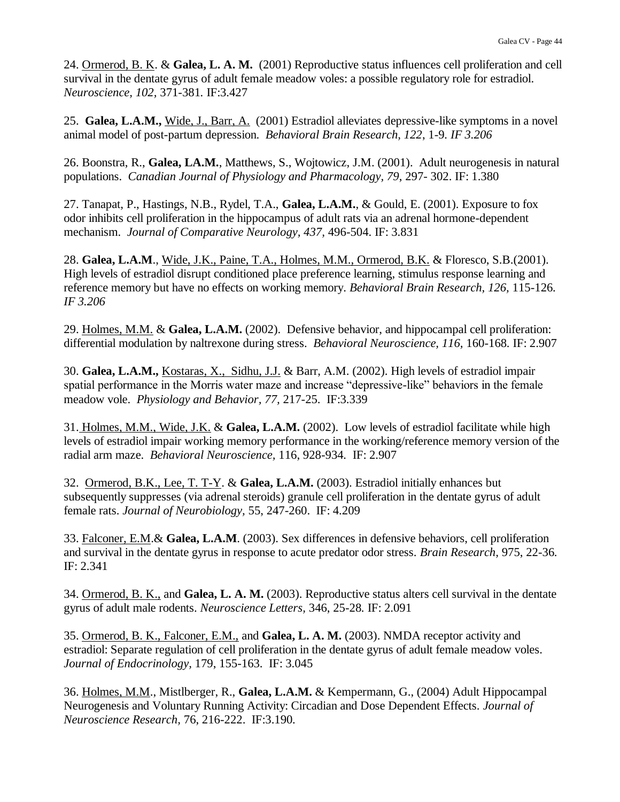24. Ormerod, B. K. & **Galea, L. A. M.** (2001) Reproductive status influences cell proliferation and cell survival in the dentate gyrus of adult female meadow voles: a possible regulatory role for estradiol. *Neuroscience, 102,* 371-381*.* IF:3.427

25. **Galea, L.A.M.,** Wide, J., Barr, A. (2001) Estradiol alleviates depressive-like symptoms in a novel animal model of post-partum depression. *Behavioral Brain Research, 122*, 1-9*. IF 3.206*

26. Boonstra, R., **Galea, LA.M.**, Matthews, S., Wojtowicz, J.M. (2001). Adult neurogenesis in natural populations. *Canadian Journal of Physiology and Pharmacology, 79*, 297- 302. IF: 1.380

27. Tanapat, P., Hastings, N.B., Rydel, T.A., **Galea, L.A.M.**, & Gould, E. (2001). Exposure to fox odor inhibits cell proliferation in the hippocampus of adult rats via an adrenal hormone-dependent mechanism. *Journal of Comparative Neurology, 437,* 496-504. IF: 3.831

28. **Galea, L.A.M**., Wide, J.K., Paine, T.A., Holmes, M.M., Ormerod, B.K. & Floresco, S.B.(2001). High levels of estradiol disrupt conditioned place preference learning, stimulus response learning and reference memory but have no effects on working memory. *Behavioral Brain Research, 126,* 115-126*. IF 3.206*

29. Holmes, M.M. & **Galea, L.A.M.** (2002). Defensive behavior, and hippocampal cell proliferation: differential modulation by naltrexone during stress. *Behavioral Neuroscience, 116,* 160-168*.* IF: 2.907

30. **Galea, L.A.M.,** Kostaras, X., Sidhu, J.J. & Barr, A.M. (2002). High levels of estradiol impair spatial performance in the Morris water maze and increase "depressive-like" behaviors in the female meadow vole. *Physiology and Behavior, 77,* 217-25. IF:3.339

31. Holmes, M.M., Wide, J.K. & **Galea, L.A.M.** (2002). Low levels of estradiol facilitate while high levels of estradiol impair working memory performance in the working/reference memory version of the radial arm maze. *Behavioral Neuroscience,* 116, 928-934*.* IF: 2.907

32. Ormerod, B.K., Lee, T. T-Y. & **Galea, L.A.M.** (2003). Estradiol initially enhances but subsequently suppresses (via adrenal steroids) granule cell proliferation in the dentate gyrus of adult female rats. *Journal of Neurobiology,* 55, 247-260. IF: 4.209

33. Falconer, E.M.& **Galea, L.A.M**. (2003). Sex differences in defensive behaviors, cell proliferation and survival in the dentate gyrus in response to acute predator odor stress. *Brain Research,* 975, 22-36*.* IF: 2.341

34. Ormerod, B. K., and **Galea, L. A. M.** (2003). Reproductive status alters cell survival in the dentate gyrus of adult male rodents. *Neuroscience Letters,* 346, 25-28*.* IF: 2.091

35. Ormerod, B. K., Falconer, E.M., and **Galea, L. A. M.** (2003). NMDA receptor activity and estradiol: Separate regulation of cell proliferation in the dentate gyrus of adult female meadow voles. *Journal of Endocrinology,* 179, 155-163. IF: 3.045

36. Holmes, M.M., Mistlberger, R., **Galea, L.A.M.** & Kempermann, G., (2004) Adult Hippocampal Neurogenesis and Voluntary Running Activity: Circadian and Dose Dependent Effects. *Journal of Neuroscience Research,* 76, 216-222. IF:3.190*.*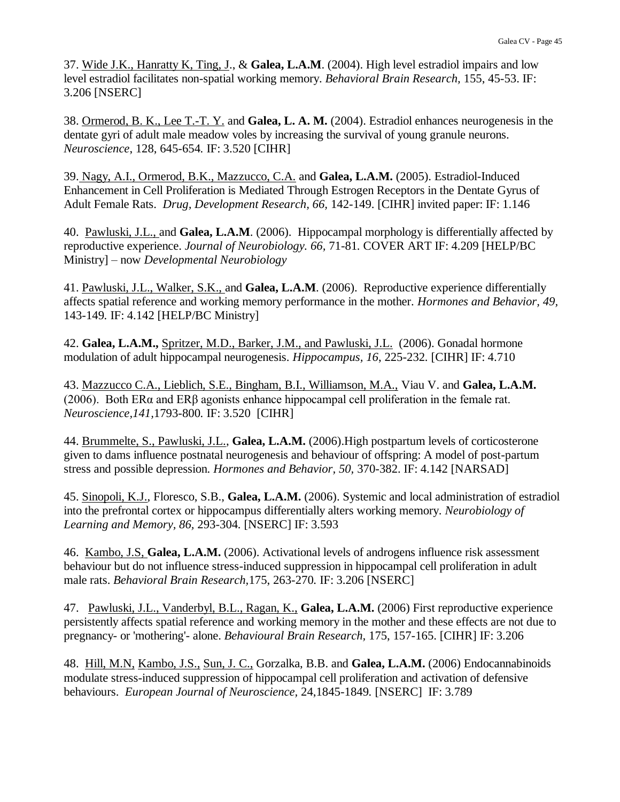37. Wide J.K., Hanratty K, Ting, J., & **Galea, L.A.M**. (2004). High level estradiol impairs and low level estradiol facilitates non-spatial working memory. *Behavioral Brain Research,* 155, 45-53. IF: 3.206 [NSERC]

38. Ormerod, B. K., Lee T.-T. Y. and **Galea, L. A. M.** (2004). Estradiol enhances neurogenesis in the dentate gyri of adult male meadow voles by increasing the survival of young granule neurons. *Neuroscience*, 128, 645-654*.* IF: 3.520 [CIHR]

39. Nagy, A.I., Ormerod, B.K., Mazzucco, C.A. and **Galea, L.A.M.** (2005). Estradiol-Induced Enhancement in Cell Proliferation is Mediated Through Estrogen Receptors in the Dentate Gyrus of Adult Female Rats. *Drug, Development Research, 66,* 142-149. [CIHR] invited paper: IF: 1.146

40. Pawluski, J.L., and **Galea, L.A.M**. (2006). Hippocampal morphology is differentially affected by reproductive experience. *Journal of Neurobiology. 66,* 71-81*.* COVER ART IF: 4.209 [HELP/BC Ministry] – now *Developmental Neurobiology*

41. Pawluski, J.L., Walker, S.K., and **Galea, L.A.M**. (2006). Reproductive experience differentially affects spatial reference and working memory performance in the mother. *Hormones and Behavior, 49,*  143-149*.* IF: 4.142 [HELP/BC Ministry]

42. **Galea, L.A.M.,** Spritzer, M.D., Barker, J.M., and Pawluski, J.L. (2006). Gonadal hormone modulation of adult hippocampal neurogenesis. *Hippocampus, 16*, 225-232*.* [CIHR] IF: 4.710

43. Mazzucco C.A., Lieblich, S.E., Bingham, B.I., Williamson, M.A., Viau V. and **Galea, L.A.M.** (2006). Both ERα and ERβ agonists enhance hippocampal cell proliferation in the female rat. *Neuroscience,141,*1793-800*.* IF: 3.520 [CIHR]

44. Brummelte, S., Pawluski, J.L., **Galea, L.A.M.** (2006).High postpartum levels of corticosterone given to dams influence postnatal neurogenesis and behaviour of offspring: A model of post-partum stress and possible depression. *Hormones and Behavior, 50,* 370-382. IF: 4.142 [NARSAD]

45. Sinopoli, K.J., Floresco, S.B., **Galea, L.A.M.** (2006). Systemic and local administration of estradiol into the prefrontal cortex or hippocampus differentially alters working memory. *Neurobiology of Learning and Memory, 86,* 293-304*.* [NSERC] IF: 3.593

46. Kambo, J.S, **Galea, L.A.M.** (2006). Activational levels of androgens influence risk assessment behaviour but do not influence stress-induced suppression in hippocampal cell proliferation in adult male rats. *Behavioral Brain Research,*175, 263-270*.* IF: 3.206 [NSERC]

47. Pawluski, J.L., Vanderbyl, B.L., Ragan, K., **Galea, L.A.M.** (2006) First reproductive experience persistently affects spatial reference and working memory in the mother and these effects are not due to pregnancy- or 'mothering'- alone. *Behavioural Brain Research,* 175, 157-165. [CIHR] IF: 3.206

48. Hill, M.N, Kambo, J.S., Sun, J. C., Gorzalka, B.B. and **Galea, L.A.M.** (2006) Endocannabinoids modulate stress-induced suppression of hippocampal cell proliferation and activation of defensive behaviours. *European Journal of Neuroscience,* 24,1845-1849*.* [NSERC] IF: 3.789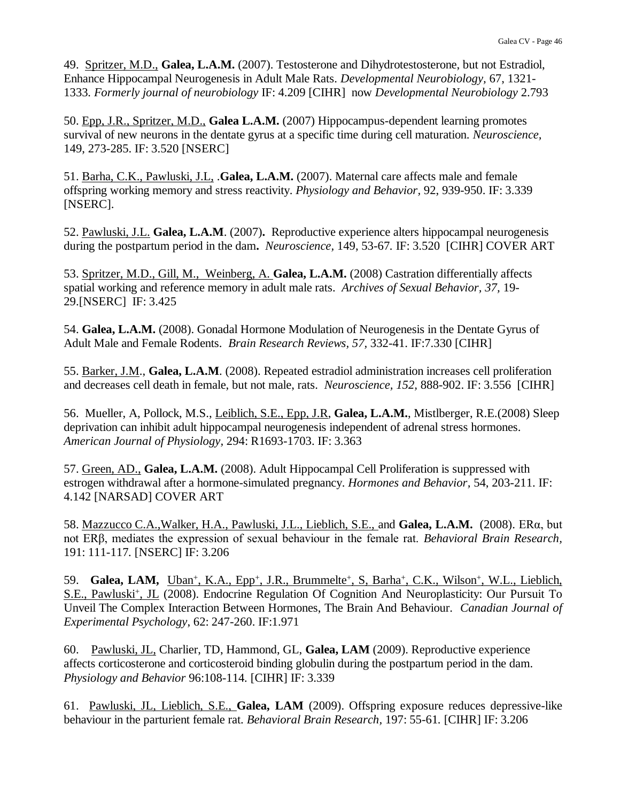49. Spritzer, M.D., **Galea, L.A.M.** (2007). Testosterone and Dihydrotestosterone, but not Estradiol, Enhance Hippocampal Neurogenesis in Adult Male Rats. *Developmental Neurobiology,* 67, 1321- 1333*. Formerly journal of neurobiology* IF: 4.209 [CIHR] now *Developmental Neurobiology* 2.793

50. Epp, J.R., Spritzer, M.D., **Galea L.A.M.** (2007) Hippocampus-dependent learning promotes survival of new neurons in the dentate gyrus at a specific time during cell maturation. *Neuroscience,*  149, 273-285. IF: 3.520 [NSERC]

51. Barha, C.K., Pawluski, J.L, .**Galea, L.A.M.** (2007). Maternal care affects male and female offspring working memory and stress reactivity. *Physiology and Behavior,* 92, 939-950. IF: 3.339 [NSERC].

52. Pawluski, J.L. **Galea, L.A.M**. (2007)**.** Reproductive experience alters hippocampal neurogenesis during the postpartum period in the dam**.** *Neuroscience,* 149, 53-67*.* IF: 3.520 [CIHR] COVER ART

53. Spritzer, M.D., Gill, M., Weinberg, A. **Galea, L.A.M.** (2008) Castration differentially affects spatial working and reference memory in adult male rats. *Archives of Sexual Behavior, 37,* 19- 29.[NSERC] IF: 3.425

54. **Galea, L.A.M.** (2008). Gonadal Hormone Modulation of Neurogenesis in the Dentate Gyrus of Adult Male and Female Rodents. *Brain Research Reviews, 57,* 332-41. IF:7.330 [CIHR]

55. Barker, J.M., **Galea, L.A.M**. (2008). Repeated estradiol administration increases cell proliferation and decreases cell death in female, but not male, rats. *Neuroscience, 152,* 888-902. IF: 3.556 [CIHR]

56. Mueller, A, Pollock, M.S., Leiblich, S.E., Epp, J.R, **Galea, L.A.M.**, Mistlberger, R.E.(2008) Sleep deprivation can inhibit adult hippocampal neurogenesis independent of adrenal stress hormones. *American Journal of Physiology,* 294: R1693-1703. IF: 3.363

57. Green, AD., **Galea, L.A.M.** (2008). Adult Hippocampal Cell Proliferation is suppressed with estrogen withdrawal after a hormone-simulated pregnancy. *Hormones and Behavior,* 54, 203-211. IF: 4.142 [NARSAD] COVER ART

58. Mazzucco C.A.,Walker, H.A., Pawluski, J.L., Lieblich, S.E., and **Galea, L.A.M.** (2008). ERα, but not ERβ, mediates the expression of sexual behaviour in the female rat. *Behavioral Brain Research,*  191: 111-117*.* [NSERC] IF: 3.206

59. Galea, LAM, Uban<sup>+</sup>, K.A., Epp<sup>+</sup>, J.R., Brummelte<sup>+</sup>, S. Barha<sup>+</sup>, C.K., Wilson<sup>+</sup>, W.L., Lieblich, S.E., Pawluski<sup>+</sup>, JL (2008). Endocrine Regulation Of Cognition And Neuroplasticity: Our Pursuit To Unveil The Complex Interaction Between Hormones, The Brain And Behaviour. *Canadian Journal of Experimental Psychology*, 62: 247-260. IF:1.971

60. Pawluski, JL, Charlier, TD, Hammond, GL, **Galea, LAM** (2009). Reproductive experience affects corticosterone and corticosteroid binding globulin during the postpartum period in the dam. *Physiology and Behavior* 96:108-114*.* [CIHR] IF: 3.339

61. Pawluski, JL, Lieblich, S.E., **Galea, LAM** (2009). Offspring exposure reduces depressive-like behaviour in the parturient female rat. *Behavioral Brain Research,* 197: 55-61*.* [CIHR] IF: 3.206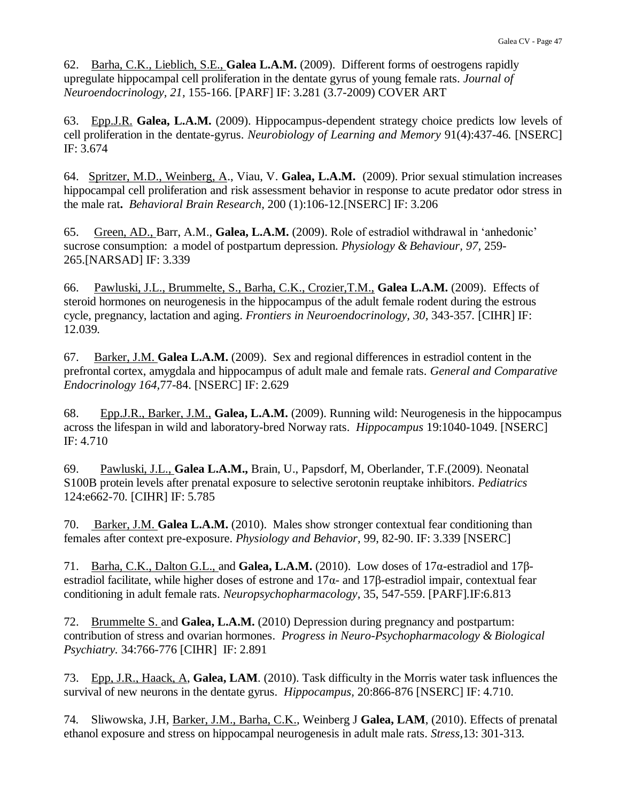62. Barha, C.K., Lieblich, S.E., **Galea L.A.M.** (2009). Different forms of oestrogens rapidly upregulate hippocampal cell proliferation in the dentate gyrus of young female rats. *Journal of Neuroendocrinology, 21,* 155-166. [PARF] IF: 3.281 (3.7-2009) COVER ART

63. Epp.J.R. **Galea, L.A.M.** (2009). Hippocampus-dependent strategy choice predicts low levels of cell proliferation in the dentate-gyrus. *Neurobiology of Learning and Memory* 91(4):437-46*.* [NSERC] IF: 3.674

64. Spritzer, M.D., Weinberg, A., Viau, V. **Galea, L.A.M.** (2009). Prior sexual stimulation increases hippocampal cell proliferation and risk assessment behavior in response to acute predator odor stress in the male rat**.** *Behavioral Brain Research,* 200 (1):106-12.[NSERC] IF: 3.206

65. Green, AD., Barr, A.M., **Galea, L.A.M.** (2009). Role of estradiol withdrawal in 'anhedonic' sucrose consumption: a model of postpartum depression. *Physiology & Behaviour, 97,* 259- 265.[NARSAD] IF: 3.339

66. Pawluski, J.L., Brummelte, S., Barha, C.K., Crozier,T.M., **Galea L.A.M.** (2009). Effects of steroid hormones on neurogenesis in the hippocampus of the adult female rodent during the estrous cycle, pregnancy, lactation and aging. *Frontiers in Neuroendocrinology, 30,* 343-357*.* [CIHR] IF: 12.039*.*

67. Barker, J.M. **Galea L.A.M.** (2009). Sex and regional differences in estradiol content in the prefrontal cortex, amygdala and hippocampus of adult male and female rats. *General and Comparative Endocrinology 164,*77-84. [NSERC] IF: 2.629

68. Epp.J.R., Barker, J.M., **Galea, L.A.M.** (2009). Running wild: Neurogenesis in the hippocampus across the lifespan in wild and laboratory-bred Norway rats. *Hippocampus* 19:1040-1049. [NSERC] IF: 4.710

69. Pawluski, J.L., **Galea L.A.M.,** Brain, U., Papsdorf, M, Oberlander, T.F.(2009). Neonatal S100B protein levels after prenatal exposure to selective serotonin reuptake inhibitors. *Pediatrics* 124:e662-70*.* [CIHR] IF: 5.785

70. Barker, J.M. **Galea L.A.M.** (2010). Males show stronger contextual fear conditioning than females after context pre-exposure. *Physiology and Behavior,* 99, 82-90. IF: 3.339 [NSERC]

71. Barha, C.K., Dalton G.L., and **Galea, L.A.M.** (2010). Low doses of 17α-estradiol and 17βestradiol facilitate, while higher doses of estrone and  $17\alpha$ - and  $17\beta$ -estradiol impair, contextual fear conditioning in adult female rats. *Neuropsychopharmacology,* 35, 547-559. [PARF]*.*IF:6.813

72. Brummelte S. and **Galea, L.A.M.** (2010) Depression during pregnancy and postpartum: contribution of stress and ovarian hormones. *Progress in Neuro-Psychopharmacology & Biological Psychiatry.* 34:766-776 [CIHR] IF: 2.891

73. Epp, J.R., Haack, A, **Galea, LAM**. (2010). Task difficulty in the Morris water task influences the survival of new neurons in the dentate gyrus. *Hippocampus,* 20:866-876 [NSERC] IF: 4.710.

74*.* Sliwowska, J.H, Barker, J.M., Barha, C.K., Weinberg J **Galea, LAM**, (2010). Effects of prenatal ethanol exposure and stress on hippocampal neurogenesis in adult male rats. *Stress,*13: 301-313*.*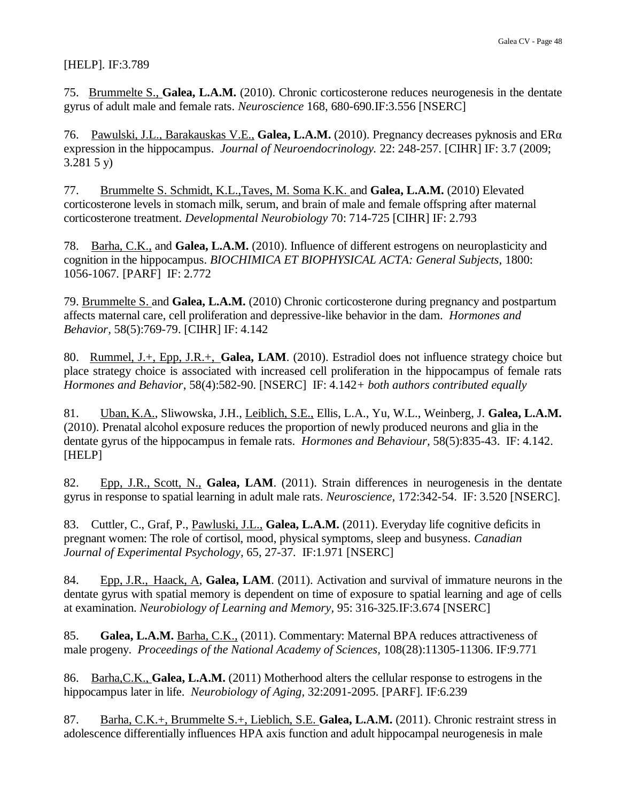#### [HELP]*.* IF:3.789

75. Brummelte S., **Galea, L.A.M.** (2010). Chronic corticosterone reduces neurogenesis in the dentate gyrus of adult male and female rats. *Neuroscience* 168, 680-690*.*IF:3.556 [NSERC]

76. Pawulski, J.L., Barakauskas V.E., **Galea, L.A.M.** (2010). Pregnancy decreases pyknosis and ERα expression in the hippocampus. *Journal of Neuroendocrinology.* 22: 248-257. [CIHR] IF: 3.7 (2009; 3.281 5 y)

77. Brummelte S. Schmidt, K.L.,Taves, M. Soma K.K. and **Galea, L.A.M.** (2010) Elevated corticosterone levels in stomach milk, serum, and brain of male and female offspring after maternal corticosterone treatment. *Developmental Neurobiology* 70: 714-725 [CIHR] IF: 2.793

78. Barha, C.K., and **Galea, L.A.M.** (2010). Influence of different estrogens on neuroplasticity and cognition in the hippocampus. *BIOCHIMICA ET BIOPHYSICAL ACTA: General Subjects,* 1800: 1056-1067*.* [PARF] IF: 2.772

79. Brummelte S. and **Galea, L.A.M.** (2010) Chronic corticosterone during pregnancy and postpartum affects maternal care, cell proliferation and depressive-like behavior in the dam. *Hormones and Behavior,* 58(5):769-79. [CIHR] IF: 4.142

80. Rummel, J.+, Epp, J.R.+, **Galea, LAM**. (2010). Estradiol does not influence strategy choice but place strategy choice is associated with increased cell proliferation in the hippocampus of female rats *Hormones and Behavior*, 58(4):582-90. [NSERC] IF: 4.142*+ both authors contributed equally*

81. Uban, K.A., Sliwowska, J.H., Leiblich, S.E., Ellis, L.A., Yu, W.L., Weinberg, J. **Galea, L.A.M.** (2010). Prenatal alcohol exposure reduces the proportion of newly produced neurons and glia in the dentate gyrus of the hippocampus in female rats. *Hormones and Behaviour,* 58(5):835-43. IF: 4.142. [HELP]

82. Epp, J.R., Scott, N., **Galea, LAM**. (2011). Strain differences in neurogenesis in the dentate gyrus in response to spatial learning in adult male rats. *Neuroscience,* 172:342-54. IF: 3.520 [NSERC].

83. Cuttler, C., Graf, P., Pawluski, J.L., **Galea, L.A.M.** (2011). Everyday life cognitive deficits in pregnant women: The role of cortisol, mood, physical symptoms, sleep and busyness. *Canadian Journal of Experimental Psychology,* 65, 27-37*.* IF:1.971 [NSERC]

84. Epp, J.R., Haack, A, **Galea, LAM**. (2011). Activation and survival of immature neurons in the dentate gyrus with spatial memory is dependent on time of exposure to spatial learning and age of cells at examination. *Neurobiology of Learning and Memory,* 95: 316-325*.*IF:3.674 [NSERC]

85. **Galea, L.A.M.** Barha, C.K., (2011). Commentary: Maternal BPA reduces attractiveness of male progeny. *Proceedings of the National Academy of Sciences,* 108(28):11305-11306. IF:9.771

86. Barha,C.K., **Galea, L.A.M.** (2011) Motherhood alters the cellular response to estrogens in the hippocampus later in life. *Neurobiology of Aging,* 32:2091-2095. [PARF]*.* IF:6.239

87. Barha, C.K.+, Brummelte S.+, Lieblich, S.E. **Galea, L.A.M.** (2011). Chronic restraint stress in adolescence differentially influences HPA axis function and adult hippocampal neurogenesis in male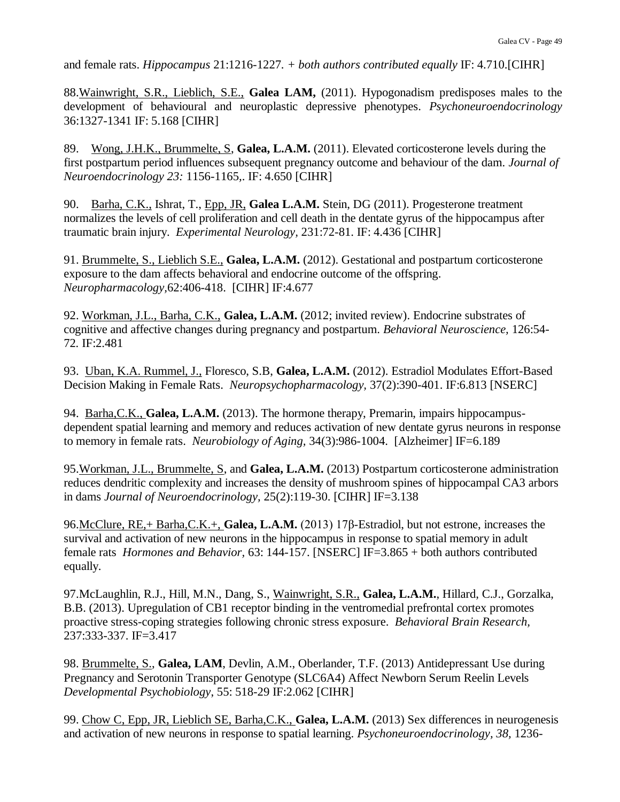and female rats. *Hippocampus* 21:1216-1227*. + both authors contributed equally* IF: 4.710.[CIHR]

88.Wainwright, S.R., Lieblich, S.E., **Galea LAM,** (2011). Hypogonadism predisposes males to the development of behavioural and neuroplastic depressive phenotypes. *Psychoneuroendocrinology*  36:1327-1341 IF: 5.168 [CIHR]

89. Wong, J.H.K., Brummelte, S, **Galea, L.A.M.** (2011). Elevated corticosterone levels during the first postpartum period influences subsequent pregnancy outcome and behaviour of the dam. *Journal of Neuroendocrinology 23:* 1156-1165*,*. IF: 4.650 [CIHR]

90. Barha, C.K., Ishrat, T., Epp, JR, **Galea L.A.M.** Stein, DG (2011). Progesterone treatment normalizes the levels of cell proliferation and cell death in the dentate gyrus of the hippocampus after traumatic brain injury. *Experimental Neurology,* 231:72-81. IF: 4.436 [CIHR]

91. Brummelte, S., Lieblich S.E., **Galea, L.A.M.** (2012). Gestational and postpartum corticosterone exposure to the dam affects behavioral and endocrine outcome of the offspring. *Neuropharmacology,*62:406-418. [CIHR] IF:4.677

92. Workman, J.L., Barha, C.K., **Galea, L.A.M.** (2012; invited review). Endocrine substrates of cognitive and affective changes during pregnancy and postpartum. *Behavioral Neuroscience,* 126:54- 72*.* IF:2.481

93. Uban, K.A. Rummel, J., Floresco, S.B, **Galea, L.A.M.** (2012). Estradiol Modulates Effort-Based Decision Making in Female Rats. *Neuropsychopharmacology,* 37(2):390-401. IF:6.813 [NSERC]

94. Barha,C.K., **Galea, L.A.M.** (2013). The hormone therapy, Premarin, impairs hippocampusdependent spatial learning and memory and reduces activation of new dentate gyrus neurons in response to memory in female rats. *Neurobiology of Aging,* 34(3):986-1004. [Alzheimer] IF=6.189

95.Workman, J.L., Brummelte, S, and **Galea, L.A.M.** (2013) Postpartum corticosterone administration reduces dendritic complexity and increases the density of mushroom spines of hippocampal CA3 arbors in dams *Journal of Neuroendocrinology,* 25(2):119-30. [CIHR] IF=3.138

96.McClure, RE,+ Barha,C.K.+, **Galea, L.A.M.** (2013) 17β-Estradiol, but not estrone, increases the survival and activation of new neurons in the hippocampus in response to spatial memory in adult female rats *Hormones and Behavior,* 63: 144-157. [NSERC] IF=3.865 + both authors contributed equally.

97.McLaughlin, R.J., Hill, M.N., Dang, S., Wainwright, S.R., **Galea, L.A.M.**, Hillard, C.J., Gorzalka, B.B. (2013). Upregulation of CB1 receptor binding in the ventromedial prefrontal cortex promotes proactive stress-coping strategies following chronic stress exposure. *Behavioral Brain Research,*  237:333-337. IF=3.417

98. Brummelte, S., **Galea, LAM**, Devlin, A.M., Oberlander, T.F. (2013) Antidepressant Use during Pregnancy and Serotonin Transporter Genotype (SLC6A4) Affect Newborn Serum Reelin Levels *Developmental Psychobiology*, 55: 518-29 IF:2.062 [CIHR]

99. Chow C, Epp, JR, Lieblich SE, Barha,C.K., **Galea, L.A.M.** (2013) Sex differences in neurogenesis and activation of new neurons in response to spatial learning. *Psychoneuroendocrinology, 38,* 1236-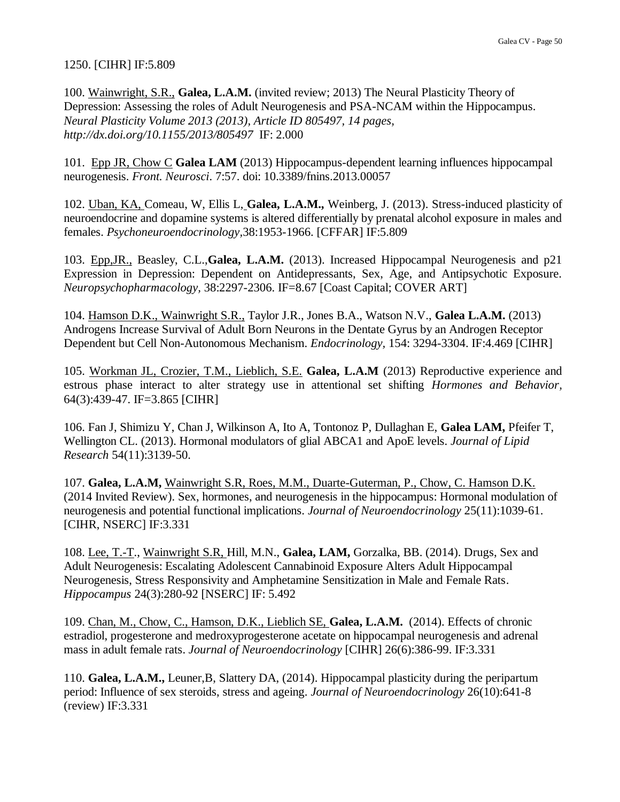#### 1250. [CIHR] IF:5.809

100. Wainwright, S.R., **Galea, L.A.M.** (invited review; 2013) The Neural Plasticity Theory of Depression: Assessing the roles of Adult Neurogenesis and PSA-NCAM within the Hippocampus. *Neural Plasticity Volume 2013 (2013), Article ID 805497, 14 pages, http://dx.doi.org/10.1155/2013/805497* IF: 2.000

101. Epp JR, Chow C **Galea LAM** (2013) Hippocampus-dependent learning influences hippocampal neurogenesis. *Front. Neurosci*. 7:57. doi: 10.3389/fnins.2013.00057

102. Uban, KA, Comeau, W, Ellis L, **Galea, L.A.M.,** Weinberg, J. (2013). Stress-induced plasticity of neuroendocrine and dopamine systems is altered differentially by prenatal alcohol exposure in males and females. *Psychoneuroendocrinology,*38:1953-1966. [CFFAR] IF:5.809

103. Epp,JR., Beasley, C.L.,**Galea, L.A.M.** (2013). Increased Hippocampal Neurogenesis and p21 Expression in Depression: Dependent on Antidepressants, Sex, Age, and Antipsychotic Exposure. *Neuropsychopharmacology,* 38:2297-2306. IF=8.67 [Coast Capital; COVER ART]

104. Hamson D.K., Wainwright S.R., Taylor J.R., Jones B.A., Watson N.V., **Galea L.A.M.** (2013) Androgens Increase Survival of Adult Born Neurons in the Dentate Gyrus by an Androgen Receptor Dependent but Cell Non-Autonomous Mechanism. *Endocrinology,* 154: 3294-3304. IF:4.469 [CIHR]

105. Workman JL, Crozier, T.M., Lieblich, S.E. **Galea, L.A.M** (2013) Reproductive experience and estrous phase interact to alter strategy use in attentional set shifting *Hormones and Behavior,*  64(3):439-47. IF=3.865 [CIHR]

106. Fan J, Shimizu Y, Chan J, Wilkinson A, Ito A, Tontonoz P, Dullaghan E, **Galea LAM,** Pfeifer T, Wellington CL. (2013). Hormonal modulators of glial ABCA1 and ApoE levels. *Journal of Lipid Research* 54(11):3139-50.

107. **Galea, L.A.M,** Wainwright S.R, Roes, M.M., Duarte-Guterman, P., Chow, C. Hamson D.K. (2014 Invited Review). Sex, hormones, and neurogenesis in the hippocampus: Hormonal modulation of neurogenesis and potential functional implications. *Journal of Neuroendocrinology* 25(11):1039-61. [CIHR, NSERC] IF:3.331

108. Lee, T.-T., Wainwright S.R, Hill, M.N., **Galea, LAM,** Gorzalka, BB. (2014). Drugs, Sex and Adult Neurogenesis: Escalating Adolescent Cannabinoid Exposure Alters Adult Hippocampal Neurogenesis, Stress Responsivity and Amphetamine Sensitization in Male and Female Rats. *Hippocampus* 24(3):280-92 [NSERC] IF: 5.492

109. Chan, M., Chow, C., Hamson, D.K., Lieblich SE, **Galea, L.A.M.** (2014). Effects of chronic estradiol, progesterone and medroxyprogesterone acetate on hippocampal neurogenesis and adrenal mass in adult female rats. *Journal of Neuroendocrinology* [CIHR] 26(6):386-99. IF:3.331

110. **Galea, L.A.M.,** Leuner,B, Slattery DA, (2014). Hippocampal plasticity during the peripartum period: Influence of sex steroids, stress and ageing. *Journal of Neuroendocrinology* 26(10):641-8 (review) IF:3.331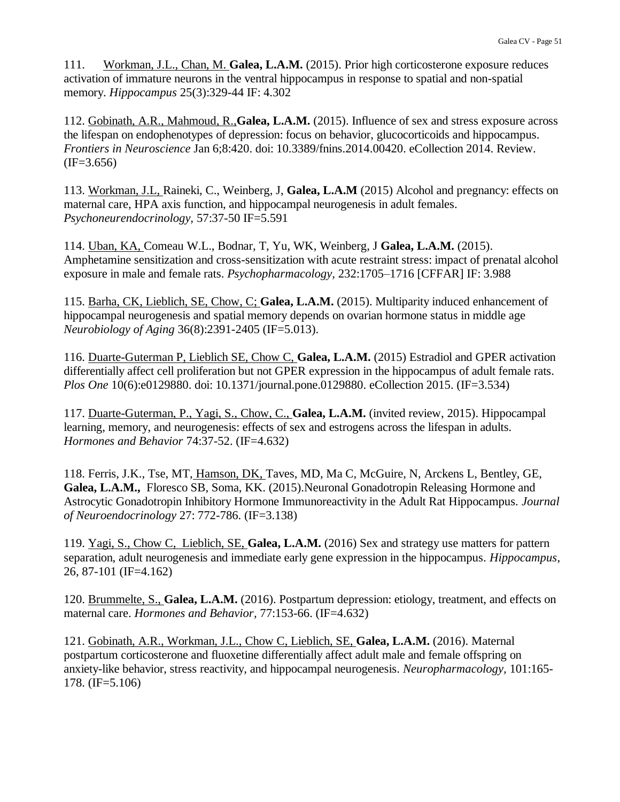111. Workman, J.L., Chan, M. **Galea, L.A.M.** (2015). Prior high corticosterone exposure reduces activation of immature neurons in the ventral hippocampus in response to spatial and non-spatial memory. *Hippocampus* 25(3):329-44 IF: 4.302

112. Gobinath, A.R., Mahmoud, R.,**Galea, L.A.M.** (2015). Influence of sex and stress exposure across the lifespan on endophenotypes of depression: focus on behavior, glucocorticoids and hippocampus. *Frontiers in Neuroscience* Jan 6;8:420. doi: 10.3389/fnins.2014.00420. eCollection 2014. Review.  $(IF=3.656)$ 

113. Workman, J.L, Raineki, C., Weinberg, J, **Galea, L.A.M** (2015) Alcohol and pregnancy: effects on maternal care, HPA axis function, and hippocampal neurogenesis in adult females. *Psychoneurendocrinology,* 57:37-50 IF=5.591

114. Uban, KA, Comeau W.L., Bodnar, T, Yu, WK, Weinberg, J **Galea, L.A.M.** (2015). Amphetamine sensitization and cross-sensitization with acute restraint stress: impact of prenatal alcohol exposure in male and female rats. *Psychopharmacology,* 232:1705–1716 [CFFAR] IF: 3.988

115. Barha, CK, Lieblich, SE, Chow, C; **Galea, L.A.M.** (2015). Multiparity induced enhancement of hippocampal neurogenesis and spatial memory depends on ovarian hormone status in middle age *Neurobiology of Aging* 36(8):2391-2405 (IF=5.013).

116. Duarte-Guterman P, Lieblich SE, Chow C, **Galea, L.A.M.** (2015) Estradiol and GPER activation differentially affect cell proliferation but not GPER expression in the hippocampus of adult female rats. *Plos One* 10(6):e0129880. doi: 10.1371/journal.pone.0129880. eCollection 2015. (IF=3.534)

117. Duarte-Guterman, P., Yagi, S., Chow, C., **Galea, L.A.M.** (invited review, 2015). Hippocampal learning, memory, and neurogenesis: effects of sex and estrogens across the lifespan in adults. *Hormones and Behavior* 74:37-52. (IF=4.632)

118. Ferris, J.K., Tse, MT, Hamson, DK, Taves, MD, Ma C, McGuire, N, Arckens L, Bentley, GE, **Galea, L.A.M.,** Floresco SB, Soma, KK. (2015).Neuronal Gonadotropin Releasing Hormone and Astrocytic Gonadotropin Inhibitory Hormone Immunoreactivity in the Adult Rat Hippocampus. *Journal of Neuroendocrinology* 27: 772-786. (IF=3.138)

119. Yagi, S., Chow C, Lieblich, SE, **Galea, L.A.M.** (2016) Sex and strategy use matters for pattern separation, adult neurogenesis and immediate early gene expression in the hippocampus. *Hippocampus*, 26, 87-101 (IF=4.162)

120. Brummelte, S., **Galea, L.A.M.** (2016). Postpartum depression: etiology, treatment, and effects on maternal care. *Hormones and Behavior,* 77:153-66. (IF=4.632)

121. Gobinath, A.R., Workman, J.L., Chow C, Lieblich, SE, **Galea, L.A.M.** (2016). Maternal postpartum corticosterone and fluoxetine differentially affect adult male and female offspring on anxiety-like behavior, stress reactivity, and hippocampal neurogenesis. *Neuropharmacology,* 101:165- 178. (IF=5.106)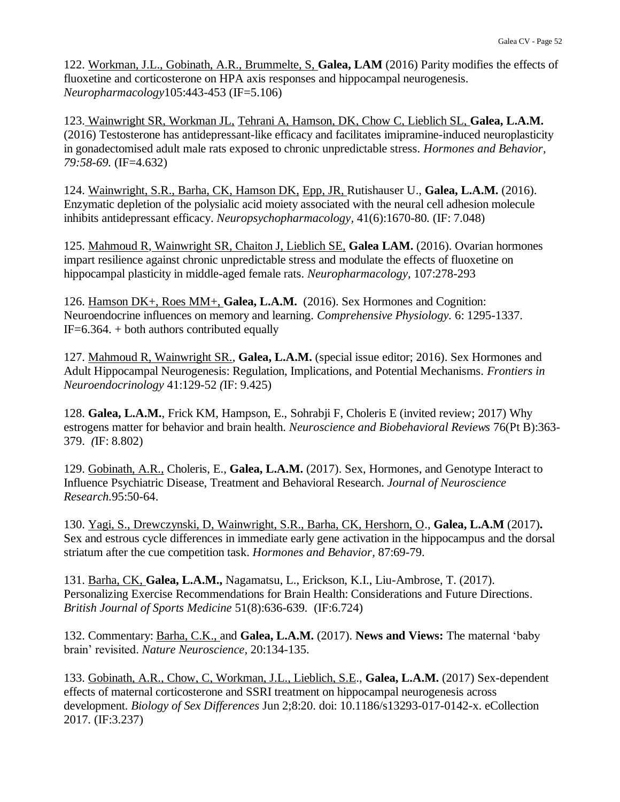122. Workman, J.L., Gobinath, A.R., Brummelte, S, **Galea, LAM** (2016) Parity modifies the effects of fluoxetine and corticosterone on HPA axis responses and hippocampal neurogenesis. *Neuropharmacology*105:443-453 (IF=5.106)

123. Wainwright SR, Workman JL, Tehrani A, Hamson, DK, Chow C, Lieblich SL, **Galea, L.A.M.**  (2016) Testosterone has antidepressant-like efficacy and facilitates imipramine-induced neuroplasticity in gonadectomised adult male rats exposed to chronic unpredictable stress. *Hormones and Behavior, 79:58-69.* (IF=4.632)

124. Wainwright, S.R., Barha, CK, Hamson DK, Epp, JR, Rutishauser U., **Galea, L.A.M.** (2016). Enzymatic depletion of the polysialic acid moiety associated with the neural cell adhesion molecule inhibits antidepressant efficacy. *Neuropsychopharmacology,* 41(6):1670-80*.* (IF: 7.048)

125. Mahmoud R, Wainwright SR, Chaiton J, Lieblich SE, **Galea LAM.** (2016). Ovarian hormones impart resilience against chronic unpredictable stress and modulate the effects of fluoxetine on hippocampal plasticity in middle-aged female rats. *Neuropharmacology,* 107:278-293

126. Hamson DK+, Roes MM+, **Galea, L.A.M.** (2016). Sex Hormones and Cognition: Neuroendocrine influences on memory and learning. *Comprehensive Physiology.* 6: 1295-1337.  $IF=6.364. + both authors contributed equally$ 

127. Mahmoud R, Wainwright SR., **Galea, L.A.M.** (special issue editor; 2016). Sex Hormones and Adult Hippocampal Neurogenesis: Regulation, Implications, and Potential Mechanisms. *Frontiers in Neuroendocrinology* 41:129-52 *(*IF: 9.425)

128. **Galea, L.A.M.**, Frick KM, Hampson, E., Sohrabji F, Choleris E (invited review; 2017) Why estrogens matter for behavior and brain health. *Neuroscience and Biobehavioral Reviews* 76(Pt B):363- 379. *(*IF: 8.802)

129. Gobinath, A.R., Choleris, E., **Galea, L.A.M.** (2017). Sex, Hormones, and Genotype Interact to Influence Psychiatric Disease, Treatment and Behavioral Research. *Journal of Neuroscience Research.*95:50-64.

130. Yagi, S., Drewczynski, D, Wainwright, S.R., Barha, CK, Hershorn, O., **Galea, L.A.M** (2017)**.**  Sex and estrous cycle differences in immediate early gene activation in the hippocampus and the dorsal striatum after the cue competition task. *Hormones and Behavior,* 87:69-79.

131. Barha, CK, **Galea, L.A.M.,** Nagamatsu, L., Erickson, K.I., Liu-Ambrose, T. (2017). Personalizing Exercise Recommendations for Brain Health: Considerations and Future Directions. *British Journal of Sports Medicine* 51(8):636-639*.* (IF:6.724)

132. Commentary: Barha, C.K., and **Galea, L.A.M.** (2017). **News and Views:** The maternal 'baby brain' revisited. *Nature Neuroscience,* 20:134-135.

133. Gobinath, A.R., Chow, C, Workman, J.L., Lieblich, S.E., **Galea, L.A.M.** (2017) Sex-dependent effects of maternal corticosterone and SSRI treatment on hippocampal neurogenesis across development. *Biology of Sex Differences* Jun 2;8:20. doi: 10.1186/s13293-017-0142-x. eCollection 2017*.* (IF:3.237)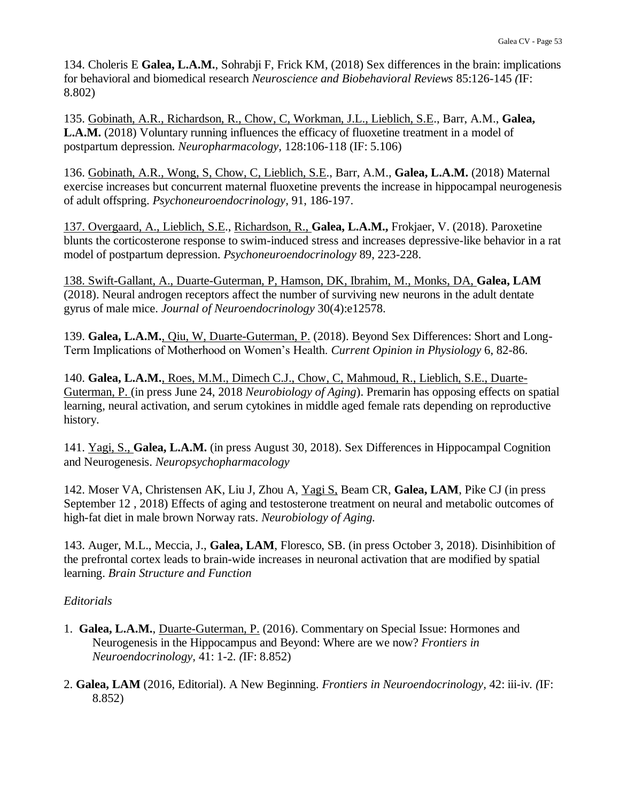134. Choleris E **Galea, L.A.M.**, Sohrabji F, Frick KM, (2018) Sex differences in the brain: implications for behavioral and biomedical research *Neuroscience and Biobehavioral Reviews* 85:126-145 *(*IF: 8.802)

135. Gobinath, A.R., Richardson, R., Chow, C, Workman, J.L., Lieblich, S.E., Barr, A.M., **Galea, L.A.M.** (2018) Voluntary running influences the efficacy of fluoxetine treatment in a model of postpartum depression. *Neuropharmacology,* 128:106-118 (IF: 5.106)

136. Gobinath, A.R., Wong, S, Chow, C, Lieblich, S.E., Barr, A.M., **Galea, L.A.M.** (2018) Maternal exercise increases but concurrent maternal fluoxetine prevents the increase in hippocampal neurogenesis of adult offspring. *Psychoneuroendocrinology,* 91, 186-197.

137. Overgaard, A., Lieblich, S.E., Richardson, R., **Galea, L.A.M.,** Frokjaer, V. (2018). Paroxetine blunts the corticosterone response to swim-induced stress and increases depressive-like behavior in a rat model of postpartum depression. *Psychoneuroendocrinology* 89, 223-228.

138. Swift-Gallant, A., Duarte-Guterman, P, Hamson, DK, Ibrahim, M., Monks, DA, **Galea, LAM**  (2018). Neural androgen receptors affect the number of surviving new neurons in the adult dentate gyrus of male mice. *Journal of Neuroendocrinology* 30(4):e12578.

139. **Galea, L.A.M.**, Qiu, W, Duarte-Guterman, P. (2018). Beyond Sex Differences: Short and Long-Term Implications of Motherhood on Women's Health. *Current Opinion in Physiology* 6, 82-86.

140. **Galea, L.A.M.**, Roes, M.M., Dimech C.J., Chow, C, Mahmoud, R., Lieblich, S.E., Duarte-Guterman, P. (in press June 24, 2018 *Neurobiology of Aging*). Premarin has opposing effects on spatial learning, neural activation, and serum cytokines in middle aged female rats depending on reproductive history.

141. Yagi, S., **Galea, L.A.M.** (in press August 30, 2018). Sex Differences in Hippocampal Cognition and Neurogenesis. *Neuropsychopharmacology*

142. Moser VA, Christensen AK, Liu J, Zhou A, Yagi S, Beam CR, **Galea, LAM**, Pike CJ (in press September 12 , 2018) Effects of aging and testosterone treatment on neural and metabolic outcomes of high-fat diet in male brown Norway rats. *Neurobiology of Aging.*

143. Auger, M.L., Meccia, J., **Galea, LAM**, Floresco, SB. (in press October 3, 2018). Disinhibition of the prefrontal cortex leads to brain-wide increases in neuronal activation that are modified by spatial learning. *Brain Structure and Function*

### *Editorials*

- 1.**Galea, L.A.M.**, Duarte-Guterman, P. (2016). Commentary on Special Issue: Hormones and Neurogenesis in the Hippocampus and Beyond: Where are we now? *Frontiers in Neuroendocrinology,* 41: 1-2*. (*IF: 8.852)
- 2. **Galea, LAM** (2016, Editorial). A New Beginning. *Frontiers in Neuroendocrinology,* 42: iii-iv*. (*IF: 8.852)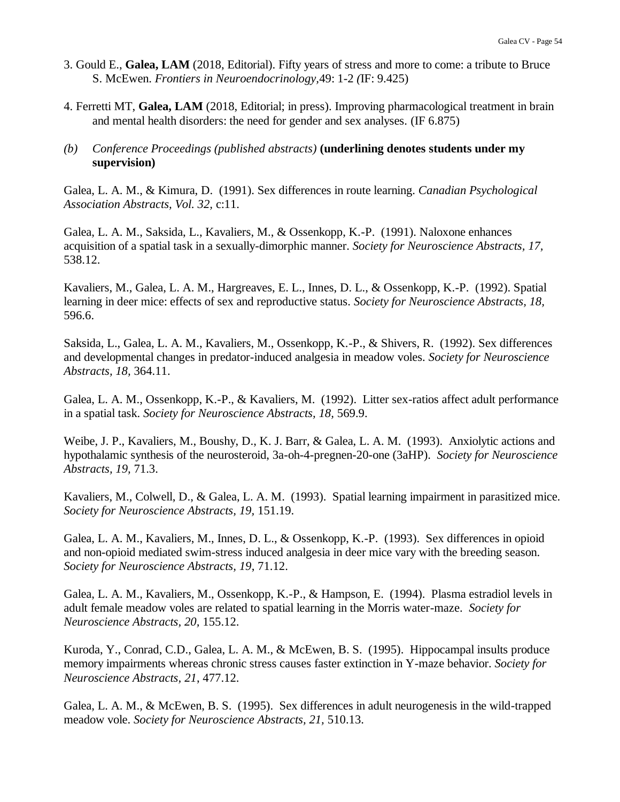- 3. Gould E., **Galea, LAM** (2018, Editorial). Fifty years of stress and more to come: a tribute to Bruce S. McEwen. *Frontiers in Neuroendocrinology,*49: 1-2 *(*IF: 9.425)
- 4. Ferretti MT, **Galea, LAM** (2018, Editorial; in press). Improving pharmacological treatment in brain and mental health disorders: the need for gender and sex analyses. (IF 6.875)

#### *(b) Conference Proceedings (published abstracts)* **(underlining denotes students under my supervision)**

Galea, L. A. M., & Kimura, D. (1991). Sex differences in route learning. *Canadian Psychological Association Abstracts, Vol. 32,* c:11.

Galea, L. A. M., Saksida, L., Kavaliers, M., & Ossenkopp, K.-P. (1991). Naloxone enhances acquisition of a spatial task in a sexually-dimorphic manner. *Society for Neuroscience Abstracts, 17,*  538.12.

Kavaliers, M., Galea, L. A. M., Hargreaves, E. L., Innes, D. L., & Ossenkopp, K.-P. (1992). Spatial learning in deer mice: effects of sex and reproductive status. *Society for Neuroscience Abstracts, 18,*  596.6.

Saksida, L., Galea, L. A. M., Kavaliers, M., Ossenkopp, K.-P., & Shivers, R. (1992). Sex differences and developmental changes in predator-induced analgesia in meadow voles. *Society for Neuroscience Abstracts, 18,* 364.11.

Galea, L. A. M., Ossenkopp, K.-P., & Kavaliers, M. (1992). Litter sex-ratios affect adult performance in a spatial task. *Society for Neuroscience Abstracts, 18,* 569.9.

Weibe, J. P., Kavaliers, M., Boushy, D., K. J. Barr, & Galea, L. A. M. (1993). Anxiolytic actions and hypothalamic synthesis of the neurosteroid, 3a-oh-4-pregnen-20-one (3aHP). *Society for Neuroscience Abstracts, 19,* 71.3.

Kavaliers, M., Colwell, D., & Galea, L. A. M. (1993). Spatial learning impairment in parasitized mice. *Society for Neuroscience Abstracts, 19,* 151.19.

Galea, L. A. M., Kavaliers, M., Innes, D. L., & Ossenkopp, K.-P. (1993). Sex differences in opioid and non-opioid mediated swim-stress induced analgesia in deer mice vary with the breeding season. *Society for Neuroscience Abstracts, 19*, 71.12.

Galea, L. A. M., Kavaliers, M., Ossenkopp, K.-P., & Hampson, E. (1994). Plasma estradiol levels in adult female meadow voles are related to spatial learning in the Morris water-maze. *Society for Neuroscience Abstracts, 20,* 155.12.

Kuroda, Y., Conrad, C.D., Galea, L. A. M., & McEwen, B. S. (1995). Hippocampal insults produce memory impairments whereas chronic stress causes faster extinction in Y-maze behavior. *Society for Neuroscience Abstracts, 21*, 477.12.

Galea, L. A. M., & McEwen, B. S. (1995). Sex differences in adult neurogenesis in the wild-trapped meadow vole. *Society for Neuroscience Abstracts, 21,* 510.13.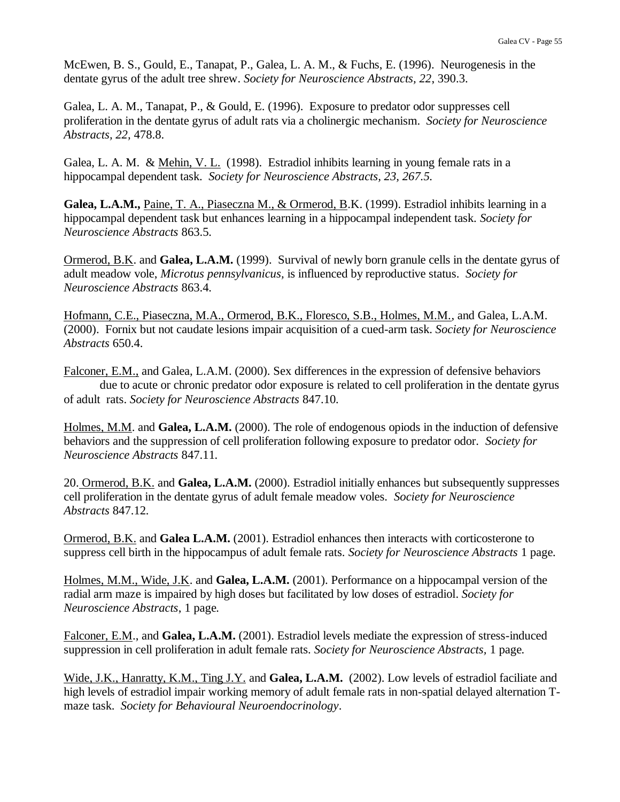McEwen, B. S., Gould, E., Tanapat, P., Galea, L. A. M., & Fuchs, E. (1996). Neurogenesis in the dentate gyrus of the adult tree shrew. *Society for Neuroscience Abstracts, 22*, 390.3.

Galea, L. A. M., Tanapat, P., & Gould, E. (1996). Exposure to predator odor suppresses cell proliferation in the dentate gyrus of adult rats via a cholinergic mechanism. *Society for Neuroscience Abstracts, 22,* 478.8.

Galea, L. A. M. & Mehin, V. L. (1998). Estradiol inhibits learning in young female rats in a hippocampal dependent task. *Society for Neuroscience Abstracts, 23, 267.5.*

**Galea, L.A.M.,** Paine, T. A., Piaseczna M., & Ormerod, B.K. (1999). Estradiol inhibits learning in a hippocampal dependent task but enhances learning in a hippocampal independent task. *Society for Neuroscience Abstracts* 863.5*.*

Ormerod, B.K. and **Galea, L.A.M.** (1999). Survival of newly born granule cells in the dentate gyrus of adult meadow vole, *Microtus pennsylvanicus,* is influenced by reproductive status. *Society for Neuroscience Abstracts* 863.4*.*

Hofmann, C.E., Piaseczna, M.A., Ormerod, B.K., Floresco, S.B., Holmes, M.M., and Galea, L.A.M. (2000). Fornix but not caudate lesions impair acquisition of a cued-arm task. *Society for Neuroscience Abstracts* 650.4.

Falconer, E.M., and Galea, L.A.M. (2000). Sex differences in the expression of defensive behaviors due to acute or chronic predator odor exposure is related to cell proliferation in the dentate gyrus of adult rats. *Society for Neuroscience Abstracts* 847.10*.*

Holmes, M.M. and **Galea, L.A.M.** (2000). The role of endogenous opiods in the induction of defensive behaviors and the suppression of cell proliferation following exposure to predator odor. *Society for Neuroscience Abstracts* 847.11*.*

20. Ormerod, B.K. and **Galea, L.A.M.** (2000). Estradiol initially enhances but subsequently suppresses cell proliferation in the dentate gyrus of adult female meadow voles. *Society for Neuroscience Abstracts* 847.12*.*

Ormerod, B.K. and **Galea L.A.M.** (2001). Estradiol enhances then interacts with corticosterone to suppress cell birth in the hippocampus of adult female rats. *Society for Neuroscience Abstracts* 1 page*.*

Holmes, M.M., Wide, J.K. and **Galea, L.A.M.** (2001). Performance on a hippocampal version of the radial arm maze is impaired by high doses but facilitated by low doses of estradiol. *Society for Neuroscience Abstracts*, 1 page*.*

Falconer, E.M., and **Galea, L.A.M.** (2001). Estradiol levels mediate the expression of stress-induced suppression in cell proliferation in adult female rats. *Society for Neuroscience Abstracts,* 1 page*.*

Wide, J.K., Hanratty, K.M., Ting J.Y. and **Galea, L.A.M.** (2002). Low levels of estradiol faciliate and high levels of estradiol impair working memory of adult female rats in non-spatial delayed alternation Tmaze task. *Society for Behavioural Neuroendocrinology*.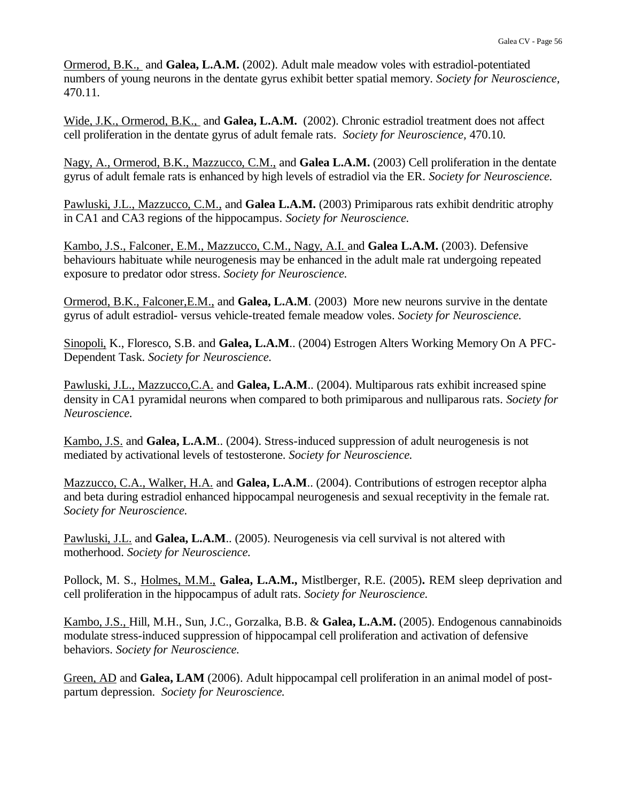Ormerod, B.K., and **Galea, L.A.M.** (2002). Adult male meadow voles with estradiol-potentiated numbers of young neurons in the dentate gyrus exhibit better spatial memory. *Society for Neuroscience,*  470.11*.*

Wide, J.K., Ormerod, B.K., and **Galea, L.A.M.** (2002). Chronic estradiol treatment does not affect cell proliferation in the dentate gyrus of adult female rats. *Society for Neuroscience,* 470.10*.*

Nagy, A., Ormerod, B.K., Mazzucco, C.M., and **Galea L.A.M.** (2003) Cell proliferation in the dentate gyrus of adult female rats is enhanced by high levels of estradiol via the ER. *Society for Neuroscience.*

Pawluski, J.L., Mazzucco, C.M., and **Galea L.A.M.** (2003) Primiparous rats exhibit dendritic atrophy in CA1 and CA3 regions of the hippocampus. *Society for Neuroscience.*

Kambo, J.S., Falconer, E.M., Mazzucco, C.M., Nagy, A.I. and **Galea L.A.M.** (2003). Defensive behaviours habituate while neurogenesis may be enhanced in the adult male rat undergoing repeated exposure to predator odor stress. *Society for Neuroscience.*

Ormerod, B.K., Falconer,E.M., and **Galea, L.A.M**. (2003) More new neurons survive in the dentate gyrus of adult estradiol- versus vehicle-treated female meadow voles. *Society for Neuroscience.*

Sinopoli, K., Floresco, S.B. and **Galea, L.A.M**.. (2004) Estrogen Alters Working Memory On A PFC-Dependent Task. *Society for Neuroscience.*

Pawluski, J.L., Mazzucco,C.A. and **Galea, L.A.M**.. (2004). Multiparous rats exhibit increased spine density in CA1 pyramidal neurons when compared to both primiparous and nulliparous rats. *Society for Neuroscience.*

Kambo, J.S. and **Galea, L.A.M**.. (2004). Stress-induced suppression of adult neurogenesis is not mediated by activational levels of testosterone. *Society for Neuroscience.*

Mazzucco, C.A., Walker, H.A. and **Galea, L.A.M**.. (2004). Contributions of estrogen receptor alpha and beta during estradiol enhanced hippocampal neurogenesis and sexual receptivity in the female rat. *Society for Neuroscience.*

Pawluski, J.L. and **Galea, L.A.M**.. (2005). Neurogenesis via cell survival is not altered with motherhood. *Society for Neuroscience.*

Pollock, M. S., Holmes, M.M., **Galea, L.A.M.,** Mistlberger, R.E. (2005)**.** REM sleep deprivation and cell proliferation in the hippocampus of adult rats. *Society for Neuroscience.*

Kambo, J.S., Hill, M.H., Sun, J.C., Gorzalka, B.B. & **Galea, L.A.M.** (2005). Endogenous cannabinoids modulate stress-induced suppression of hippocampal cell proliferation and activation of defensive behaviors. *Society for Neuroscience.*

Green, AD and **Galea, LAM** (2006). Adult hippocampal cell proliferation in an animal model of postpartum depression. *Society for Neuroscience.*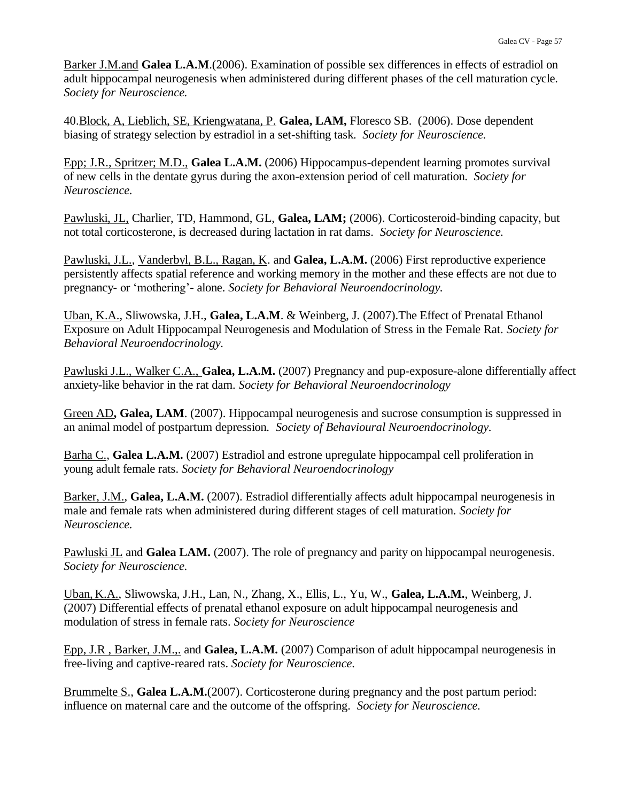Barker J.M.and **Galea L.A.M**.(2006). Examination of possible sex differences in effects of estradiol on adult hippocampal neurogenesis when administered during different phases of the cell maturation cycle. *Society for Neuroscience.*

40.Block, A, Lieblich, SE, Kriengwatana, P. **Galea, LAM,** Floresco SB. (2006). Dose dependent biasing of strategy selection by estradiol in a set-shifting task. *Society for Neuroscience.*

Epp; J.R., Spritzer; M.D., **Galea L.A.M.** (2006) Hippocampus-dependent learning promotes survival of new cells in the dentate gyrus during the axon-extension period of cell maturation. *Society for Neuroscience.*

Pawluski, JL, Charlier, TD, Hammond, GL, **Galea, LAM;** (2006). Corticosteroid-binding capacity, but not total corticosterone, is decreased during lactation in rat dams. *Society for Neuroscience.*

Pawluski, J.L., Vanderbyl, B.L., Ragan, K. and **Galea, L.A.M.** (2006) First reproductive experience persistently affects spatial reference and working memory in the mother and these effects are not due to pregnancy- or 'mothering'- alone. *Society for Behavioral Neuroendocrinology.*

Uban, K.A., Sliwowska, J.H., **Galea, L.A.M**. & Weinberg, J. (2007).The Effect of Prenatal Ethanol Exposure on Adult Hippocampal Neurogenesis and Modulation of Stress in the Female Rat. *Society for Behavioral Neuroendocrinology.*

Pawluski J.L., Walker C.A., **Galea, L.A.M.** (2007) Pregnancy and pup-exposure-alone differentially affect anxiety-like behavior in the rat dam. *Society for Behavioral Neuroendocrinology*

Green AD**, Galea, LAM**. (2007). Hippocampal neurogenesis and sucrose consumption is suppressed in an animal model of postpartum depression. *Society of Behavioural Neuroendocrinology.*

Barha C., **Galea L.A.M.** (2007) Estradiol and estrone upregulate hippocampal cell proliferation in young adult female rats. *Society for Behavioral Neuroendocrinology*

Barker, J.M., **Galea, L.A.M.** (2007). Estradiol differentially affects adult hippocampal neurogenesis in male and female rats when administered during different stages of cell maturation. *Society for Neuroscience.*

Pawluski JL and **Galea LAM.** (2007). The role of pregnancy and parity on hippocampal neurogenesis. *Society for Neuroscience.*

Uban, K.A., Sliwowska, J.H., Lan, N., Zhang, X., Ellis, L., Yu, W., **Galea, L.A.M.**, Weinberg, J. (2007) Differential effects of prenatal ethanol exposure on adult hippocampal neurogenesis and modulation of stress in female rats. *Society for Neuroscience*

Epp, J.R , Barker, J.M.,. and **Galea, L.A.M.** (2007) Comparison of adult hippocampal neurogenesis in free-living and captive-reared rats. *Society for Neuroscience.*

Brummelte S., **Galea L.A.M.**(2007). Corticosterone during pregnancy and the post partum period: influence on maternal care and the outcome of the offspring. *Society for Neuroscience.*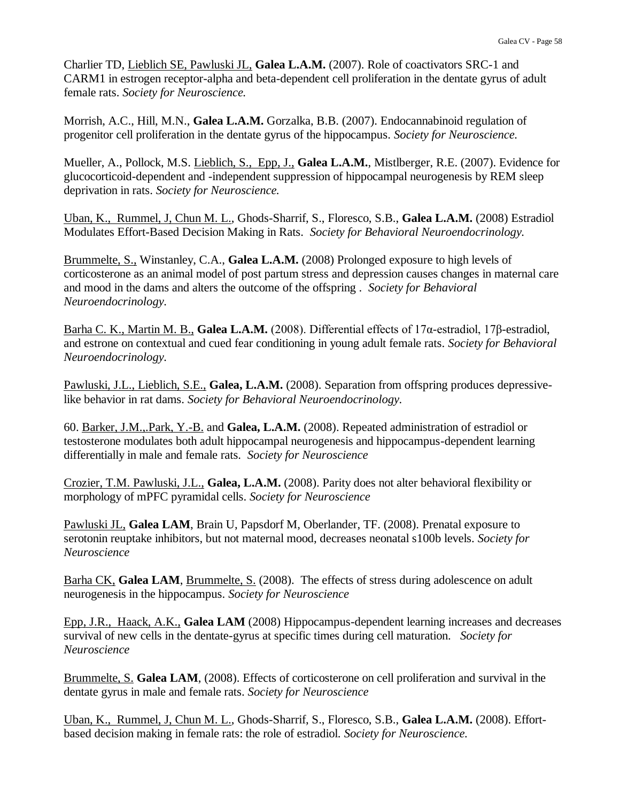Charlier TD, Lieblich SE, Pawluski JL, **Galea L.A.M.** (2007). Role of coactivators SRC-1 and CARM1 in estrogen receptor-alpha and beta-dependent cell proliferation in the dentate gyrus of adult female rats. *Society for Neuroscience.*

Morrish, A.C., Hill, M.N., **Galea L.A.M.** Gorzalka, B.B. (2007). Endocannabinoid regulation of progenitor cell proliferation in the dentate gyrus of the hippocampus. *Society for Neuroscience.*

Mueller, A., Pollock, M.S. Lieblich, S., Epp, J., **Galea L.A.M.**, Mistlberger, R.E. (2007). Evidence for glucocorticoid-dependent and -independent suppression of hippocampal neurogenesis by REM sleep deprivation in rats. *Society for Neuroscience.*

Uban, K., Rummel, J, Chun M. L., Ghods-Sharrif, S., Floresco, S.B., **Galea L.A.M.** (2008) Estradiol Modulates Effort-Based Decision Making in Rats. *Society for Behavioral Neuroendocrinology.*

Brummelte, S., Winstanley, C.A., **Galea L.A.M.** (2008) Prolonged exposure to high levels of corticosterone as an animal model of post partum stress and depression causes changes in maternal care and mood in the dams and alters the outcome of the offspring . *Society for Behavioral Neuroendocrinology.*

Barha C. K., Martin M. B., **Galea L.A.M.** (2008). Differential effects of 17α-estradiol, 17β-estradiol, and estrone on contextual and cued fear conditioning in young adult female rats. *Society for Behavioral Neuroendocrinology.*

Pawluski, J.L., Lieblich, S.E., **Galea, L.A.M.** (2008). Separation from offspring produces depressivelike behavior in rat dams. *Society for Behavioral Neuroendocrinology.*

60. Barker, J.M.,.Park, Y.-B. and **Galea, L.A.M.** (2008). Repeated administration of estradiol or testosterone modulates both adult hippocampal neurogenesis and hippocampus-dependent learning differentially in male and female rats. *Society for Neuroscience*

Crozier, T.M. Pawluski, J.L., **Galea, L.A.M.** (2008). Parity does not alter behavioral flexibility or morphology of mPFC pyramidal cells. *Society for Neuroscience*

Pawluski JL, **Galea LAM**, Brain U, Papsdorf M, Oberlander, TF. (2008). Prenatal exposure to serotonin reuptake inhibitors, but not maternal mood, decreases neonatal s100b levels. *Society for Neuroscience*

Barha CK, Galea LAM, Brummelte, S. (2008). The effects of stress during adolescence on adult neurogenesis in the hippocampus. *Society for Neuroscience*

Epp, J.R., Haack, A.K., **Galea LAM** (2008) Hippocampus-dependent learning increases and decreases survival of new cells in the dentate-gyrus at specific times during cell maturation. *Society for Neuroscience*

Brummelte, S. **Galea LAM**, (2008). Effects of corticosterone on cell proliferation and survival in the dentate gyrus in male and female rats. *Society for Neuroscience*

Uban, K., Rummel, J, Chun M. L., Ghods-Sharrif, S., Floresco, S.B., **Galea L.A.M.** (2008). Effortbased decision making in female rats: the role of estradiol. *Society for Neuroscience.*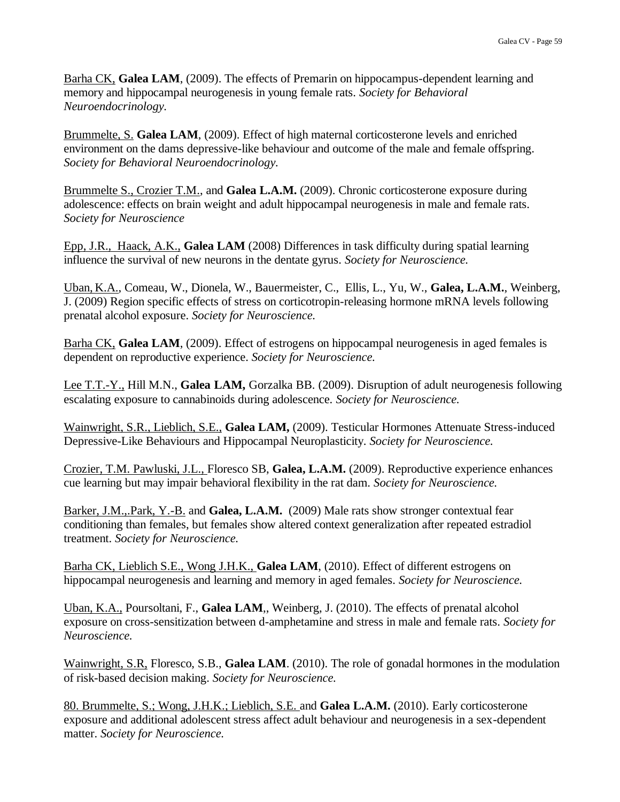Barha CK, **Galea LAM**, (2009). The effects of Premarin on hippocampus-dependent learning and memory and hippocampal neurogenesis in young female rats. *Society for Behavioral Neuroendocrinology.*

Brummelte, S. **Galea LAM**, (2009). Effect of high maternal corticosterone levels and enriched environment on the dams depressive-like behaviour and outcome of the male and female offspring. *Society for Behavioral Neuroendocrinology.*

Brummelte S., Crozier T.M., and **Galea L.A.M.** (2009). Chronic corticosterone exposure during adolescence: effects on brain weight and adult hippocampal neurogenesis in male and female rats. *Society for Neuroscience*

Epp, J.R., Haack, A.K., **Galea LAM** (2008) Differences in task difficulty during spatial learning influence the survival of new neurons in the dentate gyrus. *Society for Neuroscience.*

Uban, K.A., Comeau, W., Dionela, W., Bauermeister, C., Ellis, L., Yu, W., **Galea, L.A.M.**, Weinberg, J. (2009) Region specific effects of stress on corticotropin-releasing hormone mRNA levels following prenatal alcohol exposure. *Society for Neuroscience.*

Barha CK, **Galea LAM**, (2009). Effect of estrogens on hippocampal neurogenesis in aged females is dependent on reproductive experience. *Society for Neuroscience.*

Lee T.T.-Y., Hill M.N., **Galea LAM,** Gorzalka BB. (2009). Disruption of adult neurogenesis following escalating exposure to cannabinoids during adolescence. *Society for Neuroscience.*

Wainwright, S.R., Lieblich, S.E., **Galea LAM,** (2009). Testicular Hormones Attenuate Stress-induced Depressive-Like Behaviours and Hippocampal Neuroplasticity. *Society for Neuroscience.*

Crozier, T.M. Pawluski, J.L., Floresco SB, **Galea, L.A.M.** (2009). Reproductive experience enhances cue learning but may impair behavioral flexibility in the rat dam. *Society for Neuroscience.*

Barker, J.M.,.Park, Y.-B. and **Galea, L.A.M.** (2009) Male rats show stronger contextual fear conditioning than females, but females show altered context generalization after repeated estradiol treatment. *Society for Neuroscience.*

Barha CK, Lieblich S.E., Wong J.H.K., **Galea LAM**, (2010). Effect of different estrogens on hippocampal neurogenesis and learning and memory in aged females. *Society for Neuroscience.*

Uban, K.A., Poursoltani, F., **Galea LAM**,, Weinberg, J. (2010). The effects of prenatal alcohol exposure on cross-sensitization between d-amphetamine and stress in male and female rats. *Society for Neuroscience.*

Wainwright, S.R, Floresco, S.B., **Galea LAM**. (2010). The role of gonadal hormones in the modulation of risk-based decision making. *Society for Neuroscience.*

80. Brummelte, S.; Wong, J.H.K.; Lieblich, S.E. and **Galea L.A.M.** (2010). Early corticosterone exposure and additional adolescent stress affect adult behaviour and neurogenesis in a sex-dependent matter. *Society for Neuroscience.*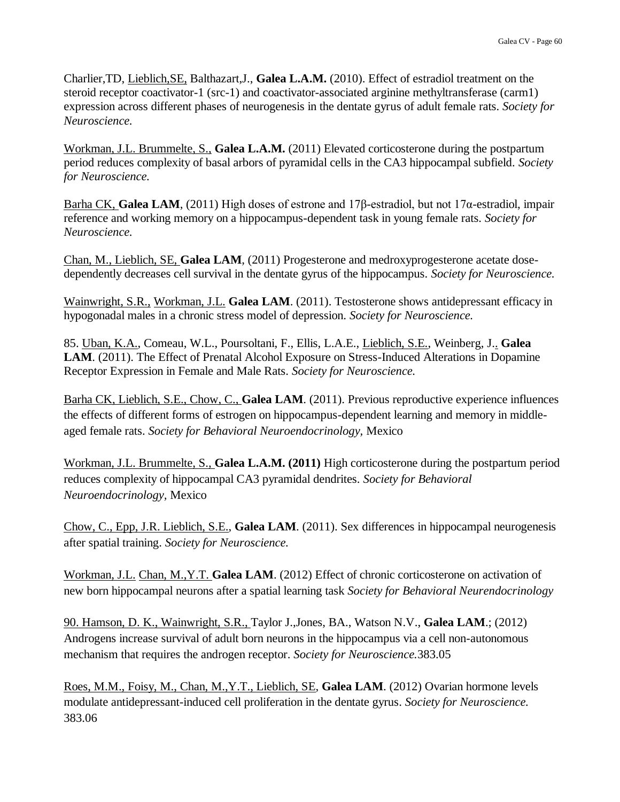Charlier,TD, Lieblich,SE, Balthazart,J., **Galea L.A.M.** (2010). Effect of estradiol treatment on the steroid receptor coactivator-1 (src-1) and coactivator-associated arginine methyltransferase (carm1) expression across different phases of neurogenesis in the dentate gyrus of adult female rats. *Society for Neuroscience.*

Workman, J.L. Brummelte, S., **Galea L.A.M.** (2011) Elevated corticosterone during the postpartum period reduces complexity of basal arbors of pyramidal cells in the CA3 hippocampal subfield. *Society for Neuroscience.*

Barha CK, **Galea LAM**, (2011) High doses of estrone and 17β-estradiol, but not 17α-estradiol, impair reference and working memory on a hippocampus-dependent task in young female rats. *Society for Neuroscience.*

Chan, M., Lieblich, SE, **Galea LAM**, (2011) Progesterone and medroxyprogesterone acetate dosedependently decreases cell survival in the dentate gyrus of the hippocampus. *Society for Neuroscience.*

Wainwright, S.R., Workman, J.L. **Galea LAM**. (2011). Testosterone shows antidepressant efficacy in hypogonadal males in a chronic stress model of depression. *Society for Neuroscience.*

85. Uban, K.A., Comeau, W.L., Poursoltani, F., Ellis, L.A.E., Lieblich, S.E., Weinberg, J.. **Galea LAM**. (2011). The Effect of Prenatal Alcohol Exposure on Stress-Induced Alterations in Dopamine Receptor Expression in Female and Male Rats. *Society for Neuroscience.*

Barha CK, Lieblich, S.E., Chow, C., **Galea LAM**. (2011). Previous reproductive experience influences the effects of different forms of estrogen on hippocampus-dependent learning and memory in middleaged female rats. *Society for Behavioral Neuroendocrinology,* Mexico

Workman, J.L. Brummelte, S., **Galea L.A.M. (2011)** High corticosterone during the postpartum period reduces complexity of hippocampal CA3 pyramidal dendrites. *Society for Behavioral Neuroendocrinology,* Mexico

Chow, C., Epp, J.R. Lieblich, S.E., **Galea LAM**. (2011). Sex differences in hippocampal neurogenesis after spatial training. *Society for Neuroscience.*

Workman, J.L. Chan, M.,Y.T. **Galea LAM**. (2012) Effect of chronic corticosterone on activation of new born hippocampal neurons after a spatial learning task *Society for Behavioral Neurendocrinology*

90. Hamson, D. K., Wainwright, S.R., Taylor J.,Jones, BA., Watson N.V., **Galea LAM**.; (2012) Androgens increase survival of adult born neurons in the hippocampus via a cell non-autonomous mechanism that requires the androgen receptor. *Society for Neuroscience.*383.05

Roes, M.M., Foisy, M., Chan, M.,Y.T., Lieblich, SE, **Galea LAM**. (2012) Ovarian hormone levels modulate antidepressant-induced cell proliferation in the dentate gyrus. *Society for Neuroscience.* 383.06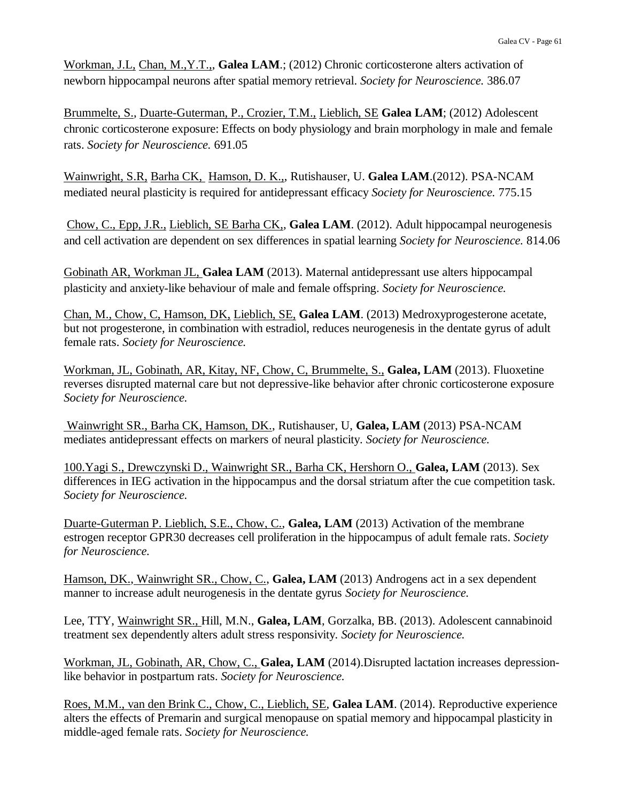Workman, J.L, Chan, M.,Y.T.,, **Galea LAM**.; (2012) Chronic corticosterone alters activation of newborn hippocampal neurons after spatial memory retrieval. *Society for Neuroscience.* 386.07

Brummelte, S., Duarte-Guterman, P., Crozier, T.M., Lieblich, SE **Galea LAM**; (2012) Adolescent chronic corticosterone exposure: Effects on body physiology and brain morphology in male and female rats. *Society for Neuroscience.* 691.05

Wainwright, S.R, Barha CK, Hamson, D. K.,, Rutishauser, U. **Galea LAM**.(2012). PSA-NCAM mediated neural plasticity is required for antidepressant efficacy *Society for Neuroscience.* 775.15

Chow, C., Epp, J.R., Lieblich, SE Barha CK,, **Galea LAM**. (2012). Adult hippocampal neurogenesis and cell activation are dependent on sex differences in spatial learning *Society for Neuroscience.* 814.06

Gobinath AR, Workman JL, **Galea LAM** (2013). Maternal antidepressant use alters hippocampal plasticity and anxiety-like behaviour of male and female offspring. *Society for Neuroscience.*

Chan, M., Chow, C, Hamson, DK, Lieblich, SE, **Galea LAM**. (2013) Medroxyprogesterone acetate, but not progesterone, in combination with estradiol, reduces neurogenesis in the dentate gyrus of adult female rats. *Society for Neuroscience.*

Workman, JL, Gobinath, AR, Kitay, NF, Chow, C, Brummelte, S., **Galea, LAM** (2013). Fluoxetine reverses disrupted maternal care but not depressive-like behavior after chronic corticosterone exposure *Society for Neuroscience.*

Wainwright SR., Barha CK, Hamson, DK., Rutishauser, U, **Galea, LAM** (2013) PSA-NCAM mediates antidepressant effects on markers of neural plasticity. *Society for Neuroscience.*

100.Yagi S., Drewczynski D., Wainwright SR., Barha CK, Hershorn O., **Galea, LAM** (2013). Sex differences in IEG activation in the hippocampus and the dorsal striatum after the cue competition task. *Society for Neuroscience.*

Duarte-Guterman P. Lieblich, S.E., Chow, C., **Galea, LAM** (2013) Activation of the membrane estrogen receptor GPR30 decreases cell proliferation in the hippocampus of adult female rats. *Society for Neuroscience.*

Hamson, DK., Wainwright SR., Chow, C., **Galea, LAM** (2013) Androgens act in a sex dependent manner to increase adult neurogenesis in the dentate gyrus *Society for Neuroscience.*

Lee, TTY, Wainwright SR., Hill, M.N., **Galea, LAM**, Gorzalka, BB. (2013). Adolescent cannabinoid treatment sex dependently alters adult stress responsivity. *Society for Neuroscience.*

Workman, JL, Gobinath, AR, Chow, C., **Galea, LAM** (2014).Disrupted lactation increases depressionlike behavior in postpartum rats. *Society for Neuroscience.*

Roes, M.M., van den Brink C., Chow, C., Lieblich, SE, **Galea LAM**. (2014). Reproductive experience alters the effects of Premarin and surgical menopause on spatial memory and hippocampal plasticity in middle-aged female rats. *Society for Neuroscience.*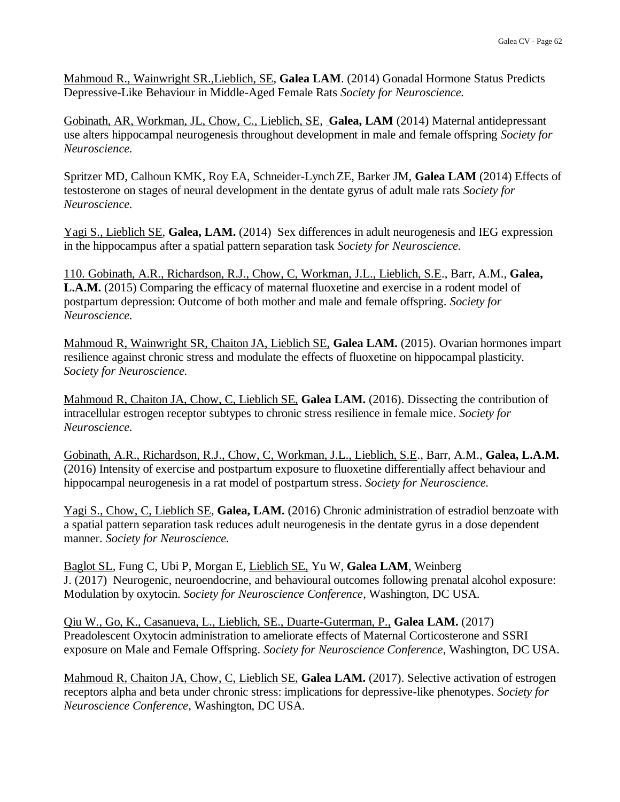Mahmoud R., Wainwright SR.,Lieblich, SE, **Galea LAM**. (2014) Gonadal Hormone Status Predicts Depressive-Like Behaviour in Middle-Aged Female Rats *Society for Neuroscience.*

Gobinath, AR, Workman, JL, Chow, C., Lieblich, SE, **Galea, LAM** (2014) Maternal antidepressant use alters hippocampal neurogenesis throughout development in male and female offspring *Society for Neuroscience.*

Spritzer MD, Calhoun KMK, Roy EA, Schneider-LynchZE, Barker JM, **Galea LAM** (2014) Effects of testosterone on stages of neural development in the dentate gyrus of adult male rats *Society for Neuroscience.*

Yagi S., Lieblich SE, **Galea, LAM.** (2014) Sex differences in adult neurogenesis and IEG expression in the hippocampus after a spatial pattern separation task *Society for Neuroscience.*

110. Gobinath, A.R., Richardson, R.J., Chow, C, Workman, J.L., Lieblich, S.E., Barr, A.M., **Galea, L.A.M.** (2015) Comparing the efficacy of maternal fluoxetine and exercise in a rodent model of postpartum depression: Outcome of both mother and male and female offspring. *Society for Neuroscience.*

Mahmoud R, Wainwright SR, Chaiton JA, Lieblich SE, **Galea LAM.** (2015). Ovarian hormones impart resilience against chronic stress and modulate the effects of fluoxetine on hippocampal plasticity. *Society for Neuroscience.*

Mahmoud R, Chaiton JA, Chow, C, Lieblich SE, **Galea LAM.** (2016). Dissecting the contribution of intracellular estrogen receptor subtypes to chronic stress resilience in female mice. *Society for Neuroscience.*

Gobinath, A.R., Richardson, R.J., Chow, C, Workman, J.L., Lieblich, S.E., Barr, A.M., **Galea, L.A.M.**  (2016) Intensity of exercise and postpartum exposure to fluoxetine differentially affect behaviour and hippocampal neurogenesis in a rat model of postpartum stress. *Society for Neuroscience.*

Yagi S., Chow, C, Lieblich SE, **Galea, LAM.** (2016) Chronic administration of estradiol benzoate with a spatial pattern separation task reduces adult neurogenesis in the dentate gyrus in a dose dependent manner. *Society for Neuroscience.*

Baglot SL, Fung C, Ubi P, Morgan E, Lieblich SE, Yu W, **Galea LAM**, Weinberg J. (2017) Neurogenic, neuroendocrine, and behavioural outcomes following prenatal alcohol exposure: Modulation by oxytocin. *Society for Neuroscience Conference*, Washington, DC USA.

Qiu W., Go, K., Casanueva, L., Lieblich, SE., Duarte-Guterman, P., **Galea LAM.** (2017) Preadolescent Oxytocin administration to ameliorate effects of Maternal Corticosterone and SSRI exposure on Male and Female Offspring. *Society for Neuroscience Conference*, Washington, DC USA.

Mahmoud R, Chaiton JA, Chow, C, Lieblich SE, **Galea LAM.** (2017). Selective activation of estrogen receptors alpha and beta under chronic stress: implications for depressive-like phenotypes. *Society for Neuroscience Conference*, Washington, DC USA.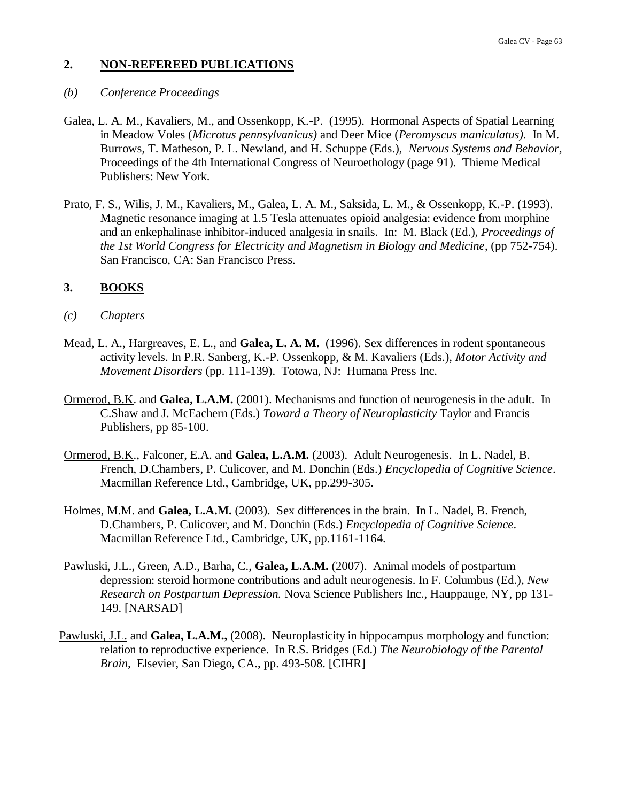### **2. NON-REFEREED PUBLICATIONS**

### *(b) Conference Proceedings*

- Galea, L. A. M., Kavaliers, M., and Ossenkopp, K.-P. (1995). Hormonal Aspects of Spatial Learning in Meadow Voles (*Microtus pennsylvanicus)* and Deer Mice (*Peromyscus maniculatus).* In M. Burrows, T. Matheson, P. L. Newland, and H. Schuppe (Eds.), *Nervous Systems and Behavior,*  Proceedings of the 4th International Congress of Neuroethology (page 91). Thieme Medical Publishers: New York.
- Prato, F. S., Wilis, J. M., Kavaliers, M., Galea, L. A. M., Saksida, L. M., & Ossenkopp, K.-P. (1993). Magnetic resonance imaging at 1.5 Tesla attenuates opioid analgesia: evidence from morphine and an enkephalinase inhibitor-induced analgesia in snails. In: M. Black (Ed.), *Proceedings of the 1st World Congress for Electricity and Magnetism in Biology and Medicine*, (pp 752-754). San Francisco, CA: San Francisco Press.

## **3. BOOKS**

### *(c) Chapters*

- Mead, L. A., Hargreaves, E. L., and **Galea, L. A. M.** (1996). Sex differences in rodent spontaneous activity levels. In P.R. Sanberg, K.-P. Ossenkopp, & M. Kavaliers (Eds.), *Motor Activity and Movement Disorders* (pp. 111-139). Totowa, NJ: Humana Press Inc.
- Ormerod, B.K. and **Galea, L.A.M.** (2001). Mechanisms and function of neurogenesis in the adult. In C.Shaw and J. McEachern (Eds.) *Toward a Theory of Neuroplasticity* Taylor and Francis Publishers, pp 85-100.
- Ormerod, B.K., Falconer, E.A. and **Galea, L.A.M.** (2003). Adult Neurogenesis. In L. Nadel, B. French, D.Chambers, P. Culicover, and M. Donchin (Eds.) *Encyclopedia of Cognitive Science*. Macmillan Reference Ltd., Cambridge, UK, pp.299-305.
- Holmes, M.M. and **Galea, L.A.M.** (2003). Sex differences in the brain. In L. Nadel, B. French, D.Chambers, P. Culicover, and M. Donchin (Eds.) *Encyclopedia of Cognitive Science*. Macmillan Reference Ltd., Cambridge, UK, pp.1161-1164.
- Pawluski, J.L., Green, A.D., Barha, C., **Galea, L.A.M.** (2007). Animal models of postpartum depression: steroid hormone contributions and adult neurogenesis. In F. Columbus (Ed.), *New Research on Postpartum Depression.* Nova Science Publishers Inc., Hauppauge, NY, pp 131- 149. [NARSAD]
- Pawluski, J.L. and **Galea, L.A.M.,** (2008). Neuroplasticity in hippocampus morphology and function: relation to reproductive experience. In R.S. Bridges (Ed.) *The Neurobiology of the Parental Brain,* Elsevier, San Diego, CA., pp. 493-508. [CIHR]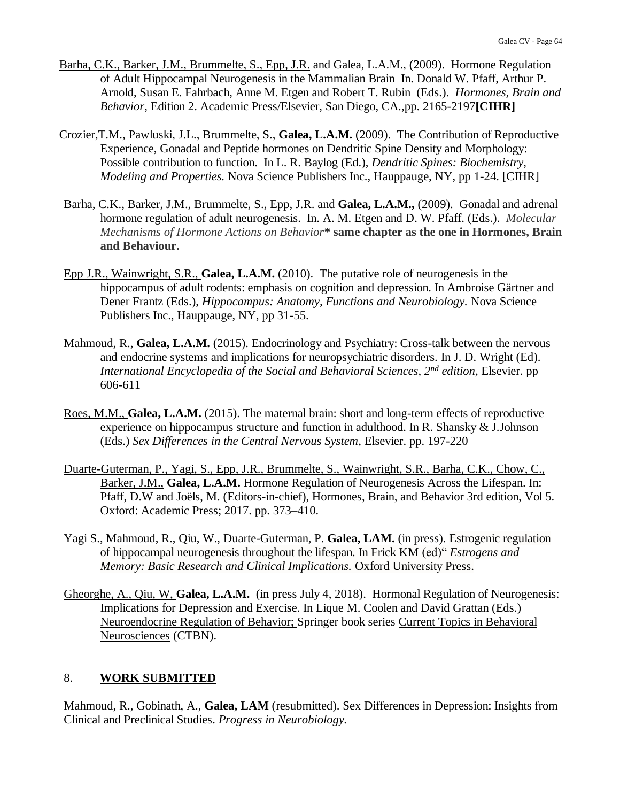- Barha, C.K., Barker, J.M., Brummelte, S., Epp, J.R. and Galea, L.A.M., (2009). Hormone Regulation of Adult Hippocampal Neurogenesis in the Mammalian Brain In. Donald W. Pfaff, Arthur P. Arnold, Susan E. Fahrbach, Anne M. Etgen and Robert T. Rubin (Eds.). *Hormones, Brain and Behavior*, Edition 2. Academic Press/Elsevier, San Diego, CA.,pp. 2165-2197**[CIHR]**
- Crozier,T.M., Pawluski, J.L., Brummelte, S., **Galea, L.A.M.** (2009). The Contribution of Reproductive Experience, Gonadal and Peptide hormones on Dendritic Spine Density and Morphology: Possible contribution to function. In L. R. Baylog (Ed.), *Dendritic Spines: Biochemistry, Modeling and Properties.* Nova Science Publishers Inc., Hauppauge, NY, pp 1-24. [CIHR]
- Barha, C.K., Barker, J.M., Brummelte, S., Epp, J.R. and **Galea, L.A.M.,** (2009). Gonadal and adrenal hormone regulation of adult neurogenesis. In. A. M. Etgen and D. W. Pfaff. (Eds.). *Molecular Mechanisms of Hormone Actions on Behavior***\* same chapter as the one in Hormones, Brain and Behaviour.**
- Epp J.R., Wainwright, S.R., **Galea, L.A.M.** (2010). The putative role of neurogenesis in the hippocampus of adult rodents: emphasis on cognition and depression. In Ambroise Gärtner and Dener Frantz (Eds.), *Hippocampus: Anatomy, Functions and Neurobiology.* Nova Science Publishers Inc., Hauppauge, NY, pp 31-55.
- Mahmoud, R., Galea, L.A.M. (2015). Endocrinology and Psychiatry: Cross-talk between the nervous and endocrine systems and implications for neuropsychiatric disorders. In J. D. Wright (Ed). *International Encyclopedia of the Social and Behavioral Sciences, 2nd edition,* Elsevier. pp 606-611
- Roes, M.M., **Galea, L.A.M.** (2015). The maternal brain: short and long-term effects of reproductive experience on hippocampus structure and function in adulthood. In R. Shansky & J.Johnson (Eds.) *Sex Differences in the Central Nervous System,* Elsevier. pp. 197-220
- Duarte-Guterman, P., Yagi, S., Epp, J.R., Brummelte, S., Wainwright, S.R., Barha, C.K., Chow, C., Barker, J.M., **Galea, L.A.M.** Hormone Regulation of Neurogenesis Across the Lifespan. In: Pfaff, D.W and Joëls, M. (Editors-in-chief), Hormones, Brain, and Behavior 3rd edition, Vol 5. Oxford: Academic Press; 2017. pp. 373–410.
- Yagi S., Mahmoud, R., Qiu, W., Duarte-Guterman, P. **Galea, LAM.** (in press). Estrogenic regulation of hippocampal neurogenesis throughout the lifespan. In Frick KM (ed)" *Estrogens and Memory: Basic Research and Clinical Implications.* Oxford University Press.
- Gheorghe, A., Qiu, W, **Galea, L.A.M.** (in press July 4, 2018).Hormonal Regulation of Neurogenesis: Implications for Depression and Exercise. In Lique M. Coolen and David Grattan (Eds.) Neuroendocrine Regulation of Behavior; Springer book series Current Topics in Behavioral Neurosciences (CTBN).

## 8. **WORK SUBMITTED**

Mahmoud, R., Gobinath, A., **Galea, LAM** (resubmitted). Sex Differences in Depression: Insights from Clinical and Preclinical Studies. *Progress in Neurobiology.*